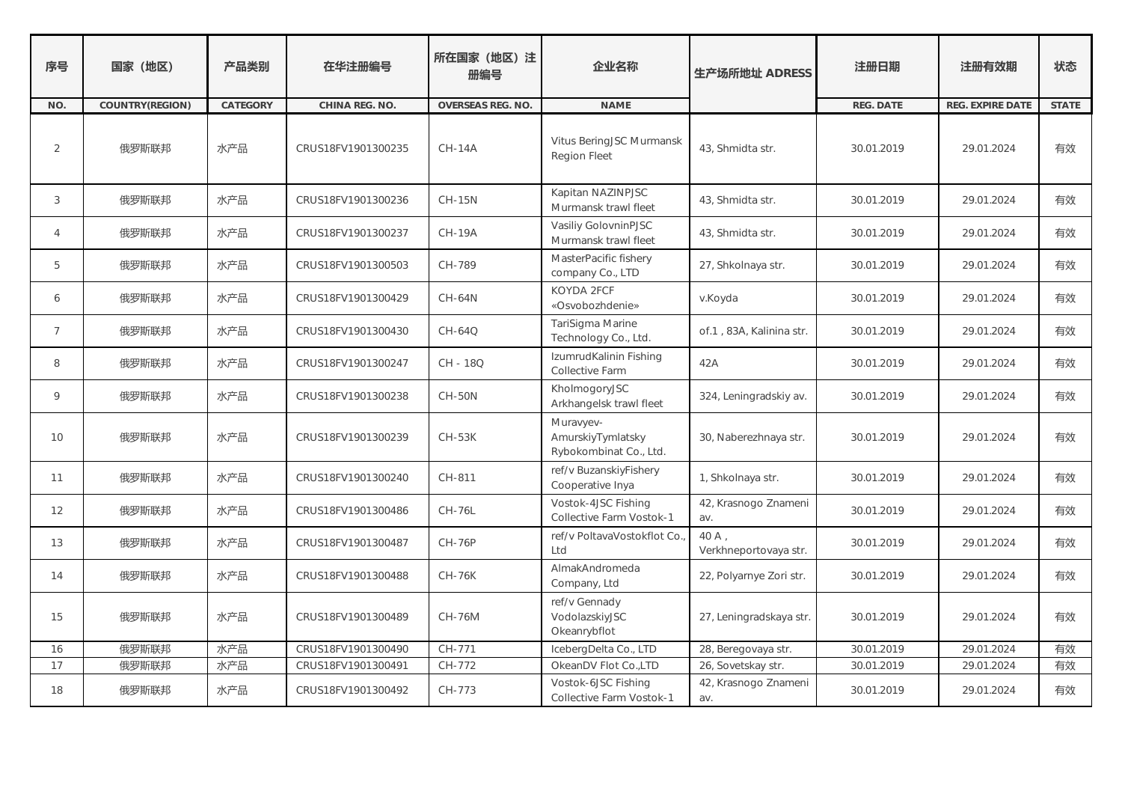| 序号             | 国家 (地区)         | 产品类别     | 在华注册编号             | 所在国家 (地区) 注<br>册编号 | 企业名称                                                     | 生产场所地址 ADRESS                  | 注册日期       | 注册有效期            | 状态           |
|----------------|-----------------|----------|--------------------|--------------------|----------------------------------------------------------|--------------------------------|------------|------------------|--------------|
| NO.            | COUNTRY(REGION) | CATEGORY | CHINA REG. NO.     | OVERSEAS REG. NO.  | <b>NAME</b>                                              |                                | REG. DATE  | REG. EXPIRE DATE | <b>STATE</b> |
| 2              | 俄罗斯联邦           | 水产品      | CRUS18FV1901300235 | <b>CH-14A</b>      | Vitus BeringJSC Murmansk<br><b>Region Fleet</b>          | 43, Shmidta str.               | 30.01.2019 | 29.01.2024       | 有效           |
| 3              | 俄罗斯联邦           | 水产品      | CRUS18FV1901300236 | <b>CH-15N</b>      | Kapitan NAZINPJSC<br>Murmansk trawl fleet                | 43, Shmidta str.               | 30.01.2019 | 29.01.2024       | 有效           |
| 4              | 俄罗斯联邦           | 水产品      | CRUS18FV1901300237 | <b>CH-19A</b>      | Vasiliy GolovninPJSC<br>Murmansk trawl fleet             | 43, Shmidta str.               | 30.01.2019 | 29.01.2024       | 有效           |
| 5              | 俄罗斯联邦           | 水产品      | CRUS18FV1901300503 | CH-789             | MasterPacific fishery<br>company Co., LTD                | 27, Shkolnaya str.             | 30.01.2019 | 29.01.2024       | 有效           |
| 6              | 俄罗斯联邦           | 水产品      | CRUS18FV1901300429 | <b>CH-64N</b>      | KOYDA 2FCF<br>«Osvobozhdenie»                            | v.Koyda                        | 30.01.2019 | 29.01.2024       | 有效           |
| $\overline{7}$ | 俄罗斯联邦           | 水产品      | CRUS18FV1901300430 | CH-64Q             | TariSigma Marine<br>Technology Co., Ltd.                 | of 1, 83A, Kalinina str.       | 30.01.2019 | 29.01.2024       | 有效           |
| 8              | 俄罗斯联邦           | 水产品      | CRUS18FV1901300247 | CH - 18Q           | IzumrudKalinin Fishing<br>Collective Farm                | 42A                            | 30.01.2019 | 29.01.2024       | 有效           |
| 9              | 俄罗斯联邦           | 水产品      | CRUS18FV1901300238 | <b>CH-50N</b>      | KholmogoryJSC<br>Arkhangelsk trawl fleet                 | 324, Leningradskiy av.         | 30.01.2019 | 29.01.2024       | 有效           |
| 10             | 俄罗斯联邦           | 水产品      | CRUS18FV1901300239 | <b>CH-53K</b>      | Muravyev-<br>AmurskiyTymlatsky<br>Rybokombinat Co., Ltd. | 30, Naberezhnaya str.          | 30.01.2019 | 29.01.2024       | 有效           |
| 11             | 俄罗斯联邦           | 水产品      | CRUS18FV1901300240 | CH-811             | ref/v BuzanskiyFishery<br>Cooperative Inya               | 1, Shkolnaya str.              | 30.01.2019 | 29.01.2024       | 有效           |
| 12             | 俄罗斯联邦           | 水产品      | CRUS18FV1901300486 | <b>CH-76L</b>      | Vostok-4JSC Fishing<br>Collective Farm Vostok-1          | 42, Krasnogo Znameni<br>av.    | 30.01.2019 | 29.01.2024       | 有效           |
| 13             | 俄罗斯联邦           | 水产品      | CRUS18FV1901300487 | <b>CH-76P</b>      | ref/v PoltavaVostokflot Co.<br>Ltd                       | 40 A.<br>Verkhneportovaya str. | 30.01.2019 | 29.01.2024       | 有效           |
| 14             | 俄罗斯联邦           | 水产品      | CRUS18FV1901300488 | <b>CH-76K</b>      | AlmakAndromeda<br>Company, Ltd                           | 22, Polyarnye Zori str.        | 30.01.2019 | 29.01.2024       | 有效           |
| 15             | 俄罗斯联邦           | 水产品      | CRUS18FV1901300489 | <b>CH-76M</b>      | ref/v Gennady<br>VodolazskiyJSC<br>Okeanrybflot          | 27, Leningradskaya str.        | 30.01.2019 | 29.01.2024       | 有效           |
| 16             | 俄罗斯联邦           | 水产品      | CRUS18FV1901300490 | CH-771             | IcebergDelta Co., LTD                                    | 28, Beregovaya str.            | 30.01.2019 | 29.01.2024       | 有效           |
| 17             | 俄罗斯联邦           | 水产品      | CRUS18FV1901300491 | CH-772             | OkeanDV Flot CoLTD                                       | 26, Sovetskay str.             | 30.01.2019 | 29.01.2024       | 有效           |
| 18             | 俄罗斯联邦           | 水产品      | CRUS18FV1901300492 | CH-773             | Vostok-6JSC Fishing<br>Collective Farm Vostok-1          | 42, Krasnogo Znameni<br>av.    | 30.01.2019 | 29.01.2024       | 有效           |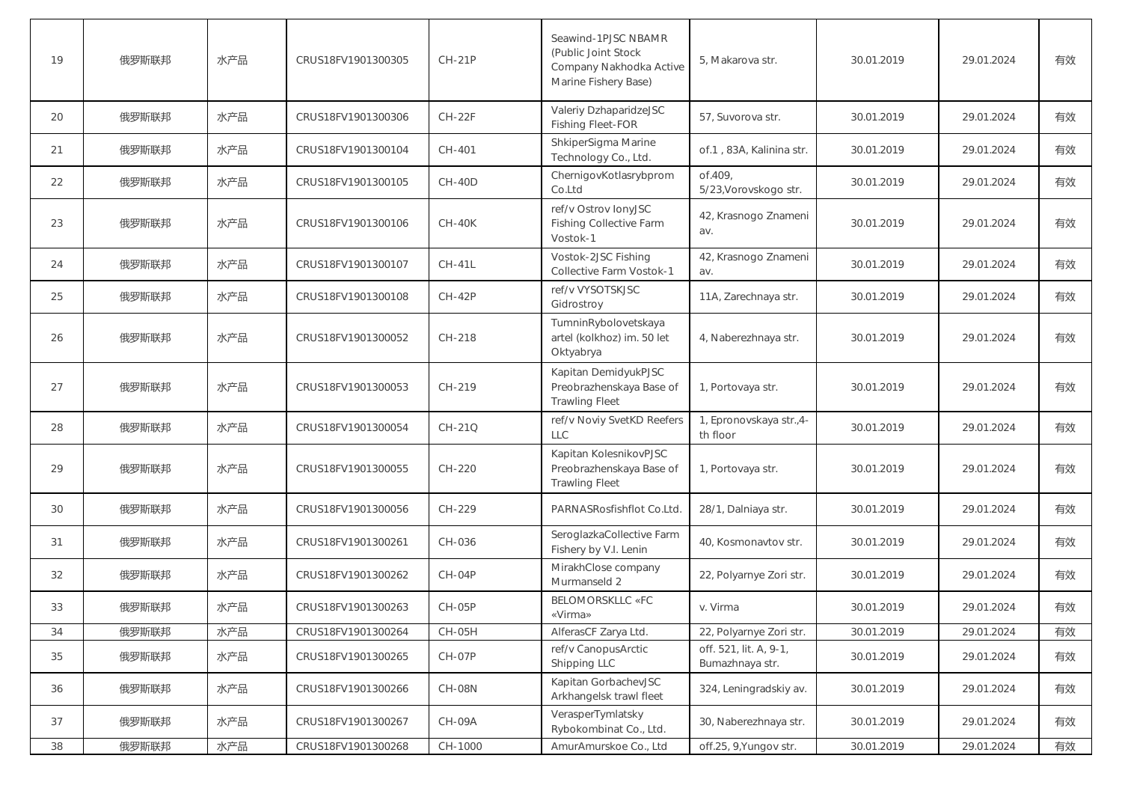| 19 | 俄罗斯联邦 | 水产品 | CRUS18FV1901300305 | <b>CH-21P</b> | Seawind-1PJSC NBAMR<br>(Public Joint Stock<br>Company Nakhodka Active<br>Marine Fishery Base) | 5, Makarova str.                          | 30.01.2019 | 29.01.2024 | 有效 |
|----|-------|-----|--------------------|---------------|-----------------------------------------------------------------------------------------------|-------------------------------------------|------------|------------|----|
| 20 | 俄罗斯联邦 | 水产品 | CRUS18FV1901300306 | $CH-22F$      | Valeriy DzhaparidzeJSC<br><b>Fishing Fleet-FOR</b>                                            | 57, Suvorova str.                         | 30.01.2019 | 29.01.2024 | 有效 |
| 21 | 俄罗斯联邦 | 水产品 | CRUS18FV1901300104 | CH-401        | ShkiperSigma Marine<br>Technology Co., Ltd.                                                   | of.1, 83A, Kalinina str.                  | 30.01.2019 | 29.01.2024 | 有效 |
| 22 | 俄罗斯联邦 | 水产品 | CRUS18FV1901300105 | <b>CH-40D</b> | ChernigovKotlasrybprom<br>Co.Ltd                                                              | of.409,<br>5/23, Vorovskogo str.          | 30.01.2019 | 29.01.2024 | 有效 |
| 23 | 俄罗斯联邦 | 水产品 | CRUS18FV1901300106 | <b>CH-40K</b> | ref/v Ostrov lonyJSC<br><b>Fishing Collective Farm</b><br>Vostok-1                            | 42, Krasnogo Znameni<br>av.               | 30.01.2019 | 29.01.2024 | 有效 |
| 24 | 俄罗斯联邦 | 水产品 | CRUS18FV1901300107 | <b>CH-41L</b> | Vostok-2JSC Fishing<br>Collective Farm Vostok-1                                               | 42, Krasnogo Znameni<br>av.               | 30.01.2019 | 29.01.2024 | 有效 |
| 25 | 俄罗斯联邦 | 水产品 | CRUS18FV1901300108 | <b>CH-42P</b> | ref/v VYSOTSKJSC<br>Gidrostroy                                                                | 11A, Zarechnaya str.                      | 30.01.2019 | 29.01.2024 | 有效 |
| 26 | 俄罗斯联邦 | 水产品 | CRUS18FV1901300052 | CH-218        | TumninRybolovetskaya<br>artel (kolkhoz) im. 50 let<br>Oktyabrya                               | 4, Naberezhnaya str.                      | 30.01.2019 | 29.01.2024 | 有效 |
| 27 | 俄罗斯联邦 | 水产品 | CRUS18FV1901300053 | CH-219        | Kapitan DemidyukPJSC<br>Preobrazhenskaya Base of<br><b>Trawling Fleet</b>                     | 1, Portovaya str.                         | 30.01.2019 | 29.01.2024 | 有效 |
| 28 | 俄罗斯联邦 | 水产品 | CRUS18FV1901300054 | CH-21Q        | ref/v Noviy SvetKD Reefers<br><b>LLC</b>                                                      | 1, Epronovskaya str.,4-<br>th floor       | 30.01.2019 | 29.01.2024 | 有效 |
| 29 | 俄罗斯联邦 | 水产品 | CRUS18FV1901300055 | CH-220        | Kapitan KolesnikovPJSC<br>Preobrazhenskaya Base of<br><b>Trawling Fleet</b>                   | 1, Portovaya str.                         | 30.01.2019 | 29.01.2024 | 有效 |
| 30 | 俄罗斯联邦 | 水产品 | CRUS18FV1901300056 | CH-229        | PARNASRosfishflot Co.Ltd.                                                                     | 28/1, Dalniaya str.                       | 30.01.2019 | 29.01.2024 | 有效 |
| 31 | 俄罗斯联邦 | 水产品 | CRUS18FV1901300261 | CH-036        | SeroglazkaCollective Farm<br>Fishery by V.I. Lenin                                            | 40, Kosmonavtov str.                      | 30.01.2019 | 29.01.2024 | 有效 |
| 32 | 俄罗斯联邦 | 水产品 | CRUS18FV1901300262 | CH-04P        | MirakhClose company<br>Murmanseld 2                                                           | 22, Polyarnye Zori str.                   | 30.01.2019 | 29.01.2024 | 有效 |
| 33 | 俄罗斯联邦 | 水产品 | CRUS18FV1901300263 | <b>CH-05P</b> | <b>BELOMORSKLLC «FC</b><br>«Virma»                                                            | v. Virma                                  | 30.01.2019 | 29.01.2024 | 有效 |
| 34 | 俄罗斯联邦 | 水产品 | CRUS18FV1901300264 | CH-05H        | AlferasCF Zarya Ltd.                                                                          | 22, Polyarnye Zori str.                   | 30.01.2019 | 29.01.2024 | 有效 |
| 35 | 俄罗斯联邦 | 水产品 | CRUS18FV1901300265 | CH-07P        | ref/v CanopusArctic<br>Shipping LLC                                                           | off. 521, lit. A, 9-1,<br>Bumazhnaya str. | 30.01.2019 | 29.01.2024 | 有效 |
| 36 | 俄罗斯联邦 | 水产品 | CRUS18FV1901300266 | <b>CH-08N</b> | Kapitan GorbachevJSC<br>Arkhangelsk trawl fleet                                               | 324, Leningradskiy av.                    | 30.01.2019 | 29.01.2024 | 有效 |
| 37 | 俄罗斯联邦 | 水产品 | CRUS18FV1901300267 | CH-09A        | VerasperTymlatsky<br>Rybokombinat Co., Ltd.                                                   | 30, Naberezhnaya str.                     | 30.01.2019 | 29.01.2024 | 有效 |
| 38 | 俄罗斯联邦 | 水产品 | CRUS18FV1901300268 | CH-1000       | AmurAmurskoe Co., Ltd                                                                         | off.25, 9, Yungov str.                    | 30.01.2019 | 29.01.2024 | 有效 |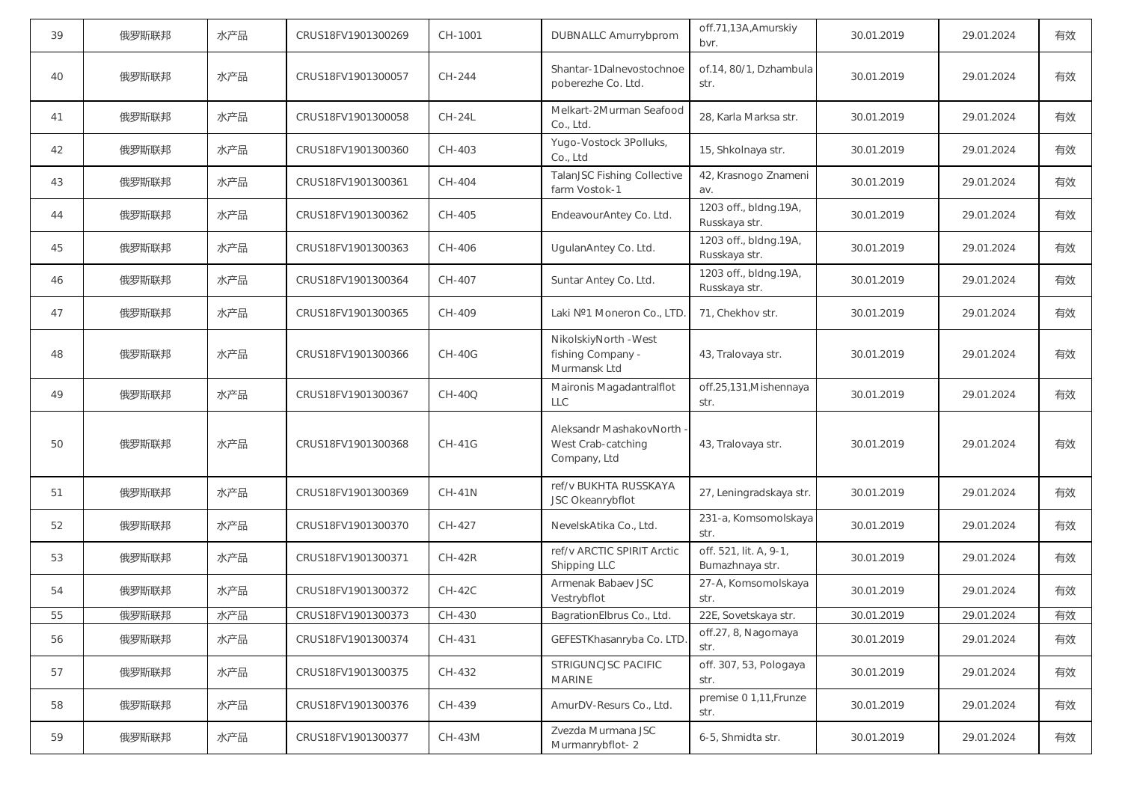| 39 | 俄罗斯联邦 | 水产品 | CRUS18FV1901300269 | CH-1001       | <b>DUBNALLC Amurrybprom</b>                                   | off.71,13A, Amurskiy<br>bvr.              | 30.01.2019 | 29.01.2024 | 有效 |
|----|-------|-----|--------------------|---------------|---------------------------------------------------------------|-------------------------------------------|------------|------------|----|
| 40 | 俄罗斯联邦 | 水产品 | CRUS18FV1901300057 | CH-244        | Shantar-1Dalnevostochnoe<br>poberezhe Co. Ltd.                | of.14, 80/1, Dzhambula<br>str.            | 30.01.2019 | 29.01.2024 | 有效 |
| 41 | 俄罗斯联邦 | 水产品 | CRUS18FV1901300058 | $CH-24L$      | Melkart-2Murman Seafood<br>Co., Ltd.                          | 28, Karla Marksa str.                     | 30.01.2019 | 29.01.2024 | 有效 |
| 42 | 俄罗斯联邦 | 水产品 | CRUS18FV1901300360 | CH-403        | Yugo-Vostock 3Polluks,<br>Co., Ltd                            | 15, Shkolnaya str.                        | 30.01.2019 | 29.01.2024 | 有效 |
| 43 | 俄罗斯联邦 | 水产品 | CRUS18FV1901300361 | CH-404        | TalanJSC Fishing Collective<br>farm Vostok-1                  | 42, Krasnogo Znameni<br>av.               | 30.01.2019 | 29.01.2024 | 有效 |
| 44 | 俄罗斯联邦 | 水产品 | CRUS18FV1901300362 | CH-405        | EndeavourAntey Co. Ltd.                                       | 1203 off., bldng.19A,<br>Russkaya str.    | 30.01.2019 | 29.01.2024 | 有效 |
| 45 | 俄罗斯联邦 | 水产品 | CRUS18FV1901300363 | CH-406        | UgulanAntey Co. Ltd.                                          | 1203 off., bldng.19A,<br>Russkaya str.    | 30.01.2019 | 29.01.2024 | 有效 |
| 46 | 俄罗斯联邦 | 水产品 | CRUS18FV1901300364 | CH-407        | Suntar Antey Co. Ltd.                                         | 1203 off., bldng.19A,<br>Russkaya str.    | 30.01.2019 | 29.01.2024 | 有效 |
| 47 | 俄罗斯联邦 | 水产品 | CRUS18FV1901300365 | CH-409        | Laki Nº1 Moneron Co., LTD                                     | 71, Chekhov str.                          | 30.01.2019 | 29.01.2024 | 有效 |
| 48 | 俄罗斯联邦 | 水产品 | CRUS18FV1901300366 | <b>CH-40G</b> | NikolskiyNorth - West<br>fishing Company -<br>Murmansk Ltd    | 43, Tralovaya str.                        | 30.01.2019 | 29.01.2024 | 有效 |
| 49 | 俄罗斯联邦 | 水产品 | CRUS18FV1901300367 | <b>CH-40Q</b> | Maironis Magadantralflot<br><b>LLC</b>                        | off.25,131, Mishennaya<br>str.            | 30.01.2019 | 29.01.2024 | 有效 |
| 50 | 俄罗斯联邦 | 水产品 | CRUS18FV1901300368 | $CH-41G$      | Aleksandr MashakovNorth<br>West Crab-catching<br>Company, Ltd | 43, Tralovaya str.                        | 30.01.2019 | 29.01.2024 | 有效 |
| 51 | 俄罗斯联邦 | 水产品 | CRUS18FV1901300369 | <b>CH-41N</b> | ref/v BUKHTA RUSSKAYA<br>JSC Okeanrybflot                     | 27, Leningradskaya str.                   | 30.01.2019 | 29.01.2024 | 有效 |
| 52 | 俄罗斯联邦 | 水产品 | CRUS18FV1901300370 | CH-427        | NevelskAtika Co., Ltd.                                        | 231-a, Komsomolskaya<br>str.              | 30.01.2019 | 29.01.2024 | 有效 |
| 53 | 俄罗斯联邦 | 水产品 | CRUS18FV1901300371 | $CH-42R$      | ref/v ARCTIC SPIRIT Arctic<br>Shipping LLC                    | off. 521, lit. A, 9-1,<br>Bumazhnaya str. | 30.01.2019 | 29.01.2024 | 有效 |
| 54 | 俄罗斯联邦 | 水产品 | CRUS18FV1901300372 | $CH-42C$      | Armenak Babaev JSC<br>Vestrybflot                             | 27-A, Komsomolskaya<br>str.               | 30.01.2019 | 29.01.2024 | 有效 |
| 55 | 俄罗斯联邦 | 水产品 | CRUS18FV1901300373 | CH-430        | BagrationElbrus Co., Ltd.                                     | 22E, Sovetskaya str.                      | 30.01.2019 | 29.01.2024 | 有效 |
| 56 | 俄罗斯联邦 | 水产品 | CRUS18FV1901300374 | CH-431        | GEFESTKhasanryba Co. LTD                                      | off.27, 8, Nagornaya<br>str.              | 30.01.2019 | 29.01.2024 | 有效 |
| 57 | 俄罗斯联邦 | 水产品 | CRUS18FV1901300375 | CH-432        | STRIGUNCJSC PACIFIC<br><b>MARINE</b>                          | off. 307, 53, Pologaya<br>str.            | 30.01.2019 | 29.01.2024 | 有效 |
| 58 | 俄罗斯联邦 | 水产品 | CRUS18FV1901300376 | CH-439        | AmurDV-Resurs Co., Ltd.                                       | premise 0 1,11, Frunze<br>str.            | 30.01.2019 | 29.01.2024 | 有效 |
| 59 | 俄罗斯联邦 | 水产品 | CRUS18FV1901300377 | $CH-43M$      | Zvezda Murmana JSC<br>Murmanrybflot-2                         | 6-5, Shmidta str.                         | 30.01.2019 | 29.01.2024 | 有效 |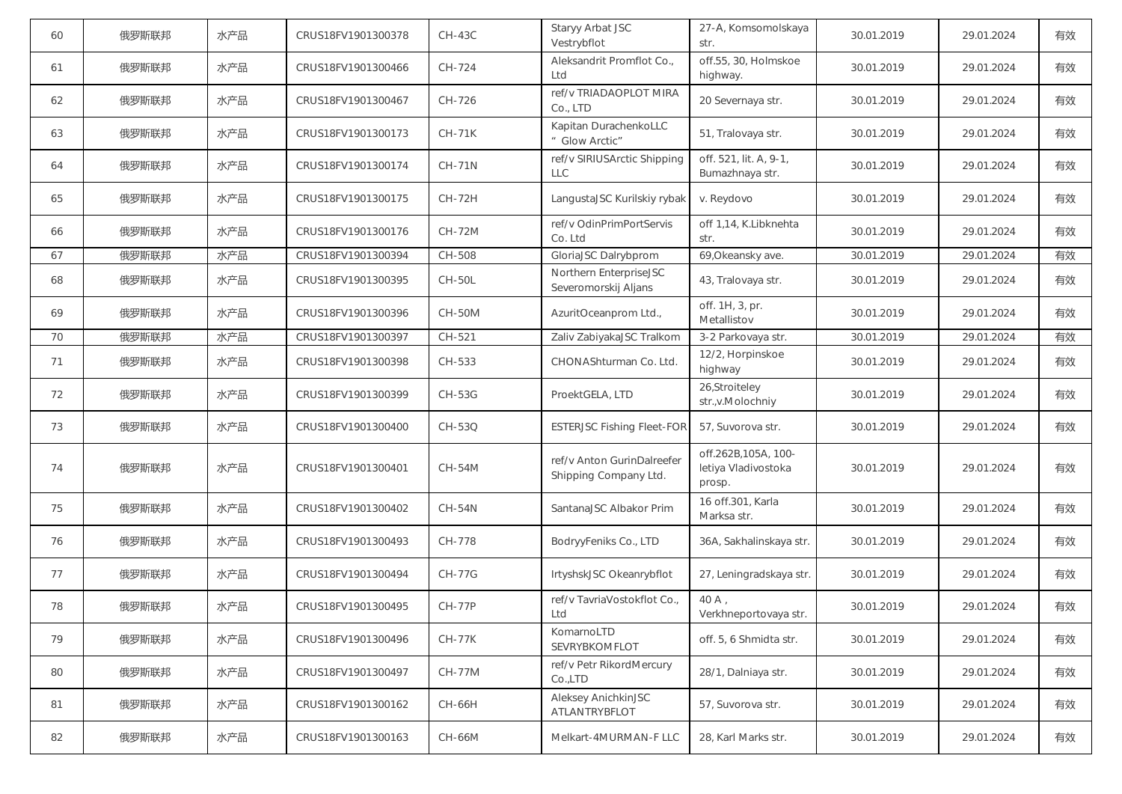| 60 | 俄罗斯联邦 | 水产品 | CRUS18FV1901300378 | $CH-43C$      | Staryy Arbat JSC<br>Vestrybflot                     | 27-A, Komsomolskaya<br>str.                          | 30.01.2019 | 29.01.2024 | 有效 |
|----|-------|-----|--------------------|---------------|-----------------------------------------------------|------------------------------------------------------|------------|------------|----|
| 61 | 俄罗斯联邦 | 水产品 | CRUS18FV1901300466 | CH-724        | Aleksandrit Promflot Co.,<br>Ltd                    | off.55, 30, Holmskoe<br>highway.                     | 30.01.2019 | 29.01.2024 | 有效 |
| 62 | 俄罗斯联邦 | 水产品 | CRUS18FV1901300467 | CH-726        | ref/v TRIADAOPLOT MIRA<br>Co., LTD                  | 20 Severnaya str.                                    | 30.01.2019 | 29.01.2024 | 有效 |
| 63 | 俄罗斯联邦 | 水产品 | CRUS18FV1901300173 | <b>CH-71K</b> | Kapitan DurachenkoLLC<br>" Glow Arctic"             | 51, Tralovaya str.                                   | 30.01.2019 | 29.01.2024 | 有效 |
| 64 | 俄罗斯联邦 | 水产品 | CRUS18FV1901300174 | <b>CH-71N</b> | ref/v SIRIUSArctic Shipping<br><b>LLC</b>           | off. 521, lit. A, 9-1,<br>Bumazhnaya str.            | 30.01.2019 | 29.01.2024 | 有效 |
| 65 | 俄罗斯联邦 | 水产品 | CRUS18FV1901300175 | CH-72H        | LangustaJSC Kurilskiy rybak                         | v. Reydovo                                           | 30.01.2019 | 29.01.2024 | 有效 |
| 66 | 俄罗斯联邦 | 水产品 | CRUS18FV1901300176 | <b>CH-72M</b> | ref/v OdinPrimPortServis<br>Co. Ltd                 | off 1,14, K.Libknehta<br>str.                        | 30.01.2019 | 29.01.2024 | 有效 |
| 67 | 俄罗斯联邦 | 水产品 | CRUS18FV1901300394 | CH-508        | GloriaJSC Dalrybprom                                | 69, Okeansky ave.                                    | 30.01.2019 | 29.01.2024 | 有效 |
| 68 | 俄罗斯联邦 | 水产品 | CRUS18FV1901300395 | <b>CH-50L</b> | Northern EnterpriseJSC<br>Severomorskij Aljans      | 43, Tralovaya str.                                   | 30.01.2019 | 29.01.2024 | 有效 |
| 69 | 俄罗斯联邦 | 水产品 | CRUS18FV1901300396 | <b>CH-50M</b> | AzuritOceanprom Ltd.,                               | off. 1H, 3, pr.<br>Metallistov                       | 30.01.2019 | 29.01.2024 | 有效 |
| 70 | 俄罗斯联邦 | 水产品 | CRUS18FV1901300397 | CH-521        | Zaliv ZabiyakaJSC Tralkom                           | 3-2 Parkovaya str.                                   | 30.01.2019 | 29.01.2024 | 有效 |
| 71 | 俄罗斯联邦 | 水产品 | CRUS18FV1901300398 | CH-533        | CHONAShturman Co. Ltd.                              | 12/2, Horpinskoe<br>highway                          | 30.01.2019 | 29.01.2024 | 有效 |
| 72 | 俄罗斯联邦 | 水产品 | CRUS18FV1901300399 | CH-53G        | ProektGELA, LTD                                     | 26,Stroiteley<br>str.,v.Molochniy                    | 30.01.2019 | 29.01.2024 | 有效 |
| 73 | 俄罗斯联邦 | 水产品 | CRUS18FV1901300400 | CH-53Q        | <b>ESTERJSC Fishing Fleet-FOR</b>                   | 57, Suvorova str.                                    | 30.01.2019 | 29.01.2024 | 有效 |
| 74 | 俄罗斯联邦 | 水产品 | CRUS18FV1901300401 | <b>CH-54M</b> | ref/v Anton GurinDalreefer<br>Shipping Company Ltd. | off.262B,105A, 100-<br>letiya Vladivostoka<br>prosp. | 30.01.2019 | 29.01.2024 | 有效 |
| 75 | 俄罗斯联邦 | 水产品 | CRUS18FV1901300402 | $CH-54N$      | SantanaJSC Albakor Prim                             | 16 off.301, Karla<br>Marksa str.                     | 30.01.2019 | 29.01.2024 | 有效 |
| 76 | 俄罗斯联邦 | 水产品 | CRUS18FV1901300493 | CH-778        | BodryyFeniks Co., LTD                               | 36A, Sakhalinskaya str.                              | 30.01.2019 | 29.01.2024 | 有效 |
| 77 | 俄罗斯联邦 | 水产品 | CRUS18FV1901300494 | <b>CH-77G</b> | IrtyshskJSC Okeanrybflot                            | 27, Leningradskaya str.                              | 30.01.2019 | 29.01.2024 | 有效 |
| 78 | 俄罗斯联邦 | 水产品 | CRUS18FV1901300495 | <b>CH-77P</b> | ref/v TavriaVostokflot Co.,<br>Ltd                  | 40 A<br>Verkhneportovaya str.                        | 30.01.2019 | 29.01.2024 | 有效 |
| 79 | 俄罗斯联邦 | 水产品 | CRUS18FV1901300496 | <b>CH-77K</b> | KomarnoLTD<br>SEVRYBKOMFLOT                         | off. 5, 6 Shmidta str.                               | 30.01.2019 | 29.01.2024 | 有效 |
| 80 | 俄罗斯联邦 | 水产品 | CRUS18FV1901300497 | <b>CH-77M</b> | ref/v Petr RikordMercury<br>Co.,LTD                 | 28/1, Dalniaya str.                                  | 30.01.2019 | 29.01.2024 | 有效 |
| 81 | 俄罗斯联邦 | 水产品 | CRUS18FV1901300162 | <b>CH-66H</b> | Aleksey AnichkinJSC<br>ATLANTRYBFLOT                | 57, Suvorova str.                                    | 30.01.2019 | 29.01.2024 | 有效 |
| 82 | 俄罗斯联邦 | 水产品 | CRUS18FV1901300163 | CH-66M        | Melkart-4MURMAN-F LLC                               | 28, Karl Marks str.                                  | 30.01.2019 | 29.01.2024 | 有效 |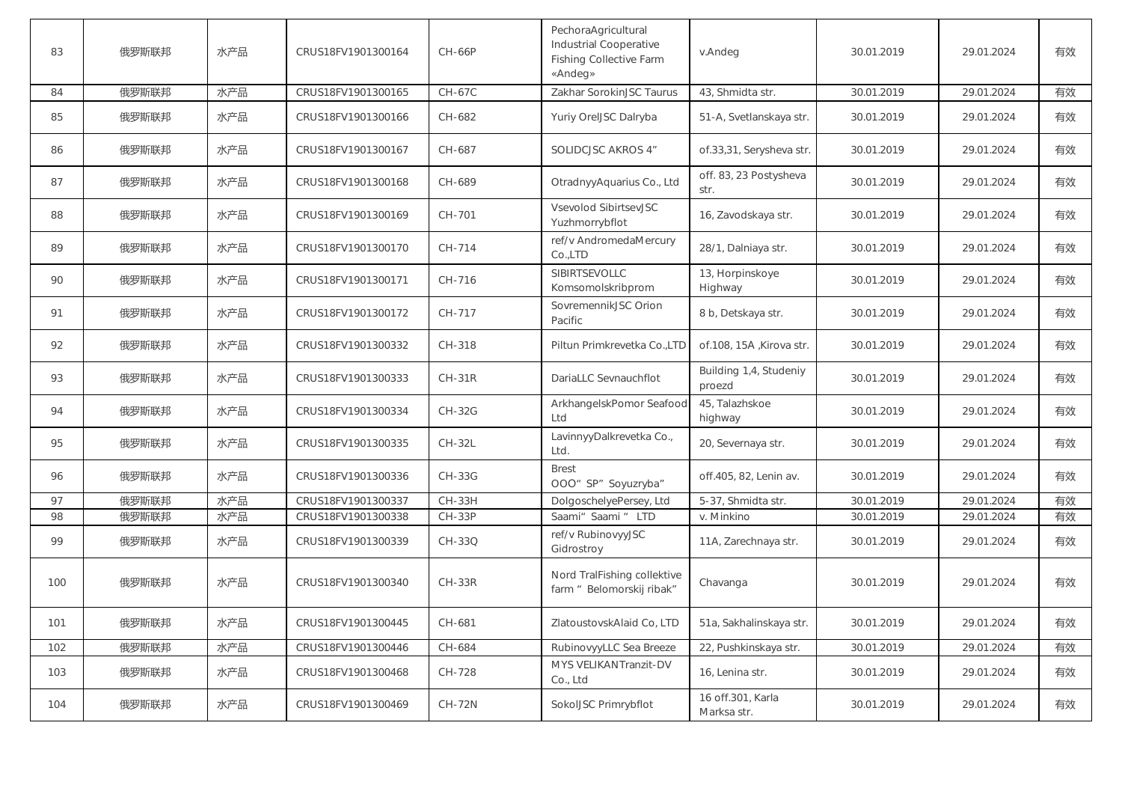| 83  | 俄罗斯联邦 | 水产品 | CRUS18FV1901300164 | <b>CH-66P</b> | PechoraAgricultural<br>Industrial Cooperative<br><b>Fishing Collective Farm</b><br>«Andeg» | v.Andeg                          | 30.01.2019 | 29.01.2024 | 有效 |
|-----|-------|-----|--------------------|---------------|--------------------------------------------------------------------------------------------|----------------------------------|------------|------------|----|
| 84  | 俄罗斯联邦 | 水产品 | CRUS18FV1901300165 | CH-67C        | Zakhar SorokinJSC Taurus                                                                   | 43, Shmidta str.                 | 30.01.2019 | 29.01.2024 | 有效 |
| 85  | 俄罗斯联邦 | 水产品 | CRUS18FV1901300166 | CH-682        | Yuriy OrelJSC Dalryba                                                                      | 51-A, Svetlanskaya str.          | 30.01.2019 | 29.01.2024 | 有效 |
| 86  | 俄罗斯联邦 | 水产品 | CRUS18FV1901300167 | CH-687        | SOLIDCJSC AKROS 4"                                                                         | of.33,31, Serysheva str.         | 30.01.2019 | 29.01.2024 | 有效 |
| 87  | 俄罗斯联邦 | 水产品 | CRUS18FV1901300168 | CH-689        | OtradnyyAquarius Co., Ltd                                                                  | off. 83, 23 Postysheva<br>str.   | 30.01.2019 | 29.01.2024 | 有效 |
| 88  | 俄罗斯联邦 | 水产品 | CRUS18FV1901300169 | CH-701        | <b>Vsevolod SibirtsevJSC</b><br>Yuzhmorrybflot                                             | 16, Zavodskaya str.              | 30.01.2019 | 29.01.2024 | 有效 |
| 89  | 俄罗斯联邦 | 水产品 | CRUS18FV1901300170 | CH-714        | ref/v AndromedaMercury<br>Co.,LTD                                                          | 28/1, Dalniaya str.              | 30.01.2019 | 29.01.2024 | 有效 |
| 90  | 俄罗斯联邦 | 水产品 | CRUS18FV1901300171 | CH-716        | SIBIRTSEVOLLC<br>Komsomolskribprom                                                         | 13, Horpinskoye<br>Highway       | 30.01.2019 | 29.01.2024 | 有效 |
| 91  | 俄罗斯联邦 | 水产品 | CRUS18FV1901300172 | CH-717        | SovremennikJSC Orion<br>Pacific                                                            | 8 b, Detskaya str.               | 30.01.2019 | 29.01.2024 | 有效 |
| 92  | 俄罗斯联邦 | 水产品 | CRUS18FV1901300332 | CH-318        | Piltun Primkrevetka Co., LTD                                                               | of 108, 15A , Kirova str.        | 30.01.2019 | 29.01.2024 | 有效 |
| 93  | 俄罗斯联邦 | 水产品 | CRUS18FV1901300333 | $CH-31R$      | DariaLLC Sevnauchflot                                                                      | Building 1,4, Studeniy<br>proezd | 30.01.2019 | 29.01.2024 | 有效 |
| 94  | 俄罗斯联邦 | 水产品 | CRUS18FV1901300334 | $CH-32G$      | ArkhangelskPomor Seafood<br>Ltd                                                            | 45, Talazhskoe<br>highway        | 30.01.2019 | 29.01.2024 | 有效 |
| 95  | 俄罗斯联邦 | 水产品 | CRUS18FV1901300335 | <b>CH-32L</b> | LavinnyyDalkrevetka Co.,<br>Ltd.                                                           | 20, Severnaya str.               | 30.01.2019 | 29.01.2024 | 有效 |
| 96  | 俄罗斯联邦 | 水产品 | CRUS18FV1901300336 | <b>CH-33G</b> | <b>Brest</b><br>OOO" SP" Soyuzryba"                                                        | off.405, 82, Lenin av.           | 30.01.2019 | 29.01.2024 | 有效 |
| 97  | 俄罗斯联邦 | 水产品 | CRUS18FV1901300337 | CH-33H        | DolgoschelyePersey, Ltd                                                                    | 5-37, Shmidta str.               | 30.01.2019 | 29.01.2024 | 有效 |
| 98  | 俄罗斯联邦 | 水产品 | CRUS18FV1901300338 | <b>CH-33P</b> | Saami" Saami " LTD                                                                         | v. Minkino                       | 30.01.2019 | 29.01.2024 | 有效 |
| 99  | 俄罗斯联邦 | 水产品 | CRUS18FV1901300339 | CH-33Q        | ref/v RubinovyyJSC<br>Gidrostroy                                                           | 11A, Zarechnaya str.             | 30.01.2019 | 29.01.2024 | 有效 |
| 100 | 俄罗斯联邦 | 水产品 | CRUS18FV1901300340 | $CH-33R$      | Nord TralFishing collektive<br>farm " Belomorskij ribak"                                   | Chavanga                         | 30.01.2019 | 29.01.2024 | 有效 |
| 101 | 俄罗斯联邦 | 水产品 | CRUS18FV1901300445 | CH-681        | ZlatoustovskAlaid Co, LTD                                                                  | 51a, Sakhalinskaya str.          | 30.01.2019 | 29.01.2024 | 有效 |
| 102 | 俄罗斯联邦 | 水产品 | CRUS18FV1901300446 | CH-684        | RubinovyyLLC Sea Breeze                                                                    | 22, Pushkinskaya str.            | 30.01.2019 | 29.01.2024 | 有效 |
| 103 | 俄罗斯联邦 | 水产品 | CRUS18FV1901300468 | CH-728        | MYS VELIKANTranzit-DV<br>Co., Ltd                                                          | 16, Lenina str.                  | 30.01.2019 | 29.01.2024 | 有效 |
| 104 | 俄罗斯联邦 | 水产品 | CRUS18FV1901300469 | <b>CH-72N</b> | SokolJSC Primrybflot                                                                       | 16 off.301, Karla<br>Marksa str. | 30.01.2019 | 29.01.2024 | 有效 |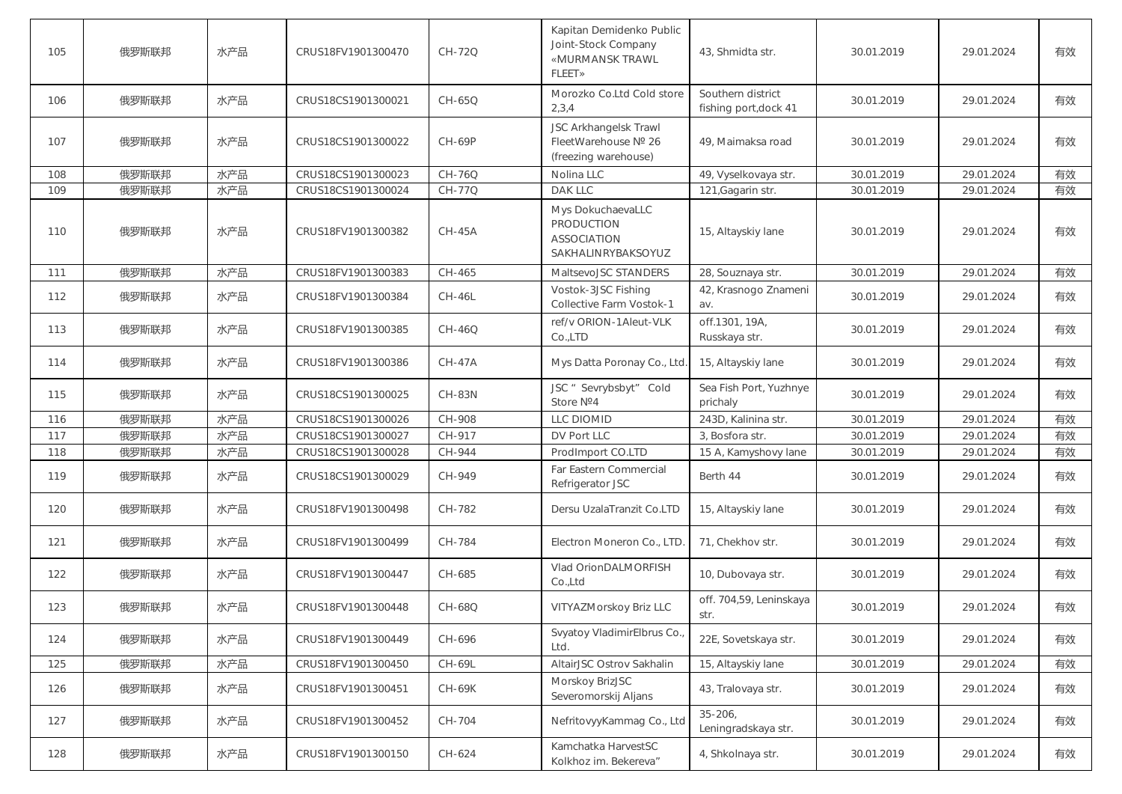| 105 | 俄罗斯联邦 | 水产品 | CRUS18FV1901300470 | CH-72Q        | Kapitan Demidenko Public<br>Joint-Stock Company<br>«MURMANSK TRAWL<br><b>FLEET»</b> | 43, Shmidta str.                           | 30.01.2019 | 29.01.2024 | 有效 |
|-----|-------|-----|--------------------|---------------|-------------------------------------------------------------------------------------|--------------------------------------------|------------|------------|----|
| 106 | 俄罗斯联邦 | 水产品 | CRUS18CS1901300021 | CH-65Q        | Morozko Co.Ltd Cold store<br>2,3,4                                                  | Southern district<br>fishing port, dock 41 | 30.01.2019 | 29.01.2024 | 有效 |
| 107 | 俄罗斯联邦 | 水产品 | CRUS18CS1901300022 | <b>CH-69P</b> | JSC Arkhangelsk Trawl<br>FleetWarehouse Nº 26<br>(freezing warehouse)               | 49, Maimaksa road                          | 30.01.2019 | 29.01.2024 | 有效 |
| 108 | 俄罗斯联邦 | 水产品 | CRUS18CS1901300023 | CH-76Q        | Nolina LLC                                                                          | 49, Vyselkovaya str.                       | 30.01.2019 | 29.01.2024 | 有效 |
| 109 | 俄罗斯联邦 | 水产品 | CRUS18CS1901300024 | CH-77Q        | DAK LLC                                                                             | 121, Gagarin str.                          | 30.01.2019 | 29.01.2024 | 有效 |
| 110 | 俄罗斯联邦 | 水产品 | CRUS18FV1901300382 | $CH-45A$      | Mys DokuchaevaLLC<br><b>PRODUCTION</b><br><b>ASSOCIATION</b><br>SAKHALINRYBAKSOYUZ  | 15, Altayskiy lane                         | 30.01.2019 | 29.01.2024 | 有效 |
| 111 | 俄罗斯联邦 | 水产品 | CRUS18FV1901300383 | CH-465        | MaltsevoJSC STANDERS                                                                | 28, Souznaya str.                          | 30.01.2019 | 29.01.2024 | 有效 |
| 112 | 俄罗斯联邦 | 水产品 | CRUS18FV1901300384 | <b>CH-46L</b> | Vostok-3JSC Fishing<br>Collective Farm Vostok-1                                     | 42, Krasnogo Znameni<br>av.                | 30.01.2019 | 29.01.2024 | 有效 |
| 113 | 俄罗斯联邦 | 水产品 | CRUS18FV1901300385 | CH-46Q        | ref/v ORION-1Aleut-VLK<br>Co.,LTD                                                   | off.1301, 19A,<br>Russkaya str.            | 30.01.2019 | 29.01.2024 | 有效 |
| 114 | 俄罗斯联邦 | 水产品 | CRUS18FV1901300386 | <b>CH-47A</b> | Mys Datta Poronay Co., Ltd.                                                         | 15, Altayskiy lane                         | 30.01.2019 | 29.01.2024 | 有效 |
| 115 | 俄罗斯联邦 | 水产品 | CRUS18CS1901300025 | <b>CH-83N</b> | JSC " Sevrybsbyt" Cold<br>Store Nº4                                                 | Sea Fish Port, Yuzhnye<br>prichaly         | 30.01.2019 | 29.01.2024 | 有效 |
| 116 | 俄罗斯联邦 | 水产品 | CRUS18CS1901300026 | CH-908        | <b>LLC DIOMID</b>                                                                   | 243D, Kalinina str.                        | 30.01.2019 | 29.01.2024 | 有效 |
| 117 | 俄罗斯联邦 | 水产品 | CRUS18CS1901300027 | CH-917        | DV Port LLC                                                                         | 3, Bosfora str.                            | 30.01.2019 | 29.01.2024 | 有效 |
| 118 | 俄罗斯联邦 | 水产品 | CRUS18CS1901300028 | CH-944        | ProdImport CO.LTD                                                                   | 15 A, Kamyshovy lane                       | 30.01.2019 | 29.01.2024 | 有效 |
| 119 | 俄罗斯联邦 | 水产品 | CRUS18CS1901300029 | CH-949        | Far Eastern Commercial<br>Refrigerator JSC                                          | Berth 44                                   | 30.01.2019 | 29.01.2024 | 有效 |
| 120 | 俄罗斯联邦 | 水产品 | CRUS18FV1901300498 | CH-782        | Dersu UzalaTranzit Co.LTD                                                           | 15, Altayskiy lane                         | 30.01.2019 | 29.01.2024 | 有效 |
| 121 | 俄罗斯联邦 | 水产品 | CRUS18FV1901300499 | CH-784        | Electron Moneron Co., LTD                                                           | 71, Chekhov str.                           | 30.01.2019 | 29.01.2024 | 有效 |
| 122 | 俄罗斯联邦 | 水产品 | CRUS18FV1901300447 | CH-685        | Vlad OrionDALMORFISH<br>Co.,Ltd                                                     | 10, Dubovaya str.                          | 30.01.2019 | 29.01.2024 | 有效 |
| 123 | 俄罗斯联邦 | 水产品 | CRUS18FV1901300448 | CH-68Q        | VITYAZMorskoy Briz LLC                                                              | off. 704,59, Leninskaya<br>str.            | 30.01.2019 | 29.01.2024 | 有效 |
| 124 | 俄罗斯联邦 | 水产品 | CRUS18FV1901300449 | CH-696        | Svyatoy VladimirElbrus Co.<br>Ltd.                                                  | 22E, Sovetskaya str.                       | 30.01.2019 | 29.01.2024 | 有效 |
| 125 | 俄罗斯联邦 | 水产品 | CRUS18FV1901300450 | CH-69L        | AltairJSC Ostrov Sakhalin                                                           | 15, Altayskiy lane                         | 30.01.2019 | 29.01.2024 | 有效 |
| 126 | 俄罗斯联邦 | 水产品 | CRUS18FV1901300451 | <b>CH-69K</b> | Morskoy BrizJSC<br>Severomorskij Aljans                                             | 43, Tralovaya str.                         | 30.01.2019 | 29.01.2024 | 有效 |
| 127 | 俄罗斯联邦 | 水产品 | CRUS18FV1901300452 | CH-704        | NefritovyyKammag Co., Ltd                                                           | $35 - 206$<br>Leningradskaya str.          | 30.01.2019 | 29.01.2024 | 有效 |
| 128 | 俄罗斯联邦 | 水产品 | CRUS18FV1901300150 | CH-624        | Kamchatka HarvestSC<br>Kolkhoz im. Bekereva"                                        | 4, Shkolnaya str.                          | 30.01.2019 | 29.01.2024 | 有效 |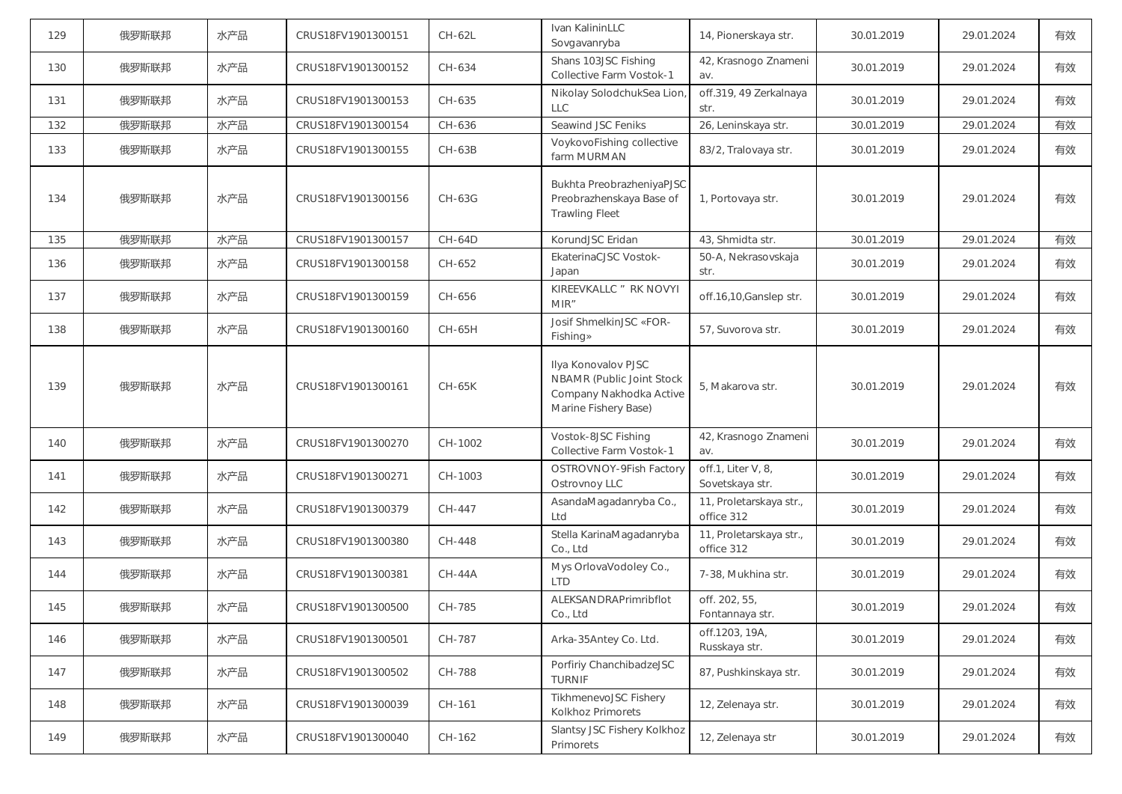| 129 | 俄罗斯联邦 | 水产品 | CRUS18FV1901300151 | CH-62L        | Ivan KalininLLC<br>Sovgavanryba                                                                     | 14, Pionerskaya str.                  | 30.01.2019 | 29.01.2024 | 有效 |
|-----|-------|-----|--------------------|---------------|-----------------------------------------------------------------------------------------------------|---------------------------------------|------------|------------|----|
| 130 | 俄罗斯联邦 | 水产品 | CRUS18FV1901300152 | CH-634        | Shans 103JSC Fishing<br>Collective Farm Vostok-1                                                    | 42, Krasnogo Znameni<br>av.           | 30.01.2019 | 29.01.2024 | 有效 |
| 131 | 俄罗斯联邦 | 水产品 | CRUS18FV1901300153 | CH-635        | Nikolay SolodchukSea Lion<br>LLC                                                                    | off.319, 49 Zerkalnaya<br>str.        | 30.01.2019 | 29.01.2024 | 有效 |
| 132 | 俄罗斯联邦 | 水产品 | CRUS18FV1901300154 | CH-636        | Seawind JSC Feniks                                                                                  | 26, Leninskaya str.                   | 30.01.2019 | 29.01.2024 | 有效 |
| 133 | 俄罗斯联邦 | 水产品 | CRUS18FV1901300155 | <b>CH-63B</b> | VoykovoFishing collective<br>farm MURMAN                                                            | 83/2, Tralovaya str.                  | 30.01.2019 | 29.01.2024 | 有效 |
| 134 | 俄罗斯联邦 | 水产品 | CRUS18FV1901300156 | CH-63G        | Bukhta PreobrazheniyaPJSC<br>Preobrazhenskaya Base of<br><b>Trawling Fleet</b>                      | 1, Portovaya str.                     | 30.01.2019 | 29.01.2024 | 有效 |
| 135 | 俄罗斯联邦 | 水产品 | CRUS18FV1901300157 | <b>CH-64D</b> | KorundJSC Eridan                                                                                    | 43, Shmidta str.                      | 30.01.2019 | 29.01.2024 | 有效 |
| 136 | 俄罗斯联邦 | 水产品 | CRUS18FV1901300158 | CH-652        | EkaterinaCJSC Vostok-<br>Japan                                                                      | 50-A, Nekrasovskaja<br>str.           | 30.01.2019 | 29.01.2024 | 有效 |
| 137 | 俄罗斯联邦 | 水产品 | CRUS18FV1901300159 | CH-656        | KIREEVKALLC " RK NOVYI<br>MIR"                                                                      | off.16,10, Ganslep str.               | 30.01.2019 | 29.01.2024 | 有效 |
| 138 | 俄罗斯联邦 | 水产品 | CRUS18FV1901300160 | CH-65H        | Josif ShmelkinJSC «FOR-<br>Fishing»                                                                 | 57, Suvorova str.                     | 30.01.2019 | 29.01.2024 | 有效 |
| 139 | 俄罗斯联邦 | 水产品 | CRUS18FV1901300161 | CH-65K        | Ilya Konovalov PJSC<br>NBAMR (Public Joint Stock<br>Company Nakhodka Active<br>Marine Fishery Base) | 5, Makarova str.                      | 30.01.2019 | 29.01.2024 | 有效 |
| 140 | 俄罗斯联邦 | 水产品 | CRUS18FV1901300270 | CH-1002       | Vostok-8JSC Fishing<br>Collective Farm Vostok-1                                                     | 42, Krasnogo Znameni<br>av.           | 30.01.2019 | 29.01.2024 | 有效 |
| 141 | 俄罗斯联邦 | 水产品 | CRUS18FV1901300271 | CH-1003       | OSTROVNOY-9Fish Factory<br>Ostrovnoy LLC                                                            | off.1, Liter V, 8,<br>Sovetskaya str. | 30.01.2019 | 29.01.2024 | 有效 |
| 142 | 俄罗斯联邦 | 水产品 | CRUS18FV1901300379 | CH-447        | AsandaMagadanryba Co.,<br>Ltd                                                                       | 11, Proletarskaya str.,<br>office 312 | 30.01.2019 | 29.01.2024 | 有效 |
| 143 | 俄罗斯联邦 | 水产品 | CRUS18FV1901300380 | CH-448        | Stella KarinaMagadanryba<br>Co., Ltd                                                                | 11, Proletarskaya str.,<br>office 312 | 30.01.2019 | 29.01.2024 | 有效 |
| 144 | 俄罗斯联邦 | 水产品 | CRUS18FV1901300381 | $CH-44A$      | Mys OrlovaVodoley Co.,<br><b>LTD</b>                                                                | 7-38, Mukhina str.                    | 30.01.2019 | 29.01.2024 | 有效 |
| 145 | 俄罗斯联邦 | 水产品 | CRUS18FV1901300500 | CH-785        | ALEKSANDRAPrimribflot<br>Co., Ltd                                                                   | off. 202, 55,<br>Fontannaya str.      | 30.01.2019 | 29.01.2024 | 有效 |
| 146 | 俄罗斯联邦 | 水产品 | CRUS18FV1901300501 | CH-787        | Arka-35Antey Co. Ltd.                                                                               | off.1203, 19A,<br>Russkaya str.       | 30.01.2019 | 29.01.2024 | 有效 |
| 147 | 俄罗斯联邦 | 水产品 | CRUS18FV1901300502 | CH-788        | Porfiriy ChanchibadzeJSC<br><b>TURNIF</b>                                                           | 87, Pushkinskaya str.                 | 30.01.2019 | 29.01.2024 | 有效 |
| 148 | 俄罗斯联邦 | 水产品 | CRUS18FV1901300039 | CH-161        | TikhmenevoJSC Fishery<br>Kolkhoz Primorets                                                          | 12, Zelenaya str.                     | 30.01.2019 | 29.01.2024 | 有效 |
| 149 | 俄罗斯联邦 | 水产品 | CRUS18FV1901300040 | CH-162        | Slantsy JSC Fishery Kolkhoz<br>Primorets                                                            | 12, Zelenaya str                      | 30.01.2019 | 29.01.2024 | 有效 |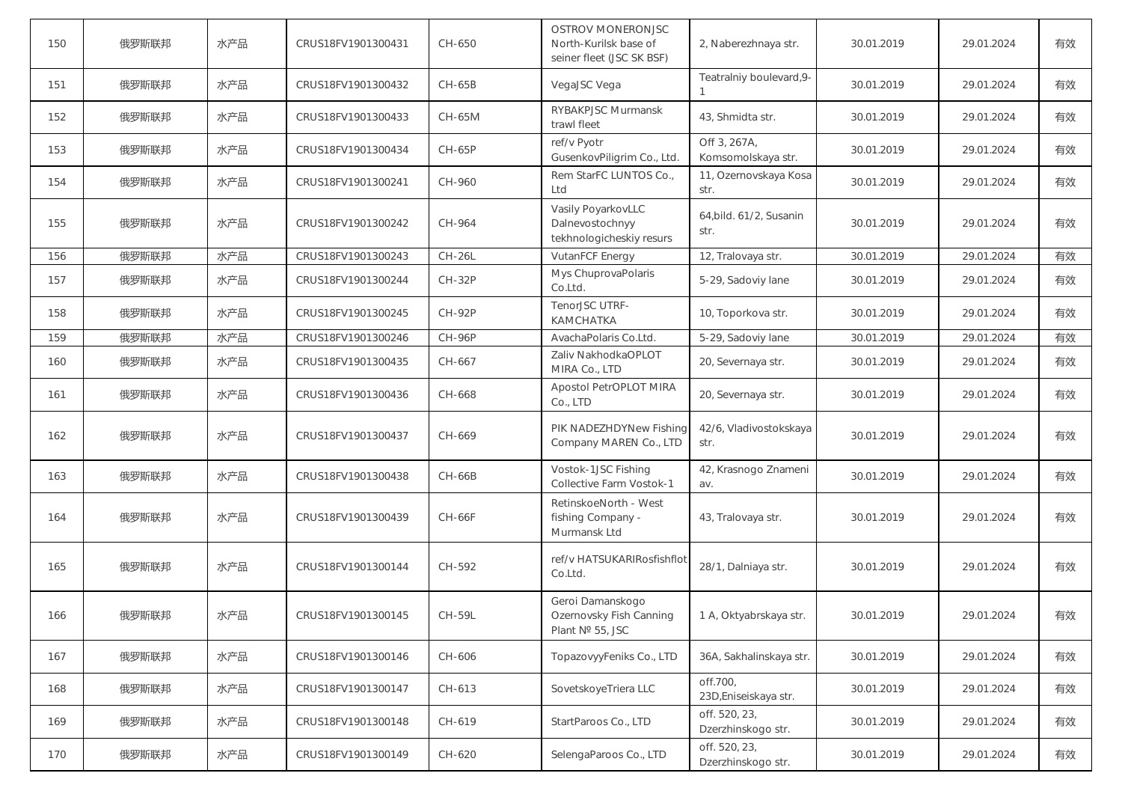| 150 | 俄罗斯联邦 | 水产品 | CRUS18FV1901300431 | CH-650        | OSTROV MONERONJSC<br>North-Kurilsk base of<br>seiner fleet (JSC SK BSF) | 2, Naberezhnaya str.                | 30.01.2019 | 29.01.2024 | 有效 |
|-----|-------|-----|--------------------|---------------|-------------------------------------------------------------------------|-------------------------------------|------------|------------|----|
| 151 | 俄罗斯联邦 | 水产品 | CRUS18FV1901300432 | $CH-65B$      | VegaJSC Vega                                                            | Teatralniy boulevard, 9-            | 30.01.2019 | 29.01.2024 | 有效 |
| 152 | 俄罗斯联邦 | 水产品 | CRUS18FV1901300433 | CH-65M        | <b>RYBAKPJSC Murmansk</b><br>trawl fleet                                | 43, Shmidta str.                    | 30.01.2019 | 29.01.2024 | 有效 |
| 153 | 俄罗斯联邦 | 水产品 | CRUS18FV1901300434 | CH-65P        | ref/v Pyotr<br>GusenkovPiligrim Co., Ltd.                               | Off 3, 267A,<br>Komsomolskaya str.  | 30.01.2019 | 29.01.2024 | 有效 |
| 154 | 俄罗斯联邦 | 水产品 | CRUS18FV1901300241 | CH-960        | Rem StarFC LUNTOS Co.,<br>Ltd                                           | 11, Ozernovskaya Kosa<br>str.       | 30.01.2019 | 29.01.2024 | 有效 |
| 155 | 俄罗斯联邦 | 水产品 | CRUS18FV1901300242 | CH-964        | Vasily PoyarkovLLC<br>Dalnevostochnyy<br>tekhnologicheskiy resurs       | 64, bild. 61/2, Susanin<br>str.     | 30.01.2019 | 29.01.2024 | 有效 |
| 156 | 俄罗斯联邦 | 水产品 | CRUS18FV1901300243 | <b>CH-26L</b> | VutanFCF Energy                                                         | 12, Tralovaya str.                  | 30.01.2019 | 29.01.2024 | 有效 |
| 157 | 俄罗斯联邦 | 水产品 | CRUS18FV1901300244 | $CH-32P$      | Mys ChuprovaPolaris<br>Co.Ltd.                                          | 5-29, Sadoviy lane                  | 30.01.2019 | 29.01.2024 | 有效 |
| 158 | 俄罗斯联邦 | 水产品 | CRUS18FV1901300245 | <b>CH-92P</b> | TenorJSC UTRF-<br>KAMCHATKA                                             | 10, Toporkova str.                  | 30.01.2019 | 29.01.2024 | 有效 |
| 159 | 俄罗斯联邦 | 水产品 | CRUS18FV1901300246 | <b>CH-96P</b> | AvachaPolaris Co.Ltd.                                                   | 5-29, Sadoviy lane                  | 30.01.2019 | 29.01.2024 | 有效 |
| 160 | 俄罗斯联邦 | 水产品 | CRUS18FV1901300435 | CH-667        | Zaliv NakhodkaOPLOT<br>MIRA Co., LTD                                    | 20, Severnaya str.                  | 30.01.2019 | 29.01.2024 | 有效 |
| 161 | 俄罗斯联邦 | 水产品 | CRUS18FV1901300436 | CH-668        | Apostol PetrOPLOT MIRA<br>Co., LTD                                      | 20, Severnaya str.                  | 30.01.2019 | 29.01.2024 | 有效 |
| 162 | 俄罗斯联邦 | 水产品 | CRUS18FV1901300437 | CH-669        | PIK NADEZHDYNew Fishing<br>Company MAREN Co., LTD                       | 42/6, Vladivostokskaya<br>str.      | 30.01.2019 | 29.01.2024 | 有效 |
| 163 | 俄罗斯联邦 | 水产品 | CRUS18FV1901300438 | CH-66B        | Vostok-1JSC Fishing<br>Collective Farm Vostok-1                         | 42, Krasnogo Znameni<br>av.         | 30.01.2019 | 29.01.2024 | 有效 |
| 164 | 俄罗斯联邦 | 水产品 | CRUS18FV1901300439 | <b>CH-66F</b> | RetinskoeNorth - West<br>fishing Company -<br>Murmansk Ltd              | 43, Tralovaya str.                  | 30.01.2019 | 29.01.2024 | 有效 |
| 165 | 俄罗斯联邦 | 水产品 | CRUS18FV1901300144 | CH-592        | ref/v HATSUKARIRosfishflot<br>Co.Ltd.                                   | 28/1, Dalniaya str.                 | 30.01.2019 | 29.01.2024 | 有效 |
| 166 | 俄罗斯联邦 | 水产品 | CRUS18FV1901300145 | CH-59L        | Geroi Damanskogo<br>Ozernovsky Fish Canning<br>Plant № 55, JSC          | 1 A, Oktyabrskaya str.              | 30.01.2019 | 29.01.2024 | 有效 |
| 167 | 俄罗斯联邦 | 水产品 | CRUS18FV1901300146 | CH-606        | TopazovyyFeniks Co., LTD                                                | 36A, Sakhalinskaya str.             | 30.01.2019 | 29.01.2024 | 有效 |
| 168 | 俄罗斯联邦 | 水产品 | CRUS18FV1901300147 | CH-613        | SovetskoyeTriera LLC                                                    | off.700,<br>23D, Eniseiskaya str.   | 30.01.2019 | 29.01.2024 | 有效 |
| 169 | 俄罗斯联邦 | 水产品 | CRUS18FV1901300148 | CH-619        | StartParoos Co., LTD                                                    | off. 520, 23,<br>Dzerzhinskogo str. | 30.01.2019 | 29.01.2024 | 有效 |
| 170 | 俄罗斯联邦 | 水产品 | CRUS18FV1901300149 | CH-620        | SelengaParoos Co., LTD                                                  | off. 520, 23,<br>Dzerzhinskogo str. | 30.01.2019 | 29.01.2024 | 有效 |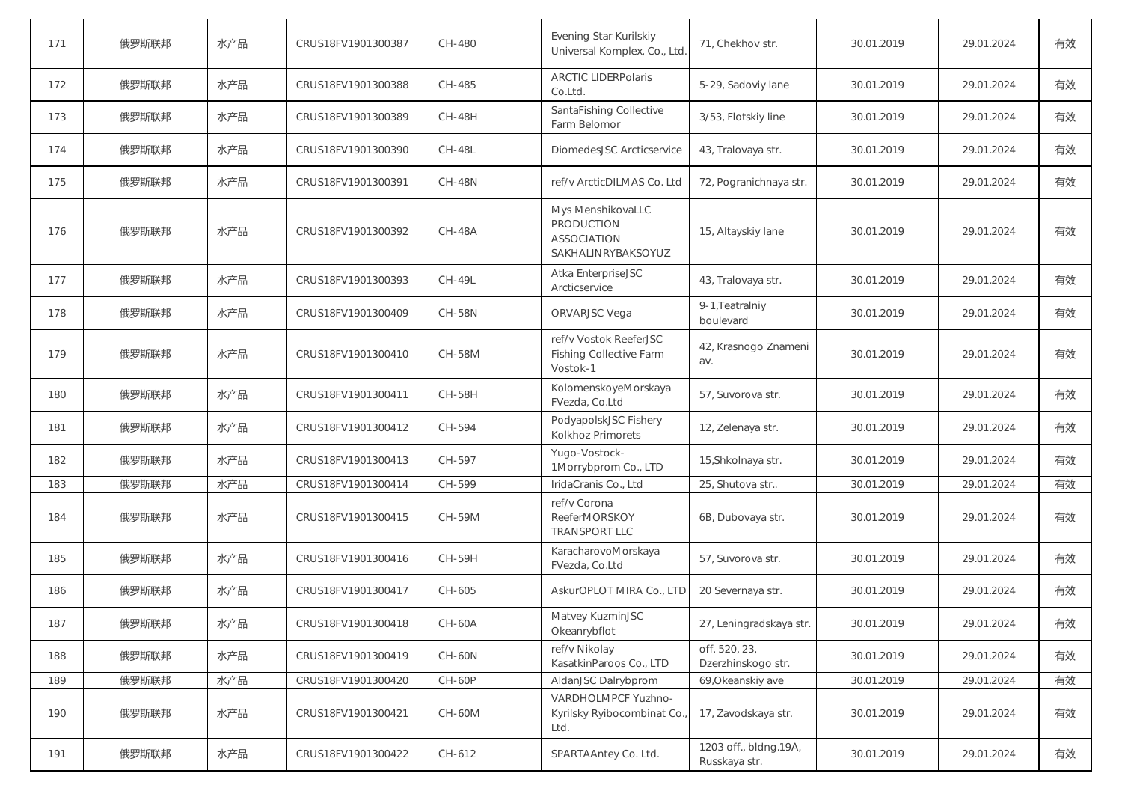| 171 | 俄罗斯联邦 | 水产品 | CRUS18FV1901300387 | CH-480        | Evening Star Kurilskiy<br>Universal Komplex, Co., Ltd.                             | 71, Chekhov str.                       | 30.01.2019 | 29.01.2024 | 有效 |
|-----|-------|-----|--------------------|---------------|------------------------------------------------------------------------------------|----------------------------------------|------------|------------|----|
| 172 | 俄罗斯联邦 | 水产品 | CRUS18FV1901300388 | CH-485        | <b>ARCTIC LIDERPolaris</b><br>Co.Ltd.                                              | 5-29, Sadoviy lane                     | 30.01.2019 | 29.01.2024 | 有效 |
| 173 | 俄罗斯联邦 | 水产品 | CRUS18FV1901300389 | <b>CH-48H</b> | SantaFishing Collective<br>Farm Belomor                                            | 3/53, Flotskiy line                    | 30.01.2019 | 29.01.2024 | 有效 |
| 174 | 俄罗斯联邦 | 水产品 | CRUS18FV1901300390 | <b>CH-48L</b> | DiomedesJSC Arcticservice                                                          | 43, Tralovaya str.                     | 30.01.2019 | 29.01.2024 | 有效 |
| 175 | 俄罗斯联邦 | 水产品 | CRUS18FV1901300391 | <b>CH-48N</b> | ref/v ArcticDILMAS Co. Ltd                                                         | 72, Pogranichnaya str.                 | 30.01.2019 | 29.01.2024 | 有效 |
| 176 | 俄罗斯联邦 | 水产品 | CRUS18FV1901300392 | <b>CH-48A</b> | Mys MenshikovaLLC<br><b>PRODUCTION</b><br><b>ASSOCIATION</b><br>SAKHALINRYBAKSOYUZ | 15, Altayskiy lane                     | 30.01.2019 | 29.01.2024 | 有效 |
| 177 | 俄罗斯联邦 | 水产品 | CRUS18FV1901300393 | <b>CH-49L</b> | Atka EnterpriseJSC<br>Arcticservice                                                | 43, Tralovaya str.                     | 30.01.2019 | 29.01.2024 | 有效 |
| 178 | 俄罗斯联邦 | 水产品 | CRUS18FV1901300409 | <b>CH-58N</b> | ORVARJSC Vega                                                                      | 9-1, Teatralniy<br>boulevard           | 30.01.2019 | 29.01.2024 | 有效 |
| 179 | 俄罗斯联邦 | 水产品 | CRUS18FV1901300410 | <b>CH-58M</b> | ref/v Vostok ReeferJSC<br><b>Fishing Collective Farm</b><br>Vostok-1               | 42, Krasnogo Znameni<br>av.            | 30.01.2019 | 29.01.2024 | 有效 |
| 180 | 俄罗斯联邦 | 水产品 | CRUS18FV1901300411 | <b>CH-58H</b> | KolomenskoyeMorskaya<br>FVezda, Co.Ltd                                             | 57, Suvorova str.                      | 30.01.2019 | 29.01.2024 | 有效 |
| 181 | 俄罗斯联邦 | 水产品 | CRUS18FV1901300412 | CH-594        | PodyapolskJSC Fishery<br><b>Kolkhoz Primorets</b>                                  | 12, Zelenaya str.                      | 30.01.2019 | 29.01.2024 | 有效 |
| 182 | 俄罗斯联邦 | 水产品 | CRUS18FV1901300413 | CH-597        | Yugo-Vostock-<br>1Morrybprom Co., LTD                                              | 15, Shkolnaya str.                     | 30.01.2019 | 29.01.2024 | 有效 |
| 183 | 俄罗斯联邦 | 水产品 | CRUS18FV1901300414 | CH-599        | IridaCranis Co., Ltd                                                               | 25, Shutova str                        | 30.01.2019 | 29.01.2024 | 有效 |
| 184 | 俄罗斯联邦 | 水产品 | CRUS18FV1901300415 | CH-59M        | ref/v Corona<br><b>ReeferMORSKOY</b><br><b>TRANSPORT LLC</b>                       | 6B, Dubovaya str.                      | 30.01.2019 | 29.01.2024 | 有效 |
| 185 | 俄罗斯联邦 | 水产品 | CRUS18FV1901300416 | <b>CH-59H</b> | KaracharovoMorskaya<br>FVezda, Co.Ltd                                              | 57, Suvorova str.                      | 30.01.2019 | 29.01.2024 | 有效 |
| 186 | 俄罗斯联邦 | 水产品 | CRUS18FV1901300417 | CH-605        | AskurOPLOT MIRA Co., LTD                                                           | 20 Severnaya str.                      | 30.01.2019 | 29.01.2024 | 有效 |
| 187 | 俄罗斯联邦 | 水产品 | CRUS18FV1901300418 | <b>CH-60A</b> | Matvey KuzminJSC<br>Okeanrybflot                                                   | 27, Leningradskaya str.                | 30.01.2019 | 29.01.2024 | 有效 |
| 188 | 俄罗斯联邦 | 水产品 | CRUS18FV1901300419 | <b>CH-60N</b> | ref/v Nikolay<br>KasatkinParoos Co., LTD                                           | off. 520, 23,<br>Dzerzhinskogo str.    | 30.01.2019 | 29.01.2024 | 有效 |
| 189 | 俄罗斯联邦 | 水产品 | CRUS18FV1901300420 | $CH-60P$      | AldanJSC Dalrybprom                                                                | 69, Okeanskiy ave                      | 30.01.2019 | 29.01.2024 | 有效 |
| 190 | 俄罗斯联邦 | 水产品 | CRUS18FV1901300421 | CH-60M        | VARDHOLMPCF Yuzhno-<br>Kyrilsky Ryibocombinat Co.<br>Ltd.                          | 17, Zavodskaya str.                    | 30.01.2019 | 29.01.2024 | 有效 |
| 191 | 俄罗斯联邦 | 水产品 | CRUS18FV1901300422 | CH-612        | SPARTAAntey Co. Ltd.                                                               | 1203 off., bldng.19A,<br>Russkaya str. | 30.01.2019 | 29.01.2024 | 有效 |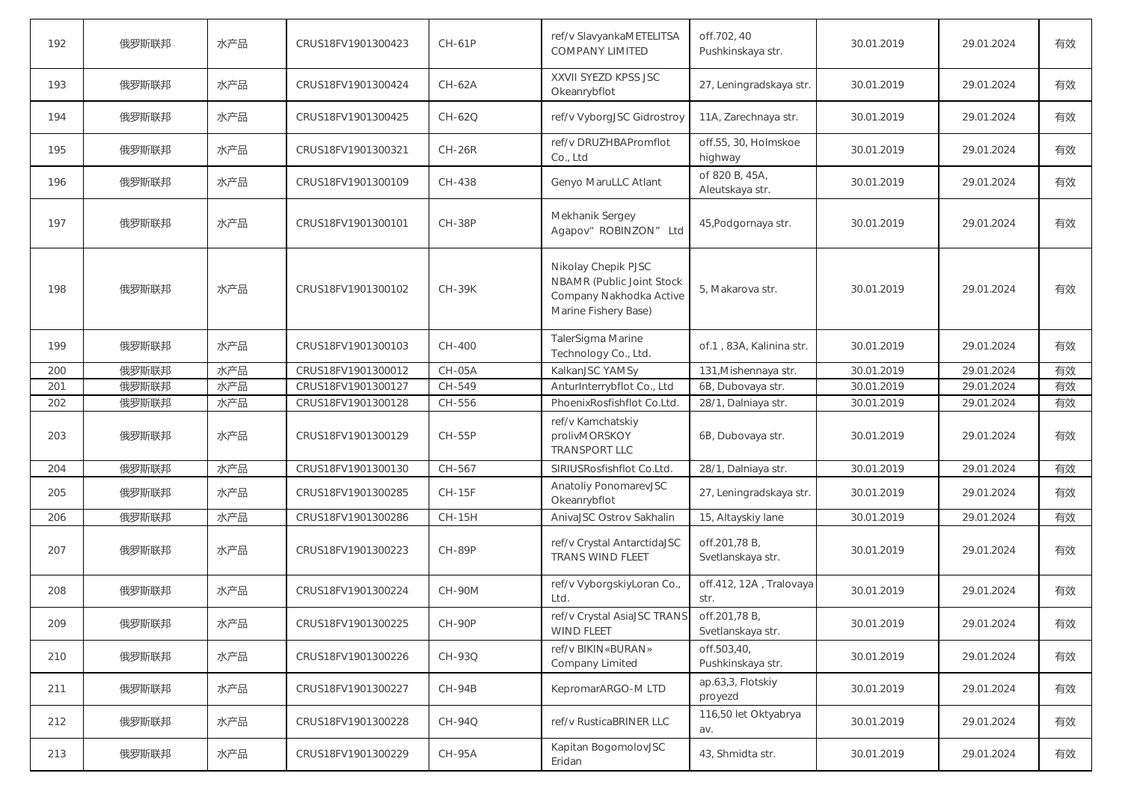| 192 | 俄罗斯联邦 | 水产品 | CRUS18FV1901300423 | $CH-61P$      | ref/v SlavyankaMETELITSA<br><b>COMPANY LIMITED</b>                                                  | off.702, 40<br>Pushkinskaya str.   | 30.01.2019 | 29.01.2024 | 有效 |
|-----|-------|-----|--------------------|---------------|-----------------------------------------------------------------------------------------------------|------------------------------------|------------|------------|----|
| 193 | 俄罗斯联邦 | 水产品 | CRUS18FV1901300424 | <b>CH-62A</b> | XXVII SYEZD KPSS JSC<br>Okeanrybflot                                                                | 27, Leningradskaya str.            | 30.01.2019 | 29.01.2024 | 有效 |
| 194 | 俄罗斯联邦 | 水产品 | CRUS18FV1901300425 | CH-62Q        | ref/v VyborgJSC Gidrostroy                                                                          | 11A, Zarechnaya str.               | 30.01.2019 | 29.01.2024 | 有效 |
| 195 | 俄罗斯联邦 | 水产品 | CRUS18FV1901300321 | $CH-26R$      | ref/v DRUZHBAPromflot<br>Co., Ltd                                                                   | off.55, 30, Holmskoe<br>highway    | 30.01.2019 | 29.01.2024 | 有效 |
| 196 | 俄罗斯联邦 | 水产品 | CRUS18FV1901300109 | CH-438        | Genyo MaruLLC Atlant                                                                                | of 820 B, 45A,<br>Aleutskaya str.  | 30.01.2019 | 29.01.2024 | 有效 |
| 197 | 俄罗斯联邦 | 水产品 | CRUS18FV1901300101 | <b>CH-38P</b> | Mekhanik Sergey<br>Agapov" ROBINZON" Ltd                                                            | 45, Podgornaya str.                | 30.01.2019 | 29.01.2024 | 有效 |
| 198 | 俄罗斯联邦 | 水产品 | CRUS18FV1901300102 | <b>CH-39K</b> | Nikolay Chepik PJSC<br>NBAMR (Public Joint Stock<br>Company Nakhodka Active<br>Marine Fishery Base) | 5, Makarova str.                   | 30.01.2019 | 29.01.2024 | 有效 |
| 199 | 俄罗斯联邦 | 水产品 | CRUS18FV1901300103 | CH-400        | TalerSigma Marine<br>Technology Co., Ltd.                                                           | of 1, 83A, Kalinina str.           | 30.01.2019 | 29.01.2024 | 有效 |
| 200 | 俄罗斯联邦 | 水产品 | CRUS18FV1901300012 | CH-05A        | KalkanJSC YAMSy                                                                                     | 131, Mishennaya str.               | 30.01.2019 | 29.01.2024 | 有效 |
| 201 | 俄罗斯联邦 | 水产品 | CRUS18FV1901300127 | CH-549        | AnturInterrybflot Co., Ltd                                                                          | 6B, Dubovaya str.                  | 30.01.2019 | 29.01.2024 | 有效 |
| 202 | 俄罗斯联邦 | 水产品 | CRUS18FV1901300128 | CH-556        | PhoenixRosfishflot Co.Ltd.                                                                          | 28/1, Dalniaya str.                | 30.01.2019 | 29.01.2024 | 有效 |
| 203 | 俄罗斯联邦 | 水产品 | CRUS18FV1901300129 | <b>CH-55P</b> | ref/v Kamchatskiy<br>prolivMORSKOY<br><b>TRANSPORT LLC</b>                                          | 6B, Dubovaya str.                  | 30.01.2019 | 29.01.2024 | 有效 |
| 204 | 俄罗斯联邦 | 水产品 | CRUS18FV1901300130 | CH-567        | SIRIUSRosfishflot Co.Ltd.                                                                           | 28/1, Dalniaya str.                | 30.01.2019 | 29.01.2024 | 有效 |
| 205 | 俄罗斯联邦 | 水产品 | CRUS18FV1901300285 | <b>CH-15F</b> | Anatoliy PonomarevJSC<br>Okeanrybflot                                                               | 27, Leningradskaya str.            | 30.01.2019 | 29.01.2024 | 有效 |
| 206 | 俄罗斯联邦 | 水产品 | CRUS18FV1901300286 | <b>CH-15H</b> | AnivaJSC Ostrov Sakhalin                                                                            | 15, Altayskiy lane                 | 30.01.2019 | 29.01.2024 | 有效 |
| 207 | 俄罗斯联邦 | 水产品 | CRUS18FV1901300223 | <b>CH-89P</b> | ref/v Crystal AntarctidaJSC<br>TRANS WIND FLEET                                                     | off.201,78 B,<br>Svetlanskaya str. | 30.01.2019 | 29.01.2024 | 有效 |
| 208 | 俄罗斯联邦 | 水产品 | CRUS18FV1901300224 | <b>CH-90M</b> | ref/v VyborgskiyLoran Co.,<br>Ltd.                                                                  | off.412, 12A, Tralovaya<br>str.    | 30.01.2019 | 29.01.2024 | 有效 |
| 209 | 俄罗斯联邦 | 水产品 | CRUS18FV1901300225 | CH-90P        | ref/v Crystal AsiaJSC TRANS<br><b>WIND FLEET</b>                                                    | off.201,78 B,<br>Svetlanskaya str. | 30.01.2019 | 29.01.2024 | 有效 |
| 210 | 俄罗斯联邦 | 水产品 | CRUS18FV1901300226 | CH-93Q        | ref/v BIKIN«BURAN»<br>Company Limited                                                               | off.503,40,<br>Pushkinskaya str.   | 30.01.2019 | 29.01.2024 | 有效 |
| 211 | 俄罗斯联邦 | 水产品 | CRUS18FV1901300227 | <b>CH-94B</b> | KepromarARGO-M LTD                                                                                  | ap.63,3, Flotskiy<br>proyezd       | 30.01.2019 | 29.01.2024 | 有效 |
| 212 | 俄罗斯联邦 | 水产品 | CRUS18FV1901300228 | CH-94Q        | ref/v RusticaBRINER LLC                                                                             | 116,50 let Oktyabrya<br>av.        | 30.01.2019 | 29.01.2024 | 有效 |
| 213 | 俄罗斯联邦 | 水产品 | CRUS18FV1901300229 | <b>CH-95A</b> | Kapitan BogomolovJSC<br>Eridan                                                                      | 43, Shmidta str.                   | 30.01.2019 | 29.01.2024 | 有效 |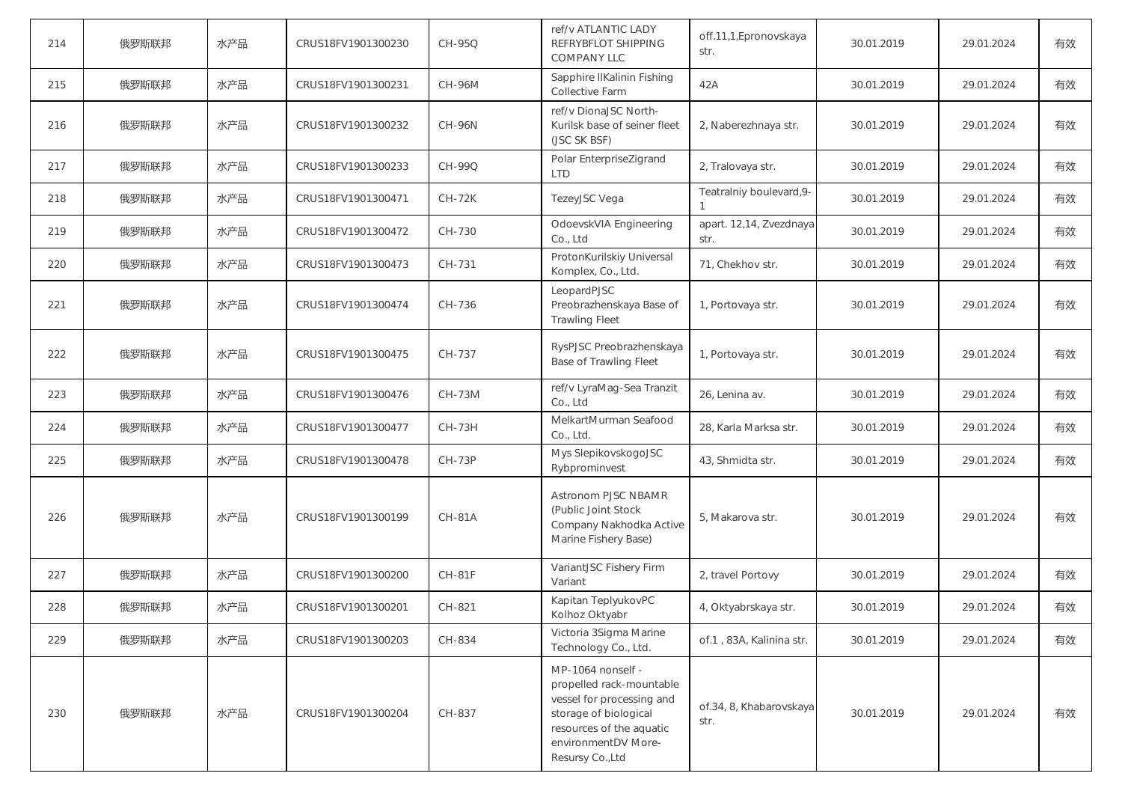| 214 | 俄罗斯联邦 | 水产品 | CRUS18FV1901300230 | CH-95Q        | ref/v ATLANTIC LADY<br>REFRYBFLOT SHIPPING<br><b>COMPANY LLC</b>                                                                                                           | off.11,1, Epronovskaya<br>str.  | 30.01.2019 | 29.01.2024 | 有效 |
|-----|-------|-----|--------------------|---------------|----------------------------------------------------------------------------------------------------------------------------------------------------------------------------|---------------------------------|------------|------------|----|
| 215 | 俄罗斯联邦 | 水产品 | CRUS18FV1901300231 | CH-96M        | Sapphire IIKalinin Fishing<br><b>Collective Farm</b>                                                                                                                       | 42A                             | 30.01.2019 | 29.01.2024 | 有效 |
| 216 | 俄罗斯联邦 | 水产品 | CRUS18FV1901300232 | <b>CH-96N</b> | ref/v DionaJSC North-<br>Kurilsk base of seiner fleet<br>(JSC SK BSF)                                                                                                      | 2, Naberezhnaya str.            | 30.01.2019 | 29.01.2024 | 有效 |
| 217 | 俄罗斯联邦 | 水产品 | CRUS18FV1901300233 | CH-99Q        | Polar EnterpriseZigrand<br><b>LTD</b>                                                                                                                                      | 2, Tralovaya str.               | 30.01.2019 | 29.01.2024 | 有效 |
| 218 | 俄罗斯联邦 | 水产品 | CRUS18FV1901300471 | <b>CH-72K</b> | TezeyJSC Vega                                                                                                                                                              | Teatralniy boulevard, 9-        | 30.01.2019 | 29.01.2024 | 有效 |
| 219 | 俄罗斯联邦 | 水产品 | CRUS18FV1901300472 | CH-730        | OdoevskVIA Engineering<br>Co., Ltd                                                                                                                                         | apart. 12,14, Zvezdnaya<br>str. | 30.01.2019 | 29.01.2024 | 有效 |
| 220 | 俄罗斯联邦 | 水产品 | CRUS18FV1901300473 | CH-731        | ProtonKurilskiy Universal<br>Komplex, Co., Ltd.                                                                                                                            | 71, Chekhov str.                | 30.01.2019 | 29.01.2024 | 有效 |
| 221 | 俄罗斯联邦 | 水产品 | CRUS18FV1901300474 | CH-736        | LeopardPJSC<br>Preobrazhenskaya Base of<br><b>Trawling Fleet</b>                                                                                                           | 1, Portovaya str.               | 30.01.2019 | 29.01.2024 | 有效 |
| 222 | 俄罗斯联邦 | 水产品 | CRUS18FV1901300475 | CH-737        | RysPJSC Preobrazhenskaya<br><b>Base of Trawling Fleet</b>                                                                                                                  | 1, Portovaya str.               | 30.01.2019 | 29.01.2024 | 有效 |
| 223 | 俄罗斯联邦 | 水产品 | CRUS18FV1901300476 | <b>CH-73M</b> | ref/v LyraMag-Sea Tranzit<br>Co., Ltd                                                                                                                                      | 26, Lenina av.                  | 30.01.2019 | 29.01.2024 | 有效 |
| 224 | 俄罗斯联邦 | 水产品 | CRUS18FV1901300477 | CH-73H        | MelkartMurman Seafood<br>Co., Ltd.                                                                                                                                         | 28, Karla Marksa str.           | 30.01.2019 | 29.01.2024 | 有效 |
| 225 | 俄罗斯联邦 | 水产品 | CRUS18FV1901300478 | $CH-73P$      | Mys SlepikovskogoJSC<br>Rybprominvest                                                                                                                                      | 43, Shmidta str.                | 30.01.2019 | 29.01.2024 | 有效 |
| 226 | 俄罗斯联邦 | 水产品 | CRUS18FV1901300199 | <b>CH-81A</b> | Astronom PJSC NBAMR<br>(Public Joint Stock<br>Company Nakhodka Active<br>Marine Fishery Base)                                                                              | 5, Makarova str.                | 30.01.2019 | 29.01.2024 | 有效 |
| 227 | 俄罗斯联邦 | 水产品 | CRUS18FV1901300200 | <b>CH-81F</b> | VariantJSC Fishery Firm<br>Variant                                                                                                                                         | 2, travel Portovy               | 30.01.2019 | 29.01.2024 | 有效 |
| 228 | 俄罗斯联邦 | 水产品 | CRUS18FV1901300201 | CH-821        | Kapitan TeplyukovPC<br>Kolhoz Oktyabr                                                                                                                                      | 4, Oktyabrskaya str.            | 30.01.2019 | 29.01.2024 | 有效 |
| 229 | 俄罗斯联邦 | 水产品 | CRUS18FV1901300203 | CH-834        | Victoria 3Sigma Marine<br>Technology Co., Ltd.                                                                                                                             | of 1, 83A, Kalinina str.        | 30.01.2019 | 29.01.2024 | 有效 |
| 230 | 俄罗斯联邦 | 水产品 | CRUS18FV1901300204 | CH-837        | MP-1064 nonself -<br>propelled rack-mountable<br>vessel for processing and<br>storage of biological<br>resources of the aquatic<br>environmentDV More-<br>Resursy Co., Ltd | of.34, 8, Khabarovskaya<br>str. | 30.01.2019 | 29.01.2024 | 有效 |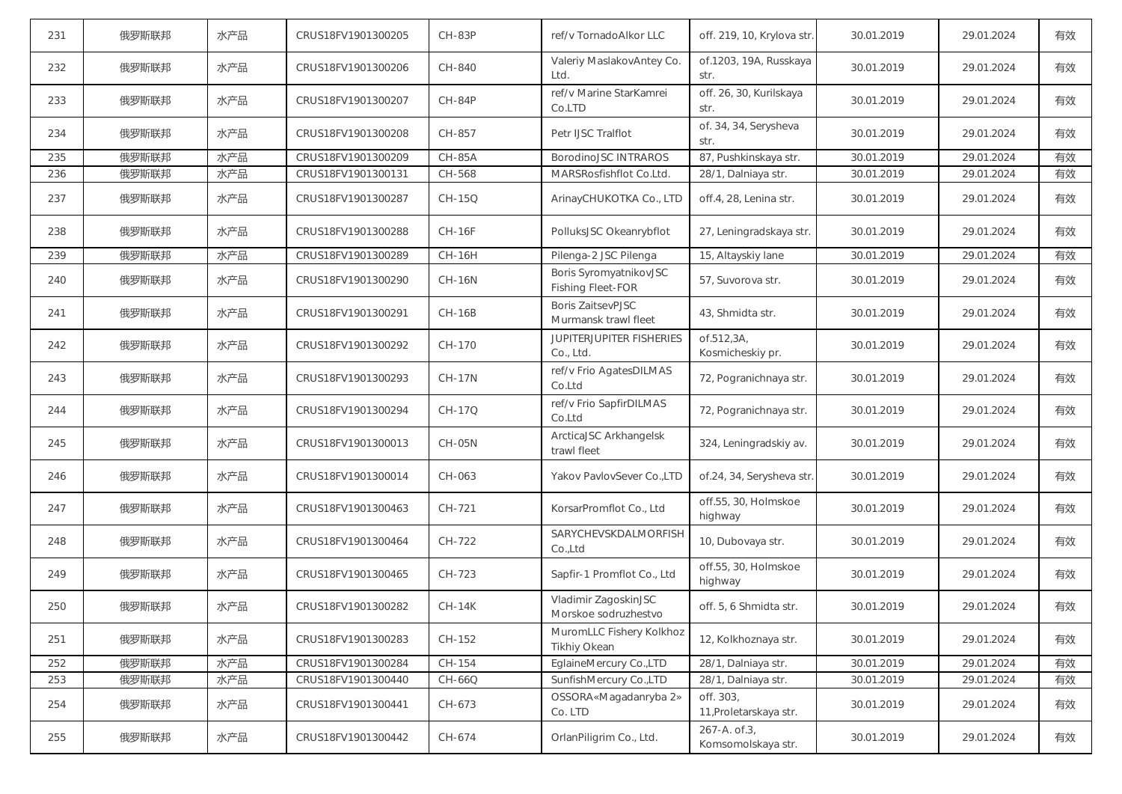| 231 | 俄罗斯联邦 | 水产品 | CRUS18FV1901300205 | <b>CH-83P</b> | ref/v TornadoAlkor LLC                             | off. 219, 10, Krylova str.          | 30.01.2019 | 29.01.2024 | 有效 |
|-----|-------|-----|--------------------|---------------|----------------------------------------------------|-------------------------------------|------------|------------|----|
| 232 | 俄罗斯联邦 | 水产品 | CRUS18FV1901300206 | CH-840        | Valeriy MaslakovAntey Co.<br>Ltd.                  | of.1203, 19A, Russkaya<br>str.      | 30.01.2019 | 29.01.2024 | 有效 |
| 233 | 俄罗斯联邦 | 水产品 | CRUS18FV1901300207 | CH-84P        | ref/v Marine StarKamrei<br>Co.LTD                  | off. 26, 30, Kurilskaya<br>str.     | 30.01.2019 | 29.01.2024 | 有效 |
| 234 | 俄罗斯联邦 | 水产品 | CRUS18FV1901300208 | CH-857        | Petr IJSC Tralflot                                 | of. 34, 34, Serysheva<br>str.       | 30.01.2019 | 29.01.2024 | 有效 |
| 235 | 俄罗斯联邦 | 水产品 | CRUS18FV1901300209 | <b>CH-85A</b> | <b>BorodinoJSC INTRAROS</b>                        | 87, Pushkinskaya str.               | 30.01.2019 | 29.01.2024 | 有效 |
| 236 | 俄罗斯联邦 | 水产品 | CRUS18FV1901300131 | CH-568        | MARSRosfishflot Co.Ltd.                            | 28/1, Dalniaya str.                 | 30.01.2019 | 29.01.2024 | 有效 |
| 237 | 俄罗斯联邦 | 水产品 | CRUS18FV1901300287 | CH-15Q        | ArinayCHUKOTKA Co., LTD                            | off.4, 28, Lenina str.              | 30.01.2019 | 29.01.2024 | 有效 |
| 238 | 俄罗斯联邦 | 水产品 | CRUS18FV1901300288 | <b>CH-16F</b> | PolluksJSC Okeanrybflot                            | 27, Leningradskaya str.             | 30.01.2019 | 29.01.2024 | 有效 |
| 239 | 俄罗斯联邦 | 水产品 | CRUS18FV1901300289 | <b>CH-16H</b> | Pilenga-2 JSC Pilenga                              | 15, Altayskiy lane                  | 30.01.2019 | 29.01.2024 | 有效 |
| 240 | 俄罗斯联邦 | 水产品 | CRUS18FV1901300290 | <b>CH-16N</b> | Boris SyromyatnikovJSC<br><b>Fishing Fleet-FOR</b> | 57, Suvorova str.                   | 30.01.2019 | 29.01.2024 | 有效 |
| 241 | 俄罗斯联邦 | 水产品 | CRUS18FV1901300291 | $CH-16B$      | <b>Boris ZaitsevPJSC</b><br>Murmansk trawl fleet   | 43. Shmidta str.                    | 30.01.2019 | 29.01.2024 | 有效 |
| 242 | 俄罗斯联邦 | 水产品 | CRUS18FV1901300292 | CH-170        | <b>JUPITERJUPITER FISHERIES</b><br>Co., Ltd.       | of.512.3A.<br>Kosmicheskiy pr.      | 30.01.2019 | 29.01.2024 | 有效 |
| 243 | 俄罗斯联邦 | 水产品 | CRUS18FV1901300293 | <b>CH-17N</b> | ref/v Frio AgatesDILMAS<br>Co.Ltd                  | 72, Pogranichnaya str.              | 30.01.2019 | 29.01.2024 | 有效 |
| 244 | 俄罗斯联邦 | 水产品 | CRUS18FV1901300294 | CH-17Q        | ref/v Frio SapfirDILMAS<br>Co.Ltd                  | 72, Pogranichnaya str.              | 30.01.2019 | 29.01.2024 | 有效 |
| 245 | 俄罗斯联邦 | 水产品 | CRUS18FV1901300013 | <b>CH-05N</b> | ArcticaJSC Arkhangelsk<br>trawl fleet              | 324, Leningradskiy av.              | 30.01.2019 | 29.01.2024 | 有效 |
| 246 | 俄罗斯联邦 | 水产品 | CRUS18FV1901300014 | CH-063        | Yakov PavlovSever Co.,LTD                          | of.24, 34, Serysheva str.           | 30.01.2019 | 29.01.2024 | 有效 |
| 247 | 俄罗斯联邦 | 水产品 | CRUS18FV1901300463 | CH-721        | KorsarPromflot Co., Ltd                            | off.55, 30, Holmskoe<br>highway     | 30.01.2019 | 29.01.2024 | 有效 |
| 248 | 俄罗斯联邦 | 水产品 | CRUS18FV1901300464 | CH-722        | SARYCHEVSKDALMORFISH<br>Co.,Ltd                    | 10, Dubovaya str.                   | 30.01.2019 | 29.01.2024 | 有效 |
| 249 | 俄罗斯联邦 | 水产品 | CRUS18FV1901300465 | CH-723        | Sapfir-1 Promflot Co., Ltd                         | off.55, 30, Holmskoe<br>highway     | 30.01.2019 | 29.01.2024 | 有效 |
| 250 | 俄罗斯联邦 | 水产品 | CRUS18FV1901300282 | $CH-14K$      | Vladimir ZagoskinJSC<br>Morskoe sodruzhestvo       | off. 5, 6 Shmidta str.              | 30.01.2019 | 29.01.2024 | 有效 |
| 251 | 俄罗斯联邦 | 水产品 | CRUS18FV1901300283 | CH-152        | MuromLLC Fishery Kolkhoz<br>Tikhiy Okean           | 12, Kolkhoznaya str.                | 30.01.2019 | 29.01.2024 | 有效 |
| 252 | 俄罗斯联邦 | 水产品 | CRUS18FV1901300284 | CH-154        | EglaineMercury Co.,LTD                             | 28/1, Dalniaya str.                 | 30.01.2019 | 29.01.2024 | 有效 |
| 253 | 俄罗斯联邦 | 水产品 | CRUS18FV1901300440 | $CH-66Q$      | SunfishMercury Co.,LTD                             | 28/1, Dalniaya str.                 | 30.01.2019 | 29.01.2024 | 有效 |
| 254 | 俄罗斯联邦 | 水产品 | CRUS18FV1901300441 | CH-673        | OSSORA«Magadanryba 2»<br>Co. LTD                   | off. 303,<br>11, Proletarskaya str. | 30.01.2019 | 29.01.2024 | 有效 |
| 255 | 俄罗斯联邦 | 水产品 | CRUS18FV1901300442 | CH-674        | OrlanPiligrim Co., Ltd.                            | 267-A. of 3,<br>Komsomolskaya str.  | 30.01.2019 | 29.01.2024 | 有效 |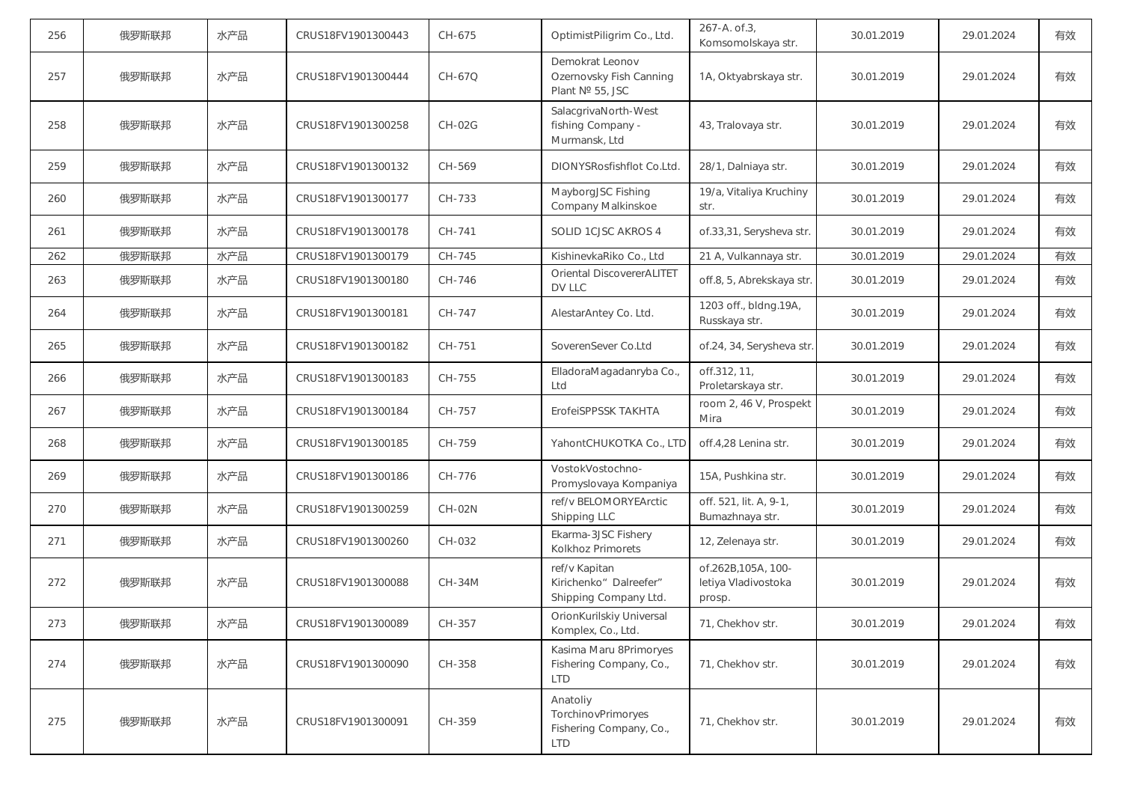| 256 | 俄罗斯联邦 | 水产品 | CRUS18FV1901300443 | CH-675        | OptimistPiligrim Co., Ltd.                                              | 267-A. of 3,<br>Komsomolskaya str.                  | 30.01.2019 | 29.01.2024 | 有效 |
|-----|-------|-----|--------------------|---------------|-------------------------------------------------------------------------|-----------------------------------------------------|------------|------------|----|
| 257 | 俄罗斯联邦 | 水产品 | CRUS18FV1901300444 | CH-67Q        | Demokrat Leonov<br>Ozernovsky Fish Canning<br>Plant № 55, JSC           | 1A, Oktyabrskaya str.                               | 30.01.2019 | 29.01.2024 | 有效 |
| 258 | 俄罗斯联邦 | 水产品 | CRUS18FV1901300258 | <b>CH-02G</b> | SalacgrivaNorth-West<br>fishing Company -<br>Murmansk, Ltd              | 43, Tralovaya str.                                  | 30.01.2019 | 29.01.2024 | 有效 |
| 259 | 俄罗斯联邦 | 水产品 | CRUS18FV1901300132 | CH-569        | DIONYSRosfishflot Co.Ltd.                                               | 28/1, Dalniaya str.                                 | 30.01.2019 | 29.01.2024 | 有效 |
| 260 | 俄罗斯联邦 | 水产品 | CRUS18FV1901300177 | CH-733        | MayborgJSC Fishing<br>Company Malkinskoe                                | 19/a, Vitaliya Kruchiny<br>str.                     | 30.01.2019 | 29.01.2024 | 有效 |
| 261 | 俄罗斯联邦 | 水产品 | CRUS18FV1901300178 | CH-741        | SOLID 1CJSC AKROS 4                                                     | of.33,31, Serysheva str.                            | 30.01.2019 | 29.01.2024 | 有效 |
| 262 | 俄罗斯联邦 | 水产品 | CRUS18FV1901300179 | CH-745        | KishinevkaRiko Co., Ltd                                                 | 21 A, Vulkannaya str.                               | 30.01.2019 | 29.01.2024 | 有效 |
| 263 | 俄罗斯联邦 | 水产品 | CRUS18FV1901300180 | CH-746        | <b>Oriental DiscovererALITET</b><br>DV LLC                              | off.8, 5, Abrekskaya str.                           | 30.01.2019 | 29.01.2024 | 有效 |
| 264 | 俄罗斯联邦 | 水产品 | CRUS18FV1901300181 | CH-747        | AlestarAntey Co. Ltd.                                                   | 1203 off., bldng.19A,<br>Russkaya str.              | 30.01.2019 | 29.01.2024 | 有效 |
| 265 | 俄罗斯联邦 | 水产品 | CRUS18FV1901300182 | CH-751        | SoverenSever Co.Ltd                                                     | of.24, 34, Serysheva str                            | 30.01.2019 | 29.01.2024 | 有效 |
| 266 | 俄罗斯联邦 | 水产品 | CRUS18FV1901300183 | CH-755        | ElladoraMagadanryba Co.,<br>Ltd                                         | off.312, 11,<br>Proletarskaya str.                  | 30.01.2019 | 29.01.2024 | 有效 |
| 267 | 俄罗斯联邦 | 水产品 | CRUS18FV1901300184 | CH-757        | ErofeiSPPSSK TAKHTA                                                     | room 2, 46 V, Prospekt<br>Mira                      | 30.01.2019 | 29.01.2024 | 有效 |
| 268 | 俄罗斯联邦 | 水产品 | CRUS18FV1901300185 | CH-759        | YahontCHUKOTKA Co., LTD                                                 | off.4,28 Lenina str.                                | 30.01.2019 | 29.01.2024 | 有效 |
| 269 | 俄罗斯联邦 | 水产品 | CRUS18FV1901300186 | CH-776        | VostokVostochno-<br>Promyslovaya Kompaniya                              | 15A, Pushkina str.                                  | 30.01.2019 | 29.01.2024 | 有效 |
| 270 | 俄罗斯联邦 | 水产品 | CRUS18FV1901300259 | <b>CH-02N</b> | ref/v BELOMORYEArctic<br>Shipping LLC                                   | off. 521, lit. A, 9-1,<br>Bumazhnaya str.           | 30.01.2019 | 29.01.2024 | 有效 |
| 271 | 俄罗斯联邦 | 水产品 | CRUS18FV1901300260 | CH-032        | Ekarma-3JSC Fishery<br>Kolkhoz Primorets                                | 12, Zelenaya str.                                   | 30.01.2019 | 29.01.2024 | 有效 |
| 272 | 俄罗斯联邦 | 水产品 | CRUS18FV1901300088 | <b>CH-34M</b> | ref/v Kapitan<br>Kirichenko" Dalreefer"<br>Shipping Company Ltd.        | of.262B,105A, 100-<br>letiya Vladivostoka<br>prosp. | 30.01.2019 | 29.01.2024 | 有效 |
| 273 | 俄罗斯联邦 | 水产品 | CRUS18FV1901300089 | CH-357        | OrionKurilskiy Universal<br>Komplex, Co., Ltd.                          | 71, Chekhov str.                                    | 30.01.2019 | 29.01.2024 | 有效 |
| 274 | 俄罗斯联邦 | 水产品 | CRUS18FV1901300090 | CH-358        | Kasima Maru 8Primoryes<br>Fishering Company, Co.,<br><b>LTD</b>         | 71, Chekhov str.                                    | 30.01.2019 | 29.01.2024 | 有效 |
| 275 | 俄罗斯联邦 | 水产品 | CRUS18FV1901300091 | CH-359        | Anatoliy<br>TorchinovPrimoryes<br>Fishering Company, Co.,<br><b>LTD</b> | 71, Chekhov str.                                    | 30.01.2019 | 29.01.2024 | 有效 |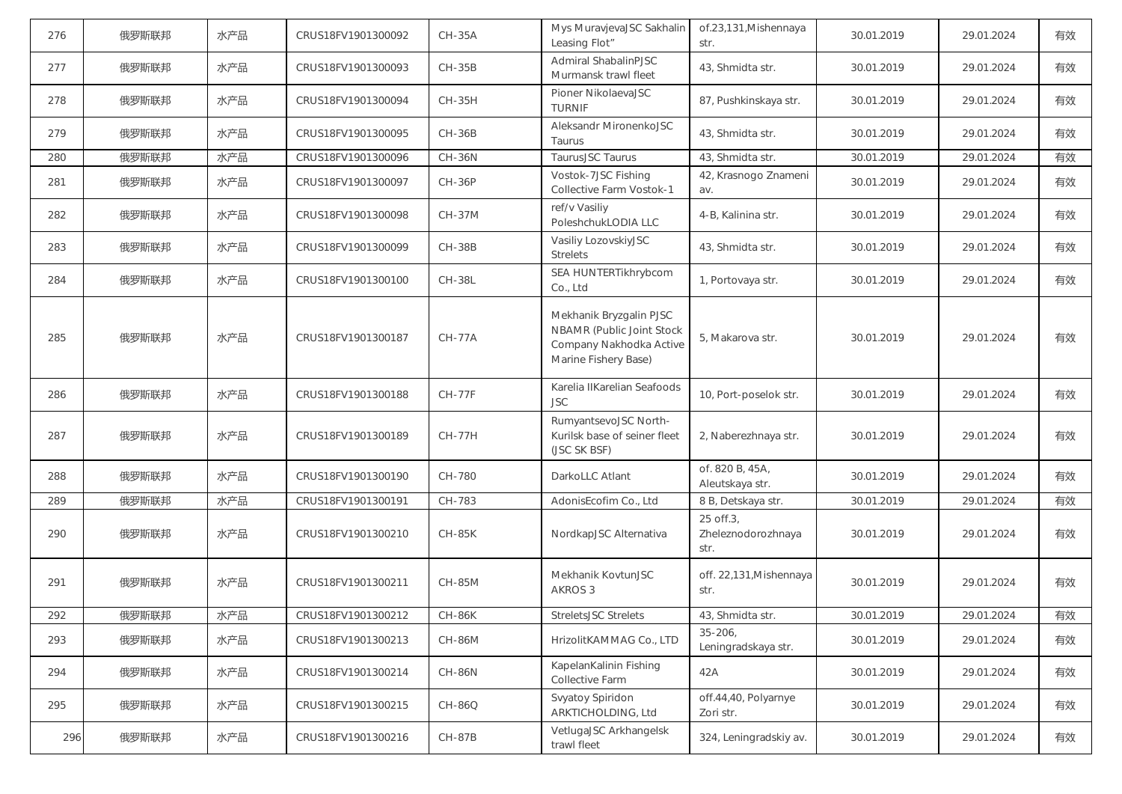| 276 | 俄罗斯联邦 | 水产品 | CRUS18FV1901300092 | <b>CH-35A</b> | Mys MuravjevaJSC Sakhalin<br>Leasing Flot"                                                              | of.23,131, Mishennaya<br>str.           | 30.01.2019 | 29.01.2024 | 有效 |
|-----|-------|-----|--------------------|---------------|---------------------------------------------------------------------------------------------------------|-----------------------------------------|------------|------------|----|
| 277 | 俄罗斯联邦 | 水产品 | CRUS18FV1901300093 | <b>CH-35B</b> | Admiral ShabalinPJSC<br>Murmansk trawl fleet                                                            | 43, Shmidta str.                        | 30.01.2019 | 29.01.2024 | 有效 |
| 278 | 俄罗斯联邦 | 水产品 | CRUS18FV1901300094 | CH-35H        | Pioner NikolaevaJSC<br><b>TURNIF</b>                                                                    | 87, Pushkinskaya str.                   | 30.01.2019 | 29.01.2024 | 有效 |
| 279 | 俄罗斯联邦 | 水产品 | CRUS18FV1901300095 | <b>CH-36B</b> | Aleksandr MironenkoJSC<br>Taurus                                                                        | 43, Shmidta str.                        | 30.01.2019 | 29.01.2024 | 有效 |
| 280 | 俄罗斯联邦 | 水产品 | CRUS18FV1901300096 | <b>CH-36N</b> | TaurusJSC Taurus                                                                                        | 43, Shmidta str.                        | 30.01.2019 | 29.01.2024 | 有效 |
| 281 | 俄罗斯联邦 | 水产品 | CRUS18FV1901300097 | <b>CH-36P</b> | Vostok-7JSC Fishing<br>Collective Farm Vostok-1                                                         | 42, Krasnogo Znameni<br>av.             | 30.01.2019 | 29.01.2024 | 有效 |
| 282 | 俄罗斯联邦 | 水产品 | CRUS18FV1901300098 | <b>CH-37M</b> | ref/v Vasiliy<br>PoleshchukLODIA LLC                                                                    | 4-B, Kalinina str.                      | 30.01.2019 | 29.01.2024 | 有效 |
| 283 | 俄罗斯联邦 | 水产品 | CRUS18FV1901300099 | <b>CH-38B</b> | Vasiliy LozovskiyJSC<br><b>Strelets</b>                                                                 | 43, Shmidta str.                        | 30.01.2019 | 29.01.2024 | 有效 |
| 284 | 俄罗斯联邦 | 水产品 | CRUS18FV1901300100 | <b>CH-38L</b> | SEA HUNTERTikhrybcom<br>Co., Ltd                                                                        | 1, Portovaya str.                       | 30.01.2019 | 29.01.2024 | 有效 |
| 285 | 俄罗斯联邦 | 水产品 | CRUS18FV1901300187 | <b>CH-77A</b> | Mekhanik Bryzgalin PJSC<br>NBAMR (Public Joint Stock<br>Company Nakhodka Active<br>Marine Fishery Base) | 5, Makarova str.                        | 30.01.2019 | 29.01.2024 | 有效 |
| 286 | 俄罗斯联邦 | 水产品 | CRUS18FV1901300188 | <b>CH-77F</b> | Karelia IIKarelian Seafoods<br><b>JSC</b>                                                               | 10, Port-poselok str.                   | 30.01.2019 | 29.01.2024 | 有效 |
| 287 | 俄罗斯联邦 | 水产品 | CRUS18FV1901300189 | <b>CH-77H</b> | RumyantsevoJSC North-<br>Kurilsk base of seiner fleet<br>(JSC SK BSF)                                   | 2, Naberezhnaya str.                    | 30.01.2019 | 29.01.2024 | 有效 |
| 288 | 俄罗斯联邦 | 水产品 | CRUS18FV1901300190 | CH-780        | DarkoLLC Atlant                                                                                         | of. 820 B, 45A,<br>Aleutskaya str.      | 30.01.2019 | 29.01.2024 | 有效 |
| 289 | 俄罗斯联邦 | 水产品 | CRUS18FV1901300191 | CH-783        | AdonisEcofim Co., Ltd                                                                                   | 8 B, Detskaya str.                      | 30.01.2019 | 29.01.2024 | 有效 |
| 290 | 俄罗斯联邦 | 水产品 | CRUS18FV1901300210 | <b>CH-85K</b> | NordkapJSC Alternativa                                                                                  | 25 off.3,<br>Zheleznodorozhnaya<br>str. | 30.01.2019 | 29.01.2024 | 有效 |
| 291 | 俄罗斯联邦 | 水产品 | CRUS18FV1901300211 | <b>CH-85M</b> | Mekhanik KovtunJSC<br>AKROS 3                                                                           | off. 22,131, Mishennaya<br>str.         | 30.01.2019 | 29.01.2024 | 有效 |
| 292 | 俄罗斯联邦 | 水产品 | CRUS18FV1901300212 | CH-86K        | StreletsJSC Strelets                                                                                    | 43, Shmidta str.                        | 30.01.2019 | 29.01.2024 | 有效 |
| 293 | 俄罗斯联邦 | 水产品 | CRUS18FV1901300213 | <b>CH-86M</b> | HrizolitKAMMAG Co., LTD                                                                                 | $35 - 206$ ,<br>Leningradskaya str.     | 30.01.2019 | 29.01.2024 | 有效 |
| 294 | 俄罗斯联邦 | 水产品 | CRUS18FV1901300214 | <b>CH-86N</b> | KapelanKalinin Fishing<br>Collective Farm                                                               | 42A                                     | 30.01.2019 | 29.01.2024 | 有效 |
| 295 | 俄罗斯联邦 | 水产品 | CRUS18FV1901300215 | CH-86Q        | Svyatoy Spiridon<br>ARKTICHOLDING, Ltd                                                                  | off.44,40, Polyarnye<br>Zori str.       | 30.01.2019 | 29.01.2024 | 有效 |
| 296 | 俄罗斯联邦 | 水产品 | CRUS18FV1901300216 | <b>CH-87B</b> | VetlugaJSC Arkhangelsk<br>trawl fleet                                                                   | 324, Leningradskiy av.                  | 30.01.2019 | 29.01.2024 | 有效 |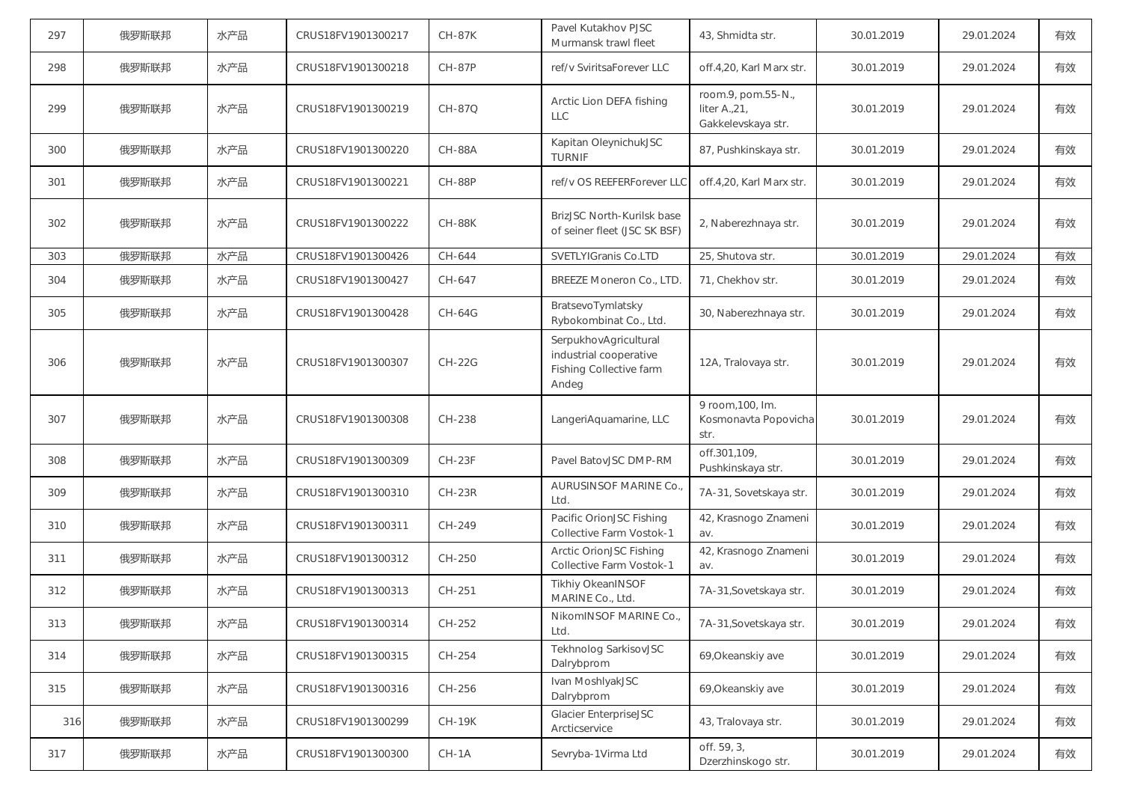| 297 | 俄罗斯联邦 | 水产品 | CRUS18FV1901300217 | <b>CH-87K</b> | Pavel Kutakhov PJSC<br>Murmansk trawl fleet                                         | 43, Shmidta str.                                          | 30.01.2019 | 29.01.2024 | 有效 |
|-----|-------|-----|--------------------|---------------|-------------------------------------------------------------------------------------|-----------------------------------------------------------|------------|------------|----|
| 298 | 俄罗斯联邦 | 水产品 | CRUS18FV1901300218 | <b>CH-87P</b> | ref/v SviritsaForever LLC                                                           | off.4,20, Karl Marx str.                                  | 30.01.2019 | 29.01.2024 | 有效 |
| 299 | 俄罗斯联邦 | 水产品 | CRUS18FV1901300219 | <b>CH-87Q</b> | Arctic Lion DEFA fishing<br><b>LLC</b>                                              | room.9, pom.55-N.,<br>liter A., 21,<br>Gakkelevskaya str. | 30.01.2019 | 29.01.2024 | 有效 |
| 300 | 俄罗斯联邦 | 水产品 | CRUS18FV1901300220 | <b>CH-88A</b> | Kapitan OleynichukJSC<br><b>TURNIF</b>                                              | 87, Pushkinskaya str.                                     | 30.01.2019 | 29.01.2024 | 有效 |
| 301 | 俄罗斯联邦 | 水产品 | CRUS18FV1901300221 | <b>CH-88P</b> | ref/v OS REEFERForever LLC                                                          | off.4,20, Karl Marx str.                                  | 30.01.2019 | 29.01.2024 | 有效 |
| 302 | 俄罗斯联邦 | 水产品 | CRUS18FV1901300222 | <b>CH-88K</b> | BrizJSC North-Kurilsk base<br>of seiner fleet (JSC SK BSF)                          | 2, Naberezhnaya str.                                      | 30.01.2019 | 29.01.2024 | 有效 |
| 303 | 俄罗斯联邦 | 水产品 | CRUS18FV1901300426 | CH-644        | SVETLYIGranis Co.LTD                                                                | 25, Shutova str.                                          | 30.01.2019 | 29.01.2024 | 有效 |
| 304 | 俄罗斯联邦 | 水产品 | CRUS18FV1901300427 | CH-647        | BREEZE Moneron Co., LTD.                                                            | 71, Chekhov str.                                          | 30.01.2019 | 29.01.2024 | 有效 |
| 305 | 俄罗斯联邦 | 水产品 | CRUS18FV1901300428 | <b>CH-64G</b> | BratsevoTymlatsky<br>Rybokombinat Co., Ltd.                                         | 30, Naberezhnaya str.                                     | 30.01.2019 | 29.01.2024 | 有效 |
| 306 | 俄罗斯联邦 | 水产品 | CRUS18FV1901300307 | <b>CH-22G</b> | SerpukhovAgricultural<br>industrial cooperative<br>Fishing Collective farm<br>Andeg | 12A, Tralovaya str.                                       | 30.01.2019 | 29.01.2024 | 有效 |
| 307 | 俄罗斯联邦 | 水产品 | CRUS18FV1901300308 | CH-238        | LangeriAquamarine, LLC                                                              | 9 room, 100, Im.<br>Kosmonavta Popovicha<br>str.          | 30.01.2019 | 29.01.2024 | 有效 |
| 308 | 俄罗斯联邦 | 水产品 | CRUS18FV1901300309 | $CH-23F$      | Pavel BatovJSC DMP-RM                                                               | off.301,109,<br>Pushkinskaya str.                         | 30.01.2019 | 29.01.2024 | 有效 |
| 309 | 俄罗斯联邦 | 水产品 | CRUS18FV1901300310 | $CH-23R$      | AURUSINSOF MARINE Co.,<br>Ltd.                                                      | 7A-31, Sovetskaya str.                                    | 30.01.2019 | 29.01.2024 | 有效 |
| 310 | 俄罗斯联邦 | 水产品 | CRUS18FV1901300311 | CH-249        | Pacific OrionJSC Fishing<br>Collective Farm Vostok-1                                | 42, Krasnogo Znameni<br>av.                               | 30.01.2019 | 29.01.2024 | 有效 |
| 311 | 俄罗斯联邦 | 水产品 | CRUS18FV1901300312 | CH-250        | Arctic OrionJSC Fishing<br>Collective Farm Vostok-1                                 | 42, Krasnogo Znameni<br>av.                               | 30.01.2019 | 29.01.2024 | 有效 |
| 312 | 俄罗斯联邦 | 水产品 | CRUS18FV1901300313 | CH-251        | <b>Tikhiy OkeanINSOF</b><br>MARINE Co., Ltd.                                        | 7A-31, Sovetskaya str.                                    | 30.01.2019 | 29.01.2024 | 有效 |
| 313 | 俄罗斯联邦 | 水产品 | CRUS18FV1901300314 | CH-252        | NikomINSOF MARINE Co.<br>Ltd.                                                       | 7A-31, Sovetskaya str.                                    | 30.01.2019 | 29.01.2024 | 有效 |
| 314 | 俄罗斯联邦 | 水产品 | CRUS18FV1901300315 | CH-254        | Tekhnolog SarkisovJSC<br>Dalrybprom                                                 | 69, Okeanskiy ave                                         | 30.01.2019 | 29.01.2024 | 有效 |
| 315 | 俄罗斯联邦 | 水产品 | CRUS18FV1901300316 | CH-256        | Ivan MoshlyakJSC<br>Dalrybprom                                                      | 69, Okeanskiy ave                                         | 30.01.2019 | 29.01.2024 | 有效 |
| 316 | 俄罗斯联邦 | 水产品 | CRUS18FV1901300299 | <b>CH-19K</b> | Glacier EnterpriseJSC<br>Arcticservice                                              | 43, Tralovaya str.                                        | 30.01.2019 | 29.01.2024 | 有效 |
| 317 | 俄罗斯联邦 | 水产品 | CRUS18FV1901300300 | $CH-1A$       | Sevryba-1Virma Ltd                                                                  | off. 59, 3,<br>Dzerzhinskogo str.                         | 30.01.2019 | 29.01.2024 | 有效 |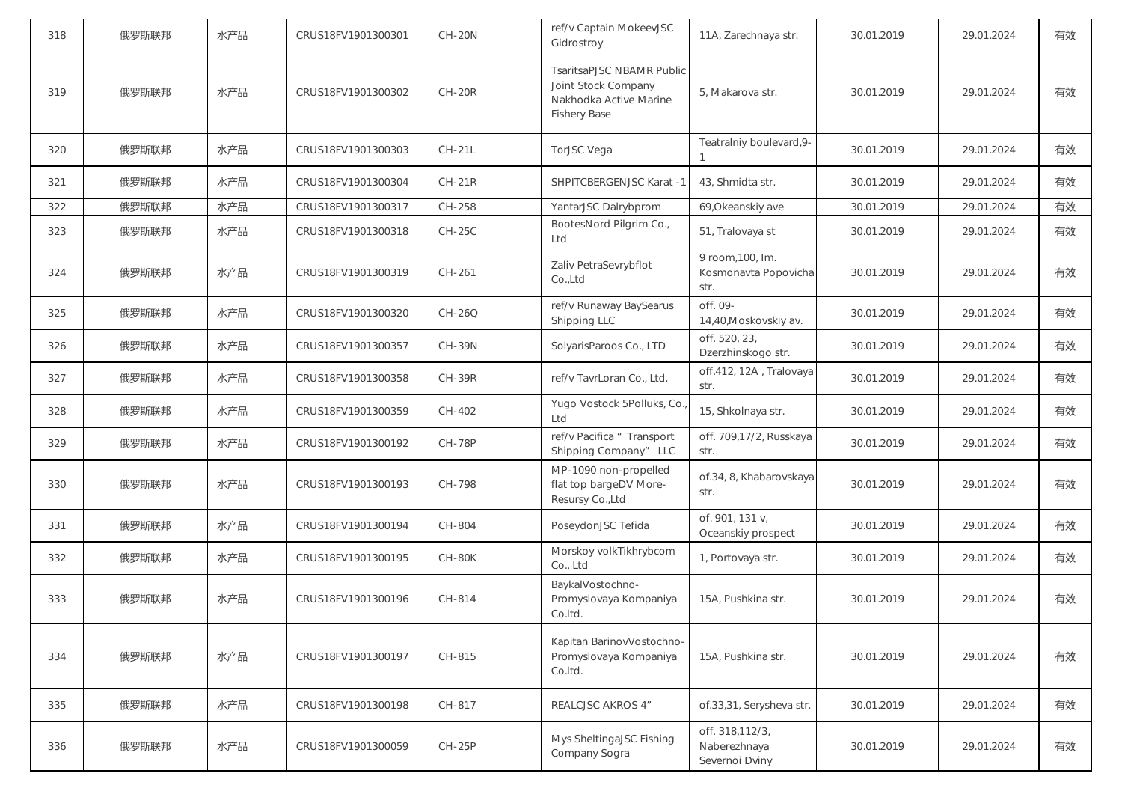| 318 | 俄罗斯联邦 | 水产品 | CRUS18FV1901300301 | <b>CH-20N</b> | ref/v Captain MokeevJSC<br>Gidrostroy                                                             | 11A, Zarechnaya str.                              | 30.01.2019 | 29.01.2024 | 有效 |
|-----|-------|-----|--------------------|---------------|---------------------------------------------------------------------------------------------------|---------------------------------------------------|------------|------------|----|
| 319 | 俄罗斯联邦 | 水产品 | CRUS18FV1901300302 | $CH-20R$      | TsaritsaPJSC NBAMR Public<br>Joint Stock Company<br>Nakhodka Active Marine<br><b>Fishery Base</b> | 5, Makarova str.                                  | 30.01.2019 | 29.01.2024 | 有效 |
| 320 | 俄罗斯联邦 | 水产品 | CRUS18FV1901300303 | <b>CH-21L</b> | TorJSC Vega                                                                                       | Teatralniy boulevard, 9-                          | 30.01.2019 | 29.01.2024 | 有效 |
| 321 | 俄罗斯联邦 | 水产品 | CRUS18FV1901300304 | $CH-21R$      | SHPITCBERGENJSC Karat -1                                                                          | 43, Shmidta str.                                  | 30.01.2019 | 29.01.2024 | 有效 |
| 322 | 俄罗斯联邦 | 水产品 | CRUS18FV1901300317 | CH-258        | YantarJSC Dalrybprom                                                                              | 69, Okeanskiy ave                                 | 30.01.2019 | 29.01.2024 | 有效 |
| 323 | 俄罗斯联邦 | 水产品 | CRUS18FV1901300318 | $CH-25C$      | BootesNord Pilgrim Co.,<br>Ltd                                                                    | 51, Tralovaya st                                  | 30.01.2019 | 29.01.2024 | 有效 |
| 324 | 俄罗斯联邦 | 水产品 | CRUS18FV1901300319 | CH-261        | Zaliv PetraSevrybflot<br>Co.,Ltd                                                                  | 9 room, 100, Im.<br>Kosmonavta Popovicha<br>str.  | 30.01.2019 | 29.01.2024 | 有效 |
| 325 | 俄罗斯联邦 | 水产品 | CRUS18FV1901300320 | CH-26Q        | ref/v Runaway BaySearus<br>Shipping LLC                                                           | off. 09-<br>14,40, Moskovskiy av.                 | 30.01.2019 | 29.01.2024 | 有效 |
| 326 | 俄罗斯联邦 | 水产品 | CRUS18FV1901300357 | <b>CH-39N</b> | SolyarisParoos Co., LTD                                                                           | off. 520, 23,<br>Dzerzhinskogo str.               | 30.01.2019 | 29.01.2024 | 有效 |
| 327 | 俄罗斯联邦 | 水产品 | CRUS18FV1901300358 | <b>CH-39R</b> | ref/v TavrLoran Co., Ltd.                                                                         | off.412, 12A, Tralovaya<br>str.                   | 30.01.2019 | 29.01.2024 | 有效 |
| 328 | 俄罗斯联邦 | 水产品 | CRUS18FV1901300359 | CH-402        | Yugo Vostock 5Polluks, Co.<br>Ltd                                                                 | 15, Shkolnaya str.                                | 30.01.2019 | 29.01.2024 | 有效 |
| 329 | 俄罗斯联邦 | 水产品 | CRUS18FV1901300192 | <b>CH-78P</b> | ref/v Pacifica " Transport<br>Shipping Company" LLC                                               | off. 709,17/2, Russkaya<br>str.                   | 30.01.2019 | 29.01.2024 | 有效 |
| 330 | 俄罗斯联邦 | 水产品 | CRUS18FV1901300193 | CH-798        | MP-1090 non-propelled<br>flat top bargeDV More-<br>Resursy Co., Ltd                               | of.34, 8, Khabarovskaya<br>str.                   | 30.01.2019 | 29.01.2024 | 有效 |
| 331 | 俄罗斯联邦 | 水产品 | CRUS18FV1901300194 | CH-804        | PoseydonJSC Tefida                                                                                | of. 901, 131 v,<br>Oceanskiy prospect             | 30.01.2019 | 29.01.2024 | 有效 |
| 332 | 俄罗斯联邦 | 水产品 | CRUS18FV1901300195 | CH-80K        | Morskoy volkTikhrybcom<br>Co., Ltd                                                                | 1, Portovaya str.                                 | 30.01.2019 | 29.01.2024 | 有效 |
| 333 | 俄罗斯联邦 | 水产品 | CRUS18FV1901300196 | CH-814        | BaykalVostochno-<br>Promyslovaya Kompaniya<br>Co.ltd.                                             | 15A, Pushkina str.                                | 30.01.2019 | 29.01.2024 | 有效 |
| 334 | 俄罗斯联邦 | 水产品 | CRUS18FV1901300197 | CH-815        | Kapitan BarinovVostochno-<br>Promyslovaya Kompaniya<br>Co.Itd.                                    | 15A, Pushkina str.                                | 30.01.2019 | 29.01.2024 | 有效 |
| 335 | 俄罗斯联邦 | 水产品 | CRUS18FV1901300198 | CH-817        | REALCJSC AKROS 4"                                                                                 | of.33,31, Serysheva str.                          | 30.01.2019 | 29.01.2024 | 有效 |
| 336 | 俄罗斯联邦 | 水产品 | CRUS18FV1901300059 | <b>CH-25P</b> | Mys SheltingaJSC Fishing<br>Company Sogra                                                         | off. 318,112/3,<br>Naberezhnaya<br>Severnoi Dviny | 30.01.2019 | 29.01.2024 | 有效 |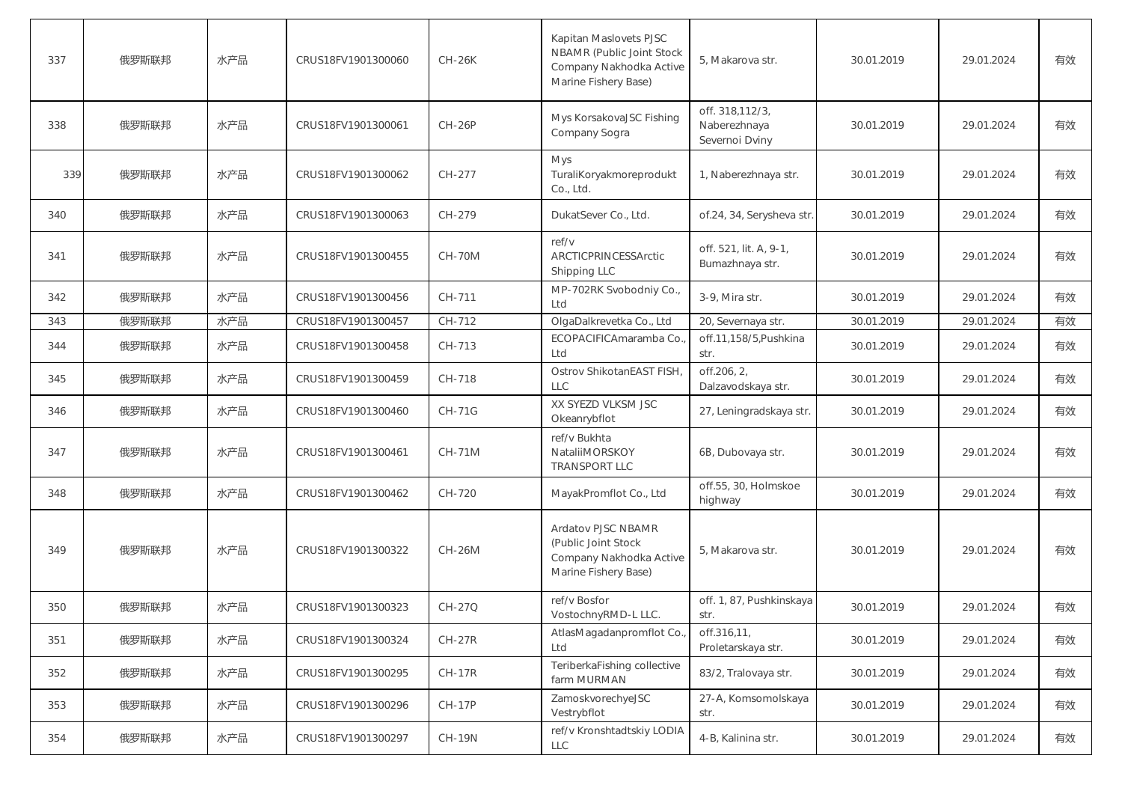| 337 | 俄罗斯联邦 | 水产品 | CRUS18FV1901300060 | <b>CH-26K</b> | Kapitan Maslovets PJSC<br>NBAMR (Public Joint Stock<br>Company Nakhodka Active<br>Marine Fishery Base) | 5, Makarova str.                                  | 30.01.2019 | 29.01.2024 | 有效 |
|-----|-------|-----|--------------------|---------------|--------------------------------------------------------------------------------------------------------|---------------------------------------------------|------------|------------|----|
| 338 | 俄罗斯联邦 | 水产品 | CRUS18FV1901300061 | <b>CH-26P</b> | Mys KorsakovaJSC Fishing<br>Company Sogra                                                              | off. 318,112/3,<br>Naberezhnaya<br>Severnoi Dviny | 30.01.2019 | 29.01.2024 | 有效 |
| 339 | 俄罗斯联邦 | 水产品 | CRUS18FV1901300062 | CH-277        | Mys<br>TuraliKoryakmoreprodukt<br>Co., Ltd.                                                            | 1, Naberezhnaya str.                              | 30.01.2019 | 29.01.2024 | 有效 |
| 340 | 俄罗斯联邦 | 水产品 | CRUS18FV1901300063 | CH-279        | DukatSever Co., Ltd.                                                                                   | of.24, 34, Serysheva str.                         | 30.01.2019 | 29.01.2024 | 有效 |
| 341 | 俄罗斯联邦 | 水产品 | CRUS18FV1901300455 | <b>CH-70M</b> | ref/v<br>ARCTICPRINCESSArctic<br>Shipping LLC                                                          | off. 521, lit. A, 9-1,<br>Bumazhnaya str.         | 30.01.2019 | 29.01.2024 | 有效 |
| 342 | 俄罗斯联邦 | 水产品 | CRUS18FV1901300456 | CH-711        | MP-702RK Svobodniy Co.,<br>Ltd                                                                         | 3-9. Mira str.                                    | 30.01.2019 | 29.01.2024 | 有效 |
| 343 | 俄罗斯联邦 | 水产品 | CRUS18FV1901300457 | CH-712        | OlgaDalkrevetka Co., Ltd                                                                               | 20, Severnaya str.                                | 30.01.2019 | 29.01.2024 | 有效 |
| 344 | 俄罗斯联邦 | 水产品 | CRUS18FV1901300458 | CH-713        | ECOPACIFICAmaramba Co.<br>Ltd                                                                          | off.11.158/5.Pushkina<br>str.                     | 30.01.2019 | 29.01.2024 | 有效 |
| 345 | 俄罗斯联邦 | 水产品 | CRUS18FV1901300459 | CH-718        | Ostrov ShikotanEAST FISH<br><b>LLC</b>                                                                 | off.206, 2,<br>Dalzavodskaya str.                 | 30.01.2019 | 29.01.2024 | 有效 |
| 346 | 俄罗斯联邦 | 水产品 | CRUS18FV1901300460 | <b>CH-71G</b> | XX SYEZD VLKSM JSC<br>Okeanrybflot                                                                     | 27, Leningradskaya str.                           | 30.01.2019 | 29.01.2024 | 有效 |
| 347 | 俄罗斯联邦 | 水产品 | CRUS18FV1901300461 | <b>CH-71M</b> | ref/v Bukhta<br>NataliiMORSKOY<br><b>TRANSPORT LLC</b>                                                 | 6B, Dubovaya str.                                 | 30.01.2019 | 29.01.2024 | 有效 |
| 348 | 俄罗斯联邦 | 水产品 | CRUS18FV1901300462 | CH-720        | MayakPromflot Co., Ltd                                                                                 | off.55, 30, Holmskoe<br>highway                   | 30.01.2019 | 29.01.2024 | 有效 |
| 349 | 俄罗斯联邦 | 水产品 | CRUS18FV1901300322 | <b>CH-26M</b> | Ardatov PJSC NBAMR<br>(Public Joint Stock<br>Company Nakhodka Active<br>Marine Fishery Base)           | 5, Makarova str.                                  | 30.01.2019 | 29.01.2024 | 有效 |
| 350 | 俄罗斯联邦 | 水产品 | CRUS18FV1901300323 | CH-27Q        | ref/v Bosfor<br>VostochnyRMD-L LLC.                                                                    | off. 1, 87, Pushkinskaya<br>str.                  | 30.01.2019 | 29.01.2024 | 有效 |
| 351 | 俄罗斯联邦 | 水产品 | CRUS18FV1901300324 | $CH-27R$      | AtlasMagadanpromflot Co.<br>Ltd                                                                        | off.316,11,<br>Proletarskaya str.                 | 30.01.2019 | 29.01.2024 | 有效 |
| 352 | 俄罗斯联邦 | 水产品 | CRUS18FV1901300295 | $CH-17R$      | TeriberkaFishing collective<br>farm MURMAN                                                             | 83/2, Tralovaya str.                              | 30.01.2019 | 29.01.2024 | 有效 |
| 353 | 俄罗斯联邦 | 水产品 | CRUS18FV1901300296 | <b>CH-17P</b> | ZamoskvorechyeJSC<br>Vestrybflot                                                                       | 27-A, Komsomolskaya<br>str.                       | 30.01.2019 | 29.01.2024 | 有效 |
| 354 | 俄罗斯联邦 | 水产品 | CRUS18FV1901300297 | <b>CH-19N</b> | ref/v Kronshtadtskiy LODIA<br><b>LLC</b>                                                               | 4-B, Kalinina str.                                | 30.01.2019 | 29.01.2024 | 有效 |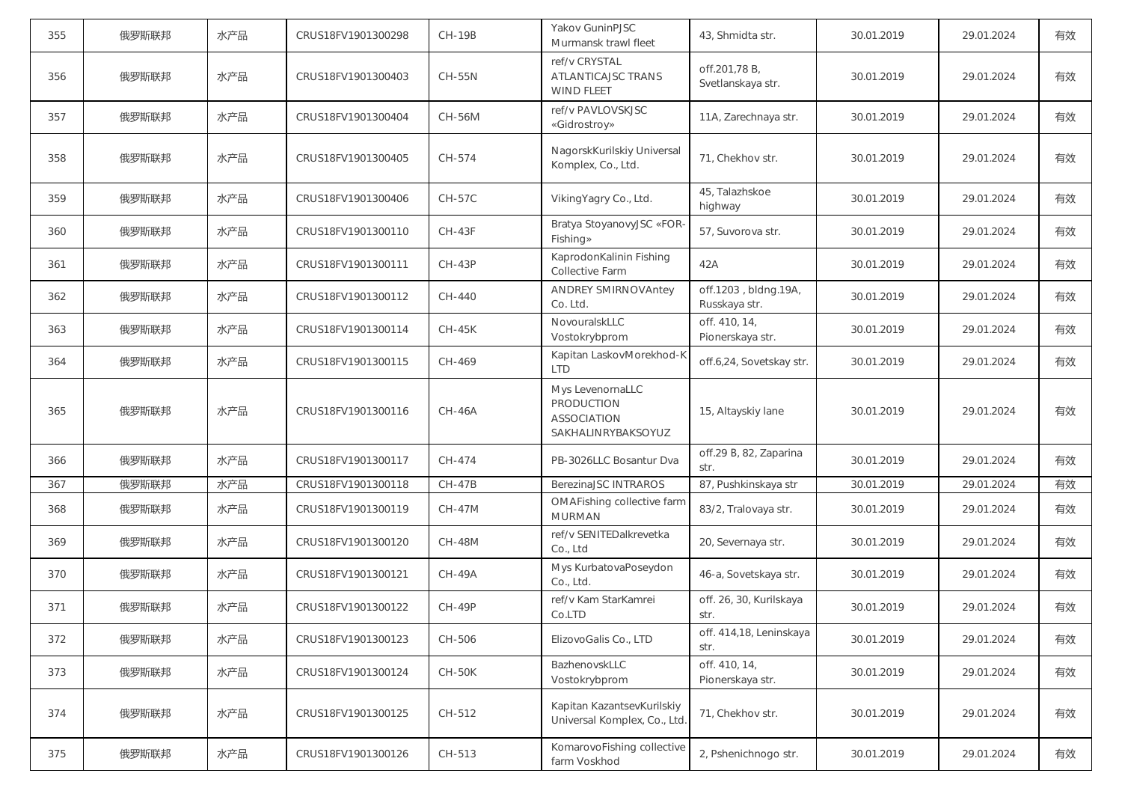| 355 | 俄罗斯联邦 | 水产品 | CRUS18FV1901300298 | <b>CH-19B</b> | Yakov GuninPJSC<br>Murmansk trawl fleet                             | 43, Shmidta str.                      | 30.01.2019 | 29.01.2024 | 有效 |
|-----|-------|-----|--------------------|---------------|---------------------------------------------------------------------|---------------------------------------|------------|------------|----|
| 356 | 俄罗斯联邦 | 水产品 | CRUS18FV1901300403 | <b>CH-55N</b> | ref/v CRYSTAL<br>ATLANTICAJSC TRANS<br><b>WIND FLEET</b>            | off.201,78 B,<br>Svetlanskaya str.    | 30.01.2019 | 29.01.2024 | 有效 |
| 357 | 俄罗斯联邦 | 水产品 | CRUS18FV1901300404 | CH-56M        | ref/v PAVLOVSKJSC<br>«Gidrostroy»                                   | 11A, Zarechnaya str.                  | 30.01.2019 | 29.01.2024 | 有效 |
| 358 | 俄罗斯联邦 | 水产品 | CRUS18FV1901300405 | CH-574        | NagorskKurilskiy Universal<br>Komplex, Co., Ltd.                    | 71, Chekhov str.                      | 30.01.2019 | 29.01.2024 | 有效 |
| 359 | 俄罗斯联邦 | 水产品 | CRUS18FV1901300406 | <b>CH-57C</b> | VikingYagry Co., Ltd.                                               | 45, Talazhskoe<br>highway             | 30.01.2019 | 29.01.2024 | 有效 |
| 360 | 俄罗斯联邦 | 水产品 | CRUS18FV1901300110 | <b>CH-43F</b> | Bratya StoyanovyJSC «FOR-<br>Fishing»                               | 57, Suvorova str.                     | 30.01.2019 | 29.01.2024 | 有效 |
| 361 | 俄罗斯联邦 | 水产品 | CRUS18FV1901300111 | <b>CH-43P</b> | KaprodonKalinin Fishing<br>Collective Farm                          | 42A                                   | 30.01.2019 | 29.01.2024 | 有效 |
| 362 | 俄罗斯联邦 | 水产品 | CRUS18FV1901300112 | CH-440        | <b>ANDREY SMIRNOVAntey</b><br>Co. Ltd.                              | off.1203, bldng.19A,<br>Russkaya str. | 30.01.2019 | 29.01.2024 | 有效 |
| 363 | 俄罗斯联邦 | 水产品 | CRUS18FV1901300114 | <b>CH-45K</b> | NovouralskLLC<br>Vostokrybprom                                      | off. 410, 14,<br>Pionerskaya str.     | 30.01.2019 | 29.01.2024 | 有效 |
| 364 | 俄罗斯联邦 | 水产品 | CRUS18FV1901300115 | CH-469        | Kapitan LaskovMorekhod-K<br><b>LTD</b>                              | off.6,24, Sovetskay str.              | 30.01.2019 | 29.01.2024 | 有效 |
| 365 | 俄罗斯联邦 | 水产品 | CRUS18FV1901300116 | <b>CH-46A</b> | Mys LevenornaLLC<br>PRODUCTION<br>ASSOCIATION<br>SAKHALINRYBAKSOYUZ | 15, Altayskiy lane                    | 30.01.2019 | 29.01.2024 | 有效 |
| 366 | 俄罗斯联邦 | 水产品 | CRUS18FV1901300117 | CH-474        | PB-3026LLC Bosantur Dva                                             | off.29 B, 82, Zaparina<br>str.        | 30.01.2019 | 29.01.2024 | 有效 |
| 367 | 俄罗斯联邦 | 水产品 | CRUS18FV1901300118 | <b>CH-47B</b> | BerezinaJSC INTRAROS                                                | 87, Pushkinskaya str                  | 30.01.2019 | 29.01.2024 | 有效 |
| 368 | 俄罗斯联邦 | 水产品 | CRUS18FV1901300119 | <b>CH-47M</b> | OMAFishing collective farm<br><b>MURMAN</b>                         | 83/2, Tralovaya str.                  | 30.01.2019 | 29.01.2024 | 有效 |
| 369 | 俄罗斯联邦 | 水产品 | CRUS18FV1901300120 | <b>CH-48M</b> | ref/v SENITEDalkrevetka<br>Co., Ltd                                 | 20, Severnaya str.                    | 30.01.2019 | 29.01.2024 | 有效 |
| 370 | 俄罗斯联邦 | 水产品 | CRUS18FV1901300121 | <b>CH-49A</b> | Mys KurbatovaPoseydon<br>Co., Ltd.                                  | 46-a, Sovetskaya str.                 | 30.01.2019 | 29.01.2024 | 有效 |
| 371 | 俄罗斯联邦 | 水产品 | CRUS18FV1901300122 | <b>CH-49P</b> | ref/v Kam StarKamrei<br>Co.LTD                                      | off. 26, 30, Kurilskaya<br>str.       | 30.01.2019 | 29.01.2024 | 有效 |
| 372 | 俄罗斯联邦 | 水产品 | CRUS18FV1901300123 | CH-506        | ElizovoGalis Co., LTD                                               | off. 414,18, Leninskaya<br>str.       | 30.01.2019 | 29.01.2024 | 有效 |
| 373 | 俄罗斯联邦 | 水产品 | CRUS18FV1901300124 | CH-50K        | BazhenovskLLC<br>Vostokrybprom                                      | off. 410, 14,<br>Pionerskaya str.     | 30.01.2019 | 29.01.2024 | 有效 |
| 374 | 俄罗斯联邦 | 水产品 | CRUS18FV1901300125 | CH-512        | Kapitan KazantsevKurilskiy<br>Universal Komplex, Co., Ltd.          | 71, Chekhov str.                      | 30.01.2019 | 29.01.2024 | 有效 |
| 375 | 俄罗斯联邦 | 水产品 | CRUS18FV1901300126 | CH-513        | KomarovoFishing collective<br>farm Voskhod                          | 2, Pshenichnogo str.                  | 30.01.2019 | 29.01.2024 | 有效 |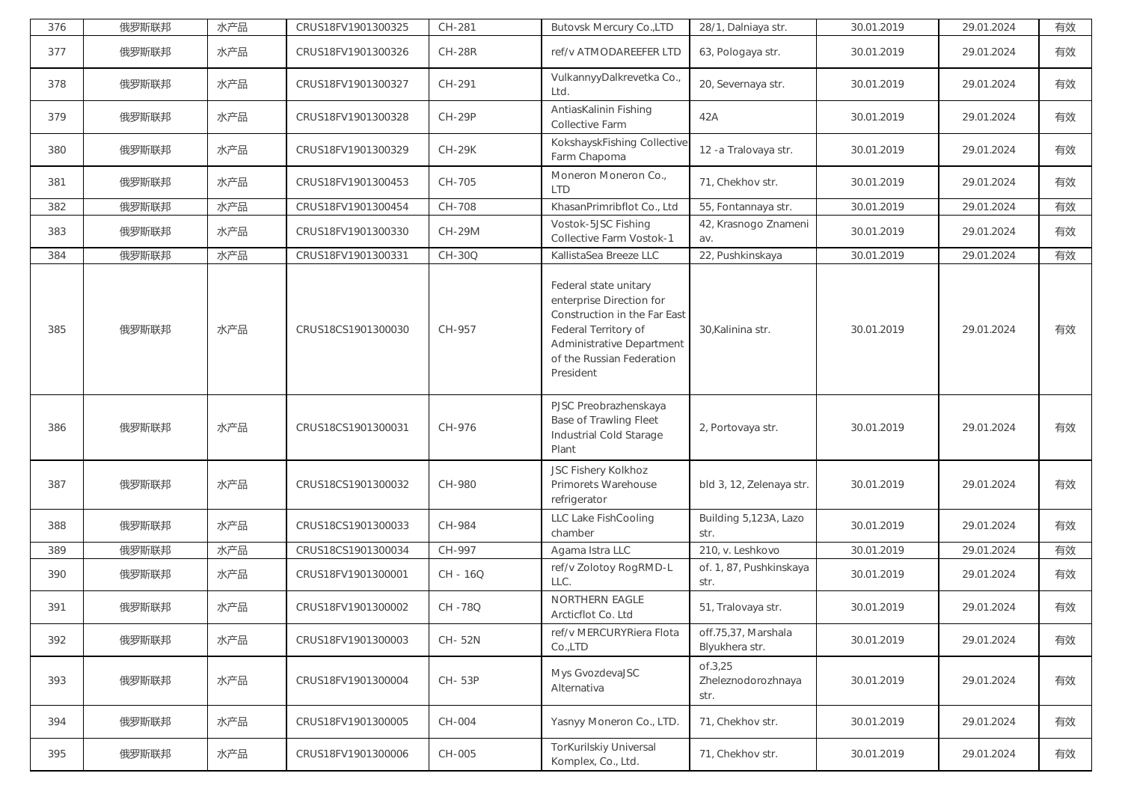| 376 | 俄罗斯联邦 | 水产品 | CRUS18FV1901300325 | CH-281        | <b>Butovsk Mercury Co., LTD</b>                                                                                                                                                         | 28/1, Dalniaya str.                   | 30.01.2019 | 29.01.2024 | 有效 |
|-----|-------|-----|--------------------|---------------|-----------------------------------------------------------------------------------------------------------------------------------------------------------------------------------------|---------------------------------------|------------|------------|----|
| 377 | 俄罗斯联邦 | 水产品 | CRUS18FV1901300326 | <b>CH-28R</b> | ref/v ATMODAREEFER LTD                                                                                                                                                                  | 63, Pologaya str.                     | 30.01.2019 | 29.01.2024 | 有效 |
| 378 | 俄罗斯联邦 | 水产品 | CRUS18FV1901300327 | CH-291        | VulkannyyDalkrevetka Co.,<br>Ltd.                                                                                                                                                       | 20, Severnaya str.                    | 30.01.2019 | 29.01.2024 | 有效 |
| 379 | 俄罗斯联邦 | 水产品 | CRUS18FV1901300328 | <b>CH-29P</b> | AntiasKalinin Fishing<br>Collective Farm                                                                                                                                                | 42A                                   | 30.01.2019 | 29.01.2024 | 有效 |
| 380 | 俄罗斯联邦 | 水产品 | CRUS18FV1901300329 | <b>CH-29K</b> | KokshayskFishing Collective<br>Farm Chapoma                                                                                                                                             | 12 - a Tralovaya str.                 | 30.01.2019 | 29.01.2024 | 有效 |
| 381 | 俄罗斯联邦 | 水产品 | CRUS18FV1901300453 | CH-705        | Moneron Moneron Co.,<br><b>LTD</b>                                                                                                                                                      | 71, Chekhov str.                      | 30.01.2019 | 29.01.2024 | 有效 |
| 382 | 俄罗斯联邦 | 水产品 | CRUS18FV1901300454 | CH-708        | KhasanPrimribflot Co., Ltd                                                                                                                                                              | 55, Fontannaya str.                   | 30.01.2019 | 29.01.2024 | 有效 |
| 383 | 俄罗斯联邦 | 水产品 | CRUS18FV1901300330 | CH-29M        | Vostok-5JSC Fishing<br>Collective Farm Vostok-1                                                                                                                                         | 42, Krasnogo Znameni<br>av.           | 30.01.2019 | 29.01.2024 | 有效 |
| 384 | 俄罗斯联邦 | 水产品 | CRUS18FV1901300331 | CH-30Q        | KallistaSea Breeze LLC                                                                                                                                                                  | 22, Pushkinskaya                      | 30.01.2019 | 29.01.2024 | 有效 |
| 385 | 俄罗斯联邦 | 水产品 | CRUS18CS1901300030 | CH-957        | Federal state unitary<br>enterprise Direction for<br>Construction in the Far East<br>Federal Territory of<br><b>Administrative Department</b><br>of the Russian Federation<br>President | 30, Kalinina str.                     | 30.01.2019 | 29.01.2024 | 有效 |
| 386 | 俄罗斯联邦 | 水产品 | CRUS18CS1901300031 | CH-976        | PJSC Preobrazhenskaya<br><b>Base of Trawling Fleet</b><br>Industrial Cold Starage<br>Plant                                                                                              | 2, Portovaya str.                     | 30.01.2019 | 29.01.2024 | 有效 |
| 387 | 俄罗斯联邦 | 水产品 | CRUS18CS1901300032 | CH-980        | JSC Fishery Kolkhoz<br>Primorets Warehouse<br>refrigerator                                                                                                                              | bld 3, 12, Zelenaya str.              | 30.01.2019 | 29.01.2024 | 有效 |
| 388 | 俄罗斯联邦 | 水产品 | CRUS18CS1901300033 | CH-984        | LLC Lake FishCooling<br>chamber                                                                                                                                                         | Building 5,123A, Lazo<br>str.         | 30.01.2019 | 29.01.2024 | 有效 |
| 389 | 俄罗斯联邦 | 水产品 | CRUS18CS1901300034 | CH-997        | Agama Istra LLC                                                                                                                                                                         | 210, v. Leshkovo                      | 30.01.2019 | 29.01.2024 | 有效 |
| 390 | 俄罗斯联邦 | 水产品 | CRUS18FV1901300001 | CH - 16Q      | ref/v Zolotoy RogRMD-L<br>LLC.                                                                                                                                                          | of. 1, 87, Pushkinskaya<br>str.       | 30.01.2019 | 29.01.2024 | 有效 |
| 391 | 俄罗斯联邦 | 水产品 | CRUS18FV1901300002 | CH-78Q        | <b>NORTHERN EAGLE</b><br>Arcticflot Co. Ltd                                                                                                                                             | 51, Tralovaya str.                    | 30.01.2019 | 29.01.2024 | 有效 |
| 392 | 俄罗斯联邦 | 水产品 | CRUS18FV1901300003 | CH-52N        | ref/v MERCURYRiera Flota<br>Co.,LTD                                                                                                                                                     | off.75,37, Marshala<br>Blyukhera str. | 30.01.2019 | 29.01.2024 | 有效 |
|     |       |     |                    |               |                                                                                                                                                                                         | of.3,25                               |            |            |    |
| 393 | 俄罗斯联邦 | 水产品 | CRUS18FV1901300004 | CH-53P        | Mys GvozdevaJSC<br>Alternativa                                                                                                                                                          | Zheleznodorozhnaya<br>str.            | 30.01.2019 | 29.01.2024 | 有效 |
| 394 | 俄罗斯联邦 | 水产品 | CRUS18FV1901300005 | CH-004        | Yasnyy Moneron Co., LTD.                                                                                                                                                                | 71, Chekhov str.                      | 30.01.2019 | 29.01.2024 | 有效 |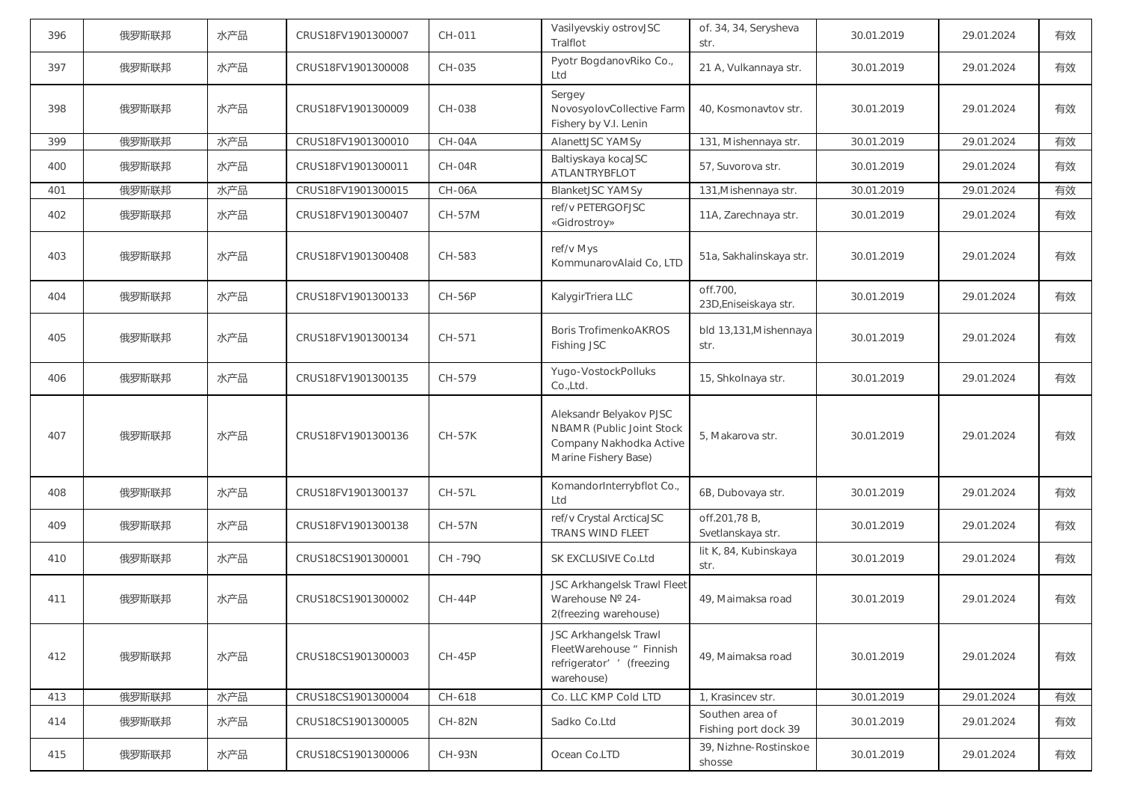| 396 | 俄罗斯联邦 | 水产品 | CRUS18FV1901300007 | CH-011        | Vasilyevskiy ostrovJSC<br>Tralflot                                                                      | of. 34, 34, Serysheva<br>str.           | 30.01.2019 | 29.01.2024 | 有效 |
|-----|-------|-----|--------------------|---------------|---------------------------------------------------------------------------------------------------------|-----------------------------------------|------------|------------|----|
| 397 | 俄罗斯联邦 | 水产品 | CRUS18FV1901300008 | CH-035        | Pyotr BogdanovRiko Co.,<br>Ltd                                                                          | 21 A, Vulkannaya str.                   | 30.01.2019 | 29.01.2024 | 有效 |
| 398 | 俄罗斯联邦 | 水产品 | CRUS18FV1901300009 | CH-038        | Sergey<br>NovosyolovCollective Farm<br>Fishery by V.I. Lenin                                            | 40, Kosmonavtov str.                    | 30.01.2019 | 29.01.2024 | 有效 |
| 399 | 俄罗斯联邦 | 水产品 | CRUS18FV1901300010 | CH-04A        | AlanettJSC YAMSy                                                                                        | 131, Mishennaya str.                    | 30.01.2019 | 29.01.2024 | 有效 |
| 400 | 俄罗斯联邦 | 水产品 | CRUS18FV1901300011 | CH-04R        | Baltiyskaya kocaJSC<br>ATLANTRYBFLOT                                                                    | 57, Suvorova str.                       | 30.01.2019 | 29.01.2024 | 有效 |
| 401 | 俄罗斯联邦 | 水产品 | CRUS18FV1901300015 | CH-06A        | <b>BlanketJSC YAMSy</b>                                                                                 | 131, Mishennaya str.                    | 30.01.2019 | 29.01.2024 | 有效 |
| 402 | 俄罗斯联邦 | 水产品 | CRUS18FV1901300407 | CH-57M        | ref/v PETERGOFJSC<br>«Gidrostroy»                                                                       | 11A, Zarechnaya str.                    | 30.01.2019 | 29.01.2024 | 有效 |
| 403 | 俄罗斯联邦 | 水产品 | CRUS18FV1901300408 | CH-583        | ref/v Mys<br>KommunarovAlaid Co, LTD                                                                    | 51a, Sakhalinskaya str.                 | 30.01.2019 | 29.01.2024 | 有效 |
| 404 | 俄罗斯联邦 | 水产品 | CRUS18FV1901300133 | <b>CH-56P</b> | KalygirTriera LLC                                                                                       | off.700,<br>23D, Eniseiskaya str.       | 30.01.2019 | 29.01.2024 | 有效 |
| 405 | 俄罗斯联邦 | 水产品 | CRUS18FV1901300134 | CH-571        | <b>Boris TrofimenkoAKROS</b><br>Fishing JSC                                                             | bld 13,131, Mishennaya<br>str.          | 30.01.2019 | 29.01.2024 | 有效 |
| 406 | 俄罗斯联邦 | 水产品 | CRUS18FV1901300135 | CH-579        | Yugo-VostockPolluks<br>Co.,Ltd.                                                                         | 15, Shkolnaya str.                      | 30.01.2019 | 29.01.2024 | 有效 |
| 407 | 俄罗斯联邦 | 水产品 | CRUS18FV1901300136 | <b>CH-57K</b> | Aleksandr Belyakov PJSC<br>NBAMR (Public Joint Stock<br>Company Nakhodka Active<br>Marine Fishery Base) | 5, Makarova str.                        | 30.01.2019 | 29.01.2024 | 有效 |
| 408 | 俄罗斯联邦 | 水产品 | CRUS18FV1901300137 | <b>CH-57L</b> | KomandorInterrybflot Co.,<br>Ltd                                                                        | 6B, Dubovaya str.                       | 30.01.2019 | 29.01.2024 | 有效 |
| 409 | 俄罗斯联邦 | 水产品 | CRUS18FV1901300138 | <b>CH-57N</b> | ref/v Crystal ArcticaJSC<br><b>TRANS WIND FLEET</b>                                                     | off.201,78 B,<br>Svetlanskaya str.      | 30.01.2019 | 29.01.2024 | 有效 |
| 410 | 俄罗斯联邦 | 水产品 | CRUS18CS1901300001 | CH-79Q        | SK EXCLUSIVE Co.Ltd                                                                                     | lit K, 84, Kubinskaya<br>str.           | 30.01.2019 | 29.01.2024 | 有效 |
| 411 | 俄罗斯联邦 | 水产品 | CRUS18CS1901300002 | <b>CH-44P</b> | JSC Arkhangelsk Trawl Fleet<br>Warehouse Nº 24-<br>2(freezing warehouse)                                | 49, Maimaksa road                       | 30.01.2019 | 29.01.2024 | 有效 |
| 412 | 俄罗斯联邦 | 水产品 | CRUS18CS1901300003 | <b>CH-45P</b> | JSC Arkhangelsk Trawl<br>FleetWarehouse " Finnish<br>refrigerator' ' (freezing<br>warehouse)            | 49, Maimaksa road                       | 30.01.2019 | 29.01.2024 | 有效 |
| 413 | 俄罗斯联邦 | 水产品 | CRUS18CS1901300004 | CH-618        | Co. LLC KMP Cold LTD                                                                                    | 1, Krasincev str.                       | 30.01.2019 | 29.01.2024 | 有效 |
| 414 | 俄罗斯联邦 | 水产品 | CRUS18CS1901300005 | <b>CH-82N</b> | Sadko Co.Ltd                                                                                            | Southen area of<br>Fishing port dock 39 | 30.01.2019 | 29.01.2024 | 有效 |
| 415 | 俄罗斯联邦 | 水产品 | CRUS18CS1901300006 | CH-93N        | Ocean Co.LTD                                                                                            | 39, Nizhne-Rostinskoe<br>shosse         | 30.01.2019 | 29.01.2024 | 有效 |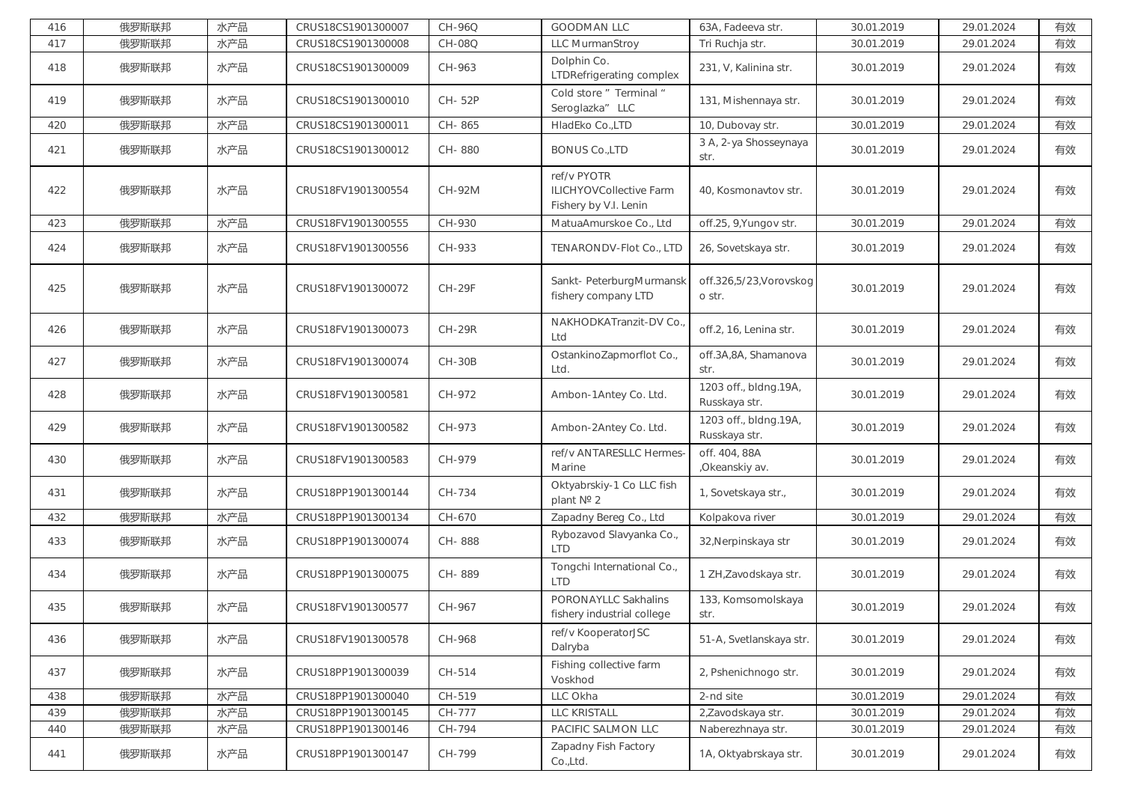| 416 | 俄罗斯联邦 | 水产品 | CRUS18CS1901300007 | CH-96Q        | <b>GOODMAN LLC</b>                                              | 63A, Fadeeva str.                      | 30.01.2019 | 29.01.2024 | 有效 |
|-----|-------|-----|--------------------|---------------|-----------------------------------------------------------------|----------------------------------------|------------|------------|----|
| 417 | 俄罗斯联邦 | 水产品 | CRUS18CS1901300008 | <b>CH-08Q</b> | LLC MurmanStroy                                                 | Tri Ruchja str.                        | 30.01.2019 | 29.01.2024 | 有效 |
| 418 | 俄罗斯联邦 | 水产品 | CRUS18CS1901300009 | CH-963        | Dolphin Co.<br>LTDRefrigerating complex                         | 231, V, Kalinina str.                  | 30.01.2019 | 29.01.2024 | 有效 |
| 419 | 俄罗斯联邦 | 水产品 | CRUS18CS1901300010 | CH-52P        | Cold store " Terminal "<br>Seroglazka" LLC                      | 131, Mishennaya str.                   | 30.01.2019 | 29.01.2024 | 有效 |
| 420 | 俄罗斯联邦 | 水产品 | CRUS18CS1901300011 | CH-865        | HladEko Co.,LTD                                                 | 10, Dubovay str.                       | 30.01.2019 | 29.01.2024 | 有效 |
| 421 | 俄罗斯联邦 | 水产品 | CRUS18CS1901300012 | CH-880        | <b>BONUS Co.,LTD</b>                                            | 3 A, 2-ya Shosseynaya<br>str.          | 30.01.2019 | 29.01.2024 | 有效 |
| 422 | 俄罗斯联邦 | 水产品 | CRUS18FV1901300554 | <b>CH-92M</b> | ref/v PYOTR<br>ILICHYOVCollective Farm<br>Fishery by V.I. Lenin | 40, Kosmonavtov str.                   | 30.01.2019 | 29.01.2024 | 有效 |
| 423 | 俄罗斯联邦 | 水产品 | CRUS18FV1901300555 | CH-930        | MatuaAmurskoe Co., Ltd                                          | off.25, 9, Yungov str.                 | 30.01.2019 | 29.01.2024 | 有效 |
| 424 | 俄罗斯联邦 | 水产品 | CRUS18FV1901300556 | CH-933        | TENARONDV-Flot Co., LTD                                         | 26, Sovetskaya str.                    | 30.01.2019 | 29.01.2024 | 有效 |
| 425 | 俄罗斯联邦 | 水产品 | CRUS18FV1901300072 | <b>CH-29F</b> | Sankt- PeterburgMurmansk<br>fishery company LTD                 | off.326,5/23, Vorovskog<br>o str.      | 30.01.2019 | 29.01.2024 | 有效 |
| 426 | 俄罗斯联邦 | 水产品 | CRUS18FV1901300073 | <b>CH-29R</b> | NAKHODKATranzit-DV Co.<br>Ltd                                   | off.2, 16, Lenina str.                 | 30.01.2019 | 29.01.2024 | 有效 |
| 427 | 俄罗斯联邦 | 水产品 | CRUS18FV1901300074 | <b>CH-30B</b> | OstankinoZapmorflot Co.,<br>Ltd.                                | off.3A,8A, Shamanova<br>str.           | 30.01.2019 | 29.01.2024 | 有效 |
| 428 | 俄罗斯联邦 | 水产品 | CRUS18FV1901300581 | CH-972        | Ambon-1Antey Co. Ltd.                                           | 1203 off., bldng.19A,<br>Russkaya str. | 30.01.2019 | 29.01.2024 | 有效 |
| 429 | 俄罗斯联邦 | 水产品 | CRUS18FV1901300582 | CH-973        | Ambon-2Antey Co. Ltd.                                           | 1203 off., bldng.19A,<br>Russkaya str. | 30.01.2019 | 29.01.2024 | 有效 |
| 430 | 俄罗斯联邦 | 水产品 | CRUS18FV1901300583 | CH-979        | ref/v ANTARESLLC Hermes-<br>Marine                              | off. 404, 88A<br>, Okeanskiy av.       | 30.01.2019 | 29.01.2024 | 有效 |
| 431 | 俄罗斯联邦 | 水产品 | CRUS18PP1901300144 | CH-734        | Oktyabrskiy-1 Co LLC fish<br>plant Nº 2                         | 1, Sovetskaya str.,                    | 30.01.2019 | 29.01.2024 | 有效 |
| 432 | 俄罗斯联邦 | 水产品 | CRUS18PP1901300134 | CH-670        | Zapadny Bereg Co., Ltd                                          | Kolpakova river                        | 30.01.2019 | 29.01.2024 | 有效 |
| 433 | 俄罗斯联邦 | 水产品 | CRUS18PP1901300074 | CH-888        | Rybozavod Slavyanka Co.,<br><b>LTD</b>                          | 32, Nerpinskaya str                    | 30.01.2019 | 29.01.2024 | 有效 |
| 434 | 俄罗斯联邦 | 水产品 | CRUS18PP1901300075 | CH-889        | Tongchi International Co.,<br><b>LTD</b>                        | 1 ZH, Zavodskaya str.                  | 30.01.2019 | 29.01.2024 | 有效 |
| 435 | 俄罗斯联邦 | 水产品 | CRUS18FV1901300577 | CH-967        | <b>PORONAYLLC Sakhalins</b><br>fishery industrial college       | 133, Komsomolskaya<br>str.             | 30.01.2019 | 29.01.2024 | 有效 |
| 436 | 俄罗斯联邦 | 水产品 | CRUS18FV1901300578 | CH-968        | ref/v KooperatorJSC<br>Dalryba                                  | 51-A, Svetlanskaya str.                | 30.01.2019 | 29.01.2024 | 有效 |
| 437 | 俄罗斯联邦 | 水产品 | CRUS18PP1901300039 | CH-514        | Fishing collective farm<br>Voskhod                              | 2, Pshenichnogo str.                   | 30.01.2019 | 29.01.2024 | 有效 |
| 438 | 俄罗斯联邦 | 水产品 | CRUS18PP1901300040 | CH-519        | LLC Okha                                                        | 2-nd site                              | 30.01.2019 | 29.01.2024 | 有效 |
| 439 | 俄罗斯联邦 | 水产品 | CRUS18PP1901300145 | CH-777        | LLC KRISTALL                                                    | 2, Zavodskaya str.                     | 30.01.2019 | 29.01.2024 | 有效 |
| 440 | 俄罗斯联邦 | 水产品 | CRUS18PP1901300146 | CH-794        | PACIFIC SALMON LLC                                              | Naberezhnaya str.                      | 30.01.2019 | 29.01.2024 | 有效 |
| 441 | 俄罗斯联邦 | 水产品 | CRUS18PP1901300147 | CH-799        | Zapadny Fish Factory<br>Co.,Ltd.                                | 1A, Oktyabrskaya str.                  | 30.01.2019 | 29.01.2024 | 有效 |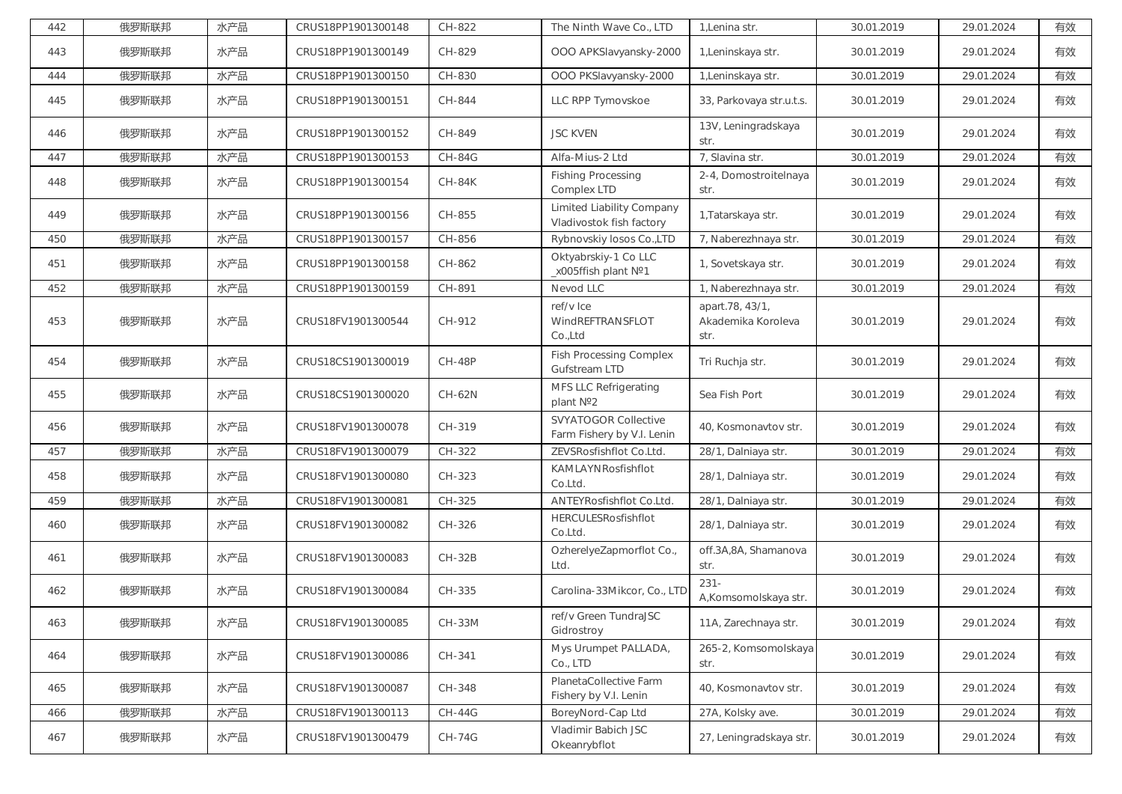| 442 | 俄罗斯联邦 | 水产品 | CRUS18PP1901300148 | CH-822        | The Ninth Wave Co., LTD                                   | 1, Lenina str.                                | 30.01.2019 | 29.01.2024 | 有效 |
|-----|-------|-----|--------------------|---------------|-----------------------------------------------------------|-----------------------------------------------|------------|------------|----|
| 443 | 俄罗斯联邦 | 水产品 | CRUS18PP1901300149 | CH-829        | OOO APKSlavyansky-2000                                    | 1, Leninskaya str.                            | 30.01.2019 | 29.01.2024 | 有效 |
| 444 | 俄罗斯联邦 | 水产品 | CRUS18PP1901300150 | CH-830        | OOO PKSlavyansky-2000                                     | 1, Leninskaya str.                            | 30.01.2019 | 29.01.2024 | 有效 |
| 445 | 俄罗斯联邦 | 水产品 | CRUS18PP1901300151 | CH-844        | LLC RPP Tymovskoe                                         | 33, Parkovaya str.u.t.s.                      | 30.01.2019 | 29.01.2024 | 有效 |
| 446 | 俄罗斯联邦 | 水产品 | CRUS18PP1901300152 | CH-849        | <b>JSC KVEN</b>                                           | 13V, Leningradskaya<br>str.                   | 30.01.2019 | 29.01.2024 | 有效 |
| 447 | 俄罗斯联邦 | 水产品 | CRUS18PP1901300153 | <b>CH-84G</b> | Alfa-Mius-2 Ltd                                           | 7, Slavina str.                               | 30.01.2019 | 29.01.2024 | 有效 |
| 448 | 俄罗斯联邦 | 水产品 | CRUS18PP1901300154 | <b>CH-84K</b> | <b>Fishing Processing</b><br>Complex LTD                  | 2-4, Domostroitelnaya<br>str.                 | 30.01.2019 | 29.01.2024 | 有效 |
| 449 | 俄罗斯联邦 | 水产品 | CRUS18PP1901300156 | CH-855        | Limited Liability Company<br>Vladivostok fish factory     | 1, Tatarskaya str.                            | 30.01.2019 | 29.01.2024 | 有效 |
| 450 | 俄罗斯联邦 | 水产品 | CRUS18PP1901300157 | CH-856        | Rybnovskiy losos Co.,LTD                                  | 7, Naberezhnaya str.                          | 30.01.2019 | 29.01.2024 | 有效 |
| 451 | 俄罗斯联邦 | 水产品 | CRUS18PP1901300158 | CH-862        | Oktyabrskiy-1 Co LLC<br>_x005ffish plant Nº1              | 1, Sovetskaya str.                            | 30.01.2019 | 29.01.2024 | 有效 |
| 452 | 俄罗斯联邦 | 水产品 | CRUS18PP1901300159 | CH-891        | Nevod LLC                                                 | 1, Naberezhnaya str.                          | 30.01.2019 | 29.01.2024 | 有效 |
| 453 | 俄罗斯联邦 | 水产品 | CRUS18FV1901300544 | CH-912        | ref/v Ice<br>WindREFTRANSFLOT<br>Co.,Ltd                  | apart.78, 43/1,<br>Akademika Koroleva<br>str. | 30.01.2019 | 29.01.2024 | 有效 |
| 454 | 俄罗斯联邦 | 水产品 | CRUS18CS1901300019 | <b>CH-48P</b> | <b>Fish Processing Complex</b><br><b>Gufstream LTD</b>    | Tri Ruchja str.                               | 30.01.2019 | 29.01.2024 | 有效 |
| 455 | 俄罗斯联邦 | 水产品 | CRUS18CS1901300020 | CH-62N        | MFS LLC Refrigerating<br>plant Nº2                        | Sea Fish Port                                 | 30.01.2019 | 29.01.2024 | 有效 |
| 456 | 俄罗斯联邦 | 水产品 | CRUS18FV1901300078 | CH-319        | <b>SVYATOGOR Collective</b><br>Farm Fishery by V.I. Lenin | 40, Kosmonavtov str.                          | 30.01.2019 | 29.01.2024 | 有效 |
| 457 | 俄罗斯联邦 | 水产品 | CRUS18FV1901300079 | CH-322        | ZEVSRosfishflot Co.Ltd.                                   | 28/1, Dalniaya str.                           | 30.01.2019 | 29.01.2024 | 有效 |
| 458 | 俄罗斯联邦 | 水产品 | CRUS18FV1901300080 | CH-323        | KAMLAYNRosfishflot<br>Co.Ltd.                             | 28/1, Dalniaya str.                           | 30.01.2019 | 29.01.2024 | 有效 |
| 459 | 俄罗斯联邦 | 水产品 | CRUS18FV1901300081 | CH-325        | ANTEYRosfishflot Co.Ltd.                                  | 28/1, Dalniaya str.                           | 30.01.2019 | 29.01.2024 | 有效 |
| 460 | 俄罗斯联邦 | 水产品 | CRUS18FV1901300082 | CH-326        | HERCULESRosfishflot<br>Co.Ltd.                            | 28/1, Dalniaya str.                           | 30.01.2019 | 29.01.2024 | 有效 |
| 461 | 俄罗斯联邦 | 水产品 | CRUS18FV1901300083 | <b>CH-32B</b> | OzherelyeZapmorflot Co.,<br>Ltd.                          | off.3A,8A, Shamanova<br>str.                  | 30.01.2019 | 29.01.2024 | 有效 |
| 462 | 俄罗斯联邦 | 水产品 | CRUS18FV1901300084 | CH-335        | Carolina-33Mikcor, Co., LTD                               | $231 -$<br>A,Komsomolskaya str.               | 30.01.2019 | 29.01.2024 | 有效 |
| 463 | 俄罗斯联邦 | 水产品 | CRUS18FV1901300085 | $CH-33M$      | ref/v Green TundraJSC<br>Gidrostroy                       | 11A, Zarechnaya str.                          | 30.01.2019 | 29.01.2024 | 有效 |
| 464 | 俄罗斯联邦 | 水产品 | CRUS18FV1901300086 | CH-341        | Mys Urumpet PALLADA,<br>Co., LTD                          | 265-2, Komsomolskaya<br>str.                  | 30.01.2019 | 29.01.2024 | 有效 |
| 465 | 俄罗斯联邦 | 水产品 | CRUS18FV1901300087 | CH-348        | PlanetaCollective Farm<br>Fishery by V.I. Lenin           | 40, Kosmonavtov str.                          | 30.01.2019 | 29.01.2024 | 有效 |
| 466 | 俄罗斯联邦 | 水产品 | CRUS18FV1901300113 | <b>CH-44G</b> | BoreyNord-Cap Ltd                                         | 27A, Kolsky ave.                              | 30.01.2019 | 29.01.2024 | 有效 |
| 467 | 俄罗斯联邦 | 水产品 | CRUS18FV1901300479 | <b>CH-74G</b> | Vladimir Babich JSC<br>Okeanrybflot                       | 27, Leningradskaya str.                       | 30.01.2019 | 29.01.2024 | 有效 |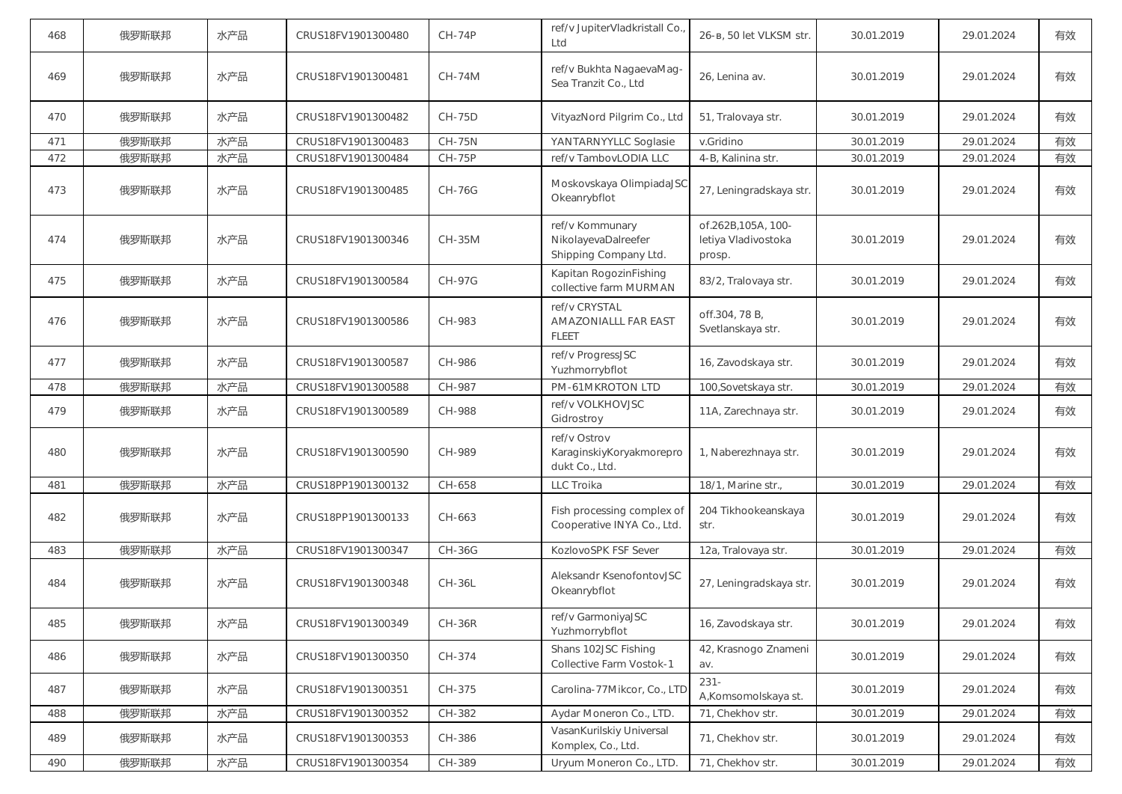| 468 | 俄罗斯联邦 | 水产品 | CRUS18FV1901300480 | <b>CH-74P</b> | ref/v JupiterVladkristall Co.,<br>Ltd                           | 26-в, 50 let VLKSM str.                             | 30.01.2019 | 29.01.2024 | 有效 |
|-----|-------|-----|--------------------|---------------|-----------------------------------------------------------------|-----------------------------------------------------|------------|------------|----|
| 469 | 俄罗斯联邦 | 水产品 | CRUS18FV1901300481 | CH-74M        | ref/v Bukhta NagaevaMag-<br>Sea Tranzit Co., Ltd                | 26, Lenina av.                                      | 30.01.2019 | 29.01.2024 | 有效 |
| 470 | 俄罗斯联邦 | 水产品 | CRUS18FV1901300482 | <b>CH-75D</b> | VityazNord Pilgrim Co., Ltd                                     | 51, Tralovaya str.                                  | 30.01.2019 | 29.01.2024 | 有效 |
| 471 | 俄罗斯联邦 | 水产品 | CRUS18FV1901300483 | <b>CH-75N</b> | YANTARNYYLLC Soglasie                                           | v.Gridino                                           | 30.01.2019 | 29.01.2024 | 有效 |
| 472 | 俄罗斯联邦 | 水产品 | CRUS18FV1901300484 | CH-75P        | ref/v TambovLODIA LLC                                           | 4-B, Kalinina str.                                  | 30.01.2019 | 29.01.2024 | 有效 |
| 473 | 俄罗斯联邦 | 水产品 | CRUS18FV1901300485 | <b>CH-76G</b> | Moskovskaya OlimpiadaJSC<br>Okeanrybflot                        | 27, Leningradskaya str.                             | 30.01.2019 | 29.01.2024 | 有效 |
| 474 | 俄罗斯联邦 | 水产品 | CRUS18FV1901300346 | CH-35M        | ref/v Kommunary<br>NikolayevaDalreefer<br>Shipping Company Ltd. | of.262B,105A, 100-<br>letiya Vladivostoka<br>prosp. | 30.01.2019 | 29.01.2024 | 有效 |
| 475 | 俄罗斯联邦 | 水产品 | CRUS18FV1901300584 | <b>CH-97G</b> | Kapitan RogozinFishing<br>collective farm MURMAN                | 83/2, Tralovaya str.                                | 30.01.2019 | 29.01.2024 | 有效 |
| 476 | 俄罗斯联邦 | 水产品 | CRUS18FV1901300586 | CH-983        | ref/v CRYSTAL<br><b>AMAZONIALLL FAR EAST</b><br><b>FLEET</b>    | off.304, 78 B,<br>Svetlanskaya str.                 | 30.01.2019 | 29.01.2024 | 有效 |
| 477 | 俄罗斯联邦 | 水产品 | CRUS18FV1901300587 | CH-986        | ref/v ProgressJSC<br>Yuzhmorrybflot                             | 16, Zavodskaya str.                                 | 30.01.2019 | 29.01.2024 | 有效 |
| 478 | 俄罗斯联邦 | 水产品 | CRUS18FV1901300588 | CH-987        | PM-61MKROTON LTD                                                | 100, Sovetskaya str.                                | 30.01.2019 | 29.01.2024 | 有效 |
| 479 | 俄罗斯联邦 | 水产品 | CRUS18FV1901300589 | CH-988        | ref/v VOLKHOVJSC<br>Gidrostroy                                  | 11A, Zarechnaya str.                                | 30.01.2019 | 29.01.2024 | 有效 |
| 480 | 俄罗斯联邦 | 水产品 | CRUS18FV1901300590 | CH-989        | ref/v Ostrov<br>KaraginskiyKoryakmorepro<br>dukt Co., Ltd.      | 1, Naberezhnaya str.                                | 30.01.2019 | 29.01.2024 | 有效 |
| 481 | 俄罗斯联邦 | 水产品 | CRUS18PP1901300132 | CH-658        | LLC Troika                                                      | 18/1, Marine str.,                                  | 30.01.2019 | 29.01.2024 | 有效 |
| 482 | 俄罗斯联邦 | 水产品 | CRUS18PP1901300133 | CH-663        | Fish processing complex of<br>Cooperative INYA Co., Ltd.        | 204 Tikhookeanskaya<br>str.                         | 30.01.2019 | 29.01.2024 | 有效 |
| 483 | 俄罗斯联邦 | 水产品 | CRUS18FV1901300347 | <b>CH-36G</b> | KozlovoSPK FSF Sever                                            | 12a, Tralovaya str.                                 | 30.01.2019 | 29.01.2024 | 有效 |
| 484 | 俄罗斯联邦 | 水产品 | CRUS18FV1901300348 | <b>CH-36L</b> | Aleksandr KsenofontovJSC<br>Okeanrybflot                        | 27, Leningradskaya str.                             | 30.01.2019 | 29.01.2024 | 有效 |
| 485 | 俄罗斯联邦 | 水产品 | CRUS18FV1901300349 | $CH-36R$      | ref/v GarmoniyaJSC<br>Yuzhmorrybflot                            | 16, Zavodskaya str.                                 | 30.01.2019 | 29.01.2024 | 有效 |
| 486 | 俄罗斯联邦 | 水产品 | CRUS18FV1901300350 | CH-374        | Shans 102JSC Fishing<br>Collective Farm Vostok-1                | 42, Krasnogo Znameni<br>av.                         | 30.01.2019 | 29.01.2024 | 有效 |
| 487 | 俄罗斯联邦 | 水产品 | CRUS18FV1901300351 | CH-375        | Carolina-77Mikcor, Co., LTD                                     | $231 -$<br>A, Komsomolskaya st.                     | 30.01.2019 | 29.01.2024 | 有效 |
| 488 | 俄罗斯联邦 | 水产品 | CRUS18FV1901300352 | CH-382        | Aydar Moneron Co., LTD.                                         | 71, Chekhov str.                                    | 30.01.2019 | 29.01.2024 | 有效 |
| 489 | 俄罗斯联邦 | 水产品 | CRUS18FV1901300353 | CH-386        | VasanKurilskiy Universal<br>Komplex, Co., Ltd.                  | 71, Chekhov str.                                    | 30.01.2019 | 29.01.2024 | 有效 |
| 490 | 俄罗斯联邦 | 水产品 | CRUS18FV1901300354 | CH-389        | Uryum Moneron Co., LTD.                                         | 71, Chekhov str.                                    | 30.01.2019 | 29.01.2024 | 有效 |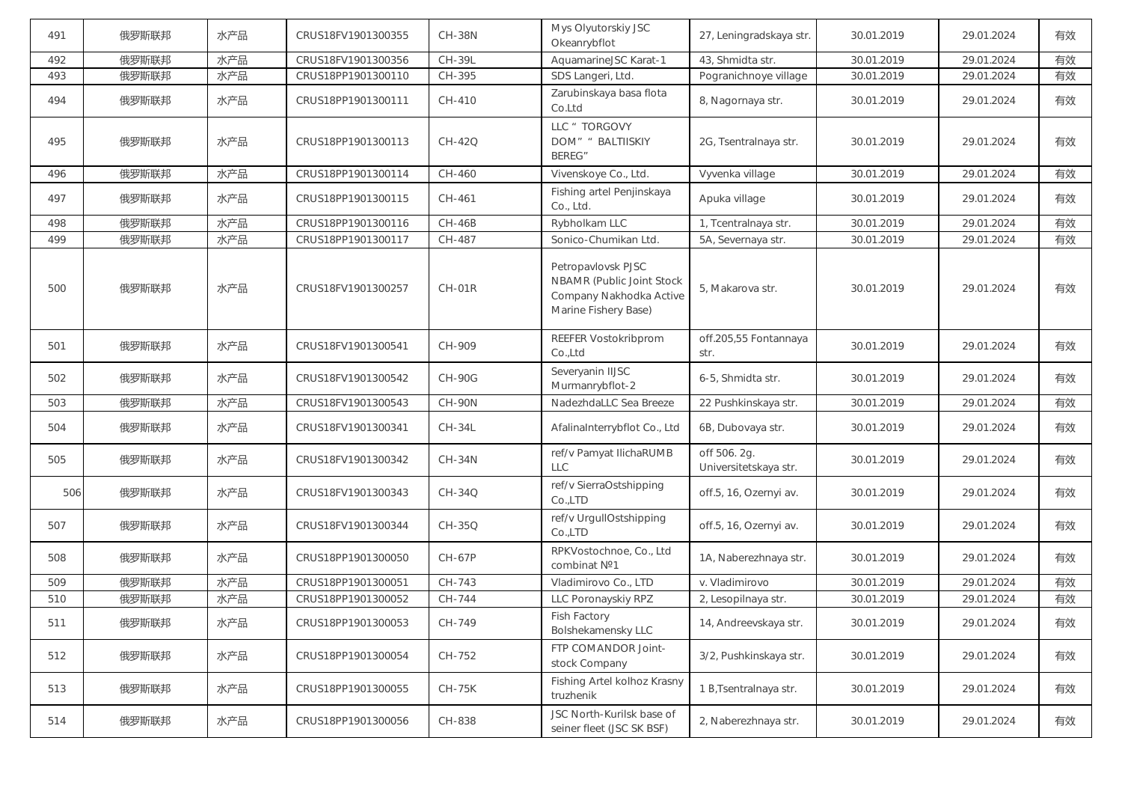| 491 | 俄罗斯联邦 | 水产品 | CRUS18FV1901300355 | <b>CH-38N</b> | Mys Olyutorskiy JSC<br>Okeanrybflot                                                                | 27, Leningradskaya str.               | 30.01.2019 | 29.01.2024 | 有效 |
|-----|-------|-----|--------------------|---------------|----------------------------------------------------------------------------------------------------|---------------------------------------|------------|------------|----|
| 492 | 俄罗斯联邦 | 水产品 | CRUS18FV1901300356 | CH-39L        | AquamarineJSC Karat-1                                                                              | 43, Shmidta str.                      | 30.01.2019 | 29.01.2024 | 有效 |
| 493 | 俄罗斯联邦 | 水产品 | CRUS18PP1901300110 | CH-395        | SDS Langeri, Ltd.                                                                                  | Pogranichnoye village                 | 30.01.2019 | 29.01.2024 | 有效 |
| 494 | 俄罗斯联邦 | 水产品 | CRUS18PP1901300111 | CH-410        | Zarubinskaya basa flota<br>Co.Ltd                                                                  | 8, Nagornaya str.                     | 30.01.2019 | 29.01.2024 | 有效 |
| 495 | 俄罗斯联邦 | 水产品 | CRUS18PP1901300113 | $CH-42Q$      | LLC " TORGOVY<br>DOM" " BALTIISKIY<br><b>BEREG"</b>                                                | 2G, Tsentralnaya str.                 | 30.01.2019 | 29.01.2024 | 有效 |
| 496 | 俄罗斯联邦 | 水产品 | CRUS18PP1901300114 | CH-460        | Vivenskoye Co., Ltd.                                                                               | Vyvenka village                       | 30.01.2019 | 29.01.2024 | 有效 |
| 497 | 俄罗斯联邦 | 水产品 | CRUS18PP1901300115 | CH-461        | Fishing artel Penjinskaya<br>Co., Ltd.                                                             | Apuka village                         | 30.01.2019 | 29.01.2024 | 有效 |
| 498 | 俄罗斯联邦 | 水产品 | CRUS18PP1901300116 | $CH-46B$      | Rybholkam LLC                                                                                      | 1, Tcentralnaya str.                  | 30.01.2019 | 29.01.2024 | 有效 |
| 499 | 俄罗斯联邦 | 水产品 | CRUS18PP1901300117 | CH-487        | Sonico-Chumikan Ltd.                                                                               | 5A, Severnaya str.                    | 30.01.2019 | 29.01.2024 | 有效 |
| 500 | 俄罗斯联邦 | 水产品 | CRUS18FV1901300257 | $CH-01R$      | Petropavlovsk PJSC<br>NBAMR (Public Joint Stock<br>Company Nakhodka Active<br>Marine Fishery Base) | 5, Makarova str.                      | 30.01.2019 | 29.01.2024 | 有效 |
| 501 | 俄罗斯联邦 | 水产品 | CRUS18FV1901300541 | CH-909        | REEFER Vostokribprom<br>Co.,Ltd                                                                    | off.205,55 Fontannaya<br>str.         | 30.01.2019 | 29.01.2024 | 有效 |
| 502 | 俄罗斯联邦 | 水产品 | CRUS18FV1901300542 | <b>CH-90G</b> | Severyanin IIJSC<br>Murmanrybflot-2                                                                | 6-5, Shmidta str.                     | 30.01.2019 | 29.01.2024 | 有效 |
| 503 | 俄罗斯联邦 | 水产品 | CRUS18FV1901300543 | <b>CH-90N</b> | NadezhdaLLC Sea Breeze                                                                             | 22 Pushkinskaya str.                  | 30.01.2019 | 29.01.2024 | 有效 |
| 504 | 俄罗斯联邦 | 水产品 | CRUS18FV1901300341 | $CH-34L$      | AfalinaInterrybflot Co., Ltd                                                                       | 6B, Dubovaya str.                     | 30.01.2019 | 29.01.2024 | 有效 |
| 505 | 俄罗斯联邦 | 水产品 | CRUS18FV1901300342 | $CH-34N$      | ref/v Pamyat IlichaRUMB<br><b>LLC</b>                                                              | off 506. 2g.<br>Universitetskaya str. | 30.01.2019 | 29.01.2024 | 有效 |
| 506 | 俄罗斯联邦 | 水产品 | CRUS18FV1901300343 | $CH-34Q$      | ref/v SierraOstshipping<br>Co.,LTD                                                                 | off.5, 16, Ozernyi av.                | 30.01.2019 | 29.01.2024 | 有效 |
| 507 | 俄罗斯联邦 | 水产品 | CRUS18FV1901300344 | CH-35Q        | ref/v UrgullOstshipping<br>Co.,LTD                                                                 | off.5, 16, Ozernyi av.                | 30.01.2019 | 29.01.2024 | 有效 |
| 508 | 俄罗斯联邦 | 水产品 | CRUS18PP1901300050 | CH-67P        | RPKVostochnoe, Co., Ltd<br>combinat Nº1                                                            | 1A, Naberezhnaya str.                 | 30.01.2019 | 29.01.2024 | 有效 |
| 509 | 俄罗斯联邦 | 水产品 | CRUS18PP1901300051 | CH-743        | Vladimirovo Co., LTD                                                                               | v. Vladimirovo                        | 30.01.2019 | 29.01.2024 | 有效 |
| 510 | 俄罗斯联邦 | 水产品 | CRUS18PP1901300052 | CH-744        | LLC Poronayskiy RPZ                                                                                | 2, Lesopilnaya str.                   | 30.01.2019 | 29.01.2024 | 有效 |
| 511 | 俄罗斯联邦 | 水产品 | CRUS18PP1901300053 | CH-749        | Fish Factory<br>Bolshekamensky LLC                                                                 | 14, Andreevskaya str.                 | 30.01.2019 | 29.01.2024 | 有效 |
| 512 | 俄罗斯联邦 | 水产品 | CRUS18PP1901300054 | CH-752        | FTP COMANDOR Joint-<br>stock Company                                                               | 3/2, Pushkinskaya str.                | 30.01.2019 | 29.01.2024 | 有效 |
| 513 | 俄罗斯联邦 | 水产品 | CRUS18PP1901300055 | <b>CH-75K</b> | Fishing Artel kolhoz Krasny<br>truzhenik                                                           | 1 B, Tsentralnaya str.                | 30.01.2019 | 29.01.2024 | 有效 |
| 514 | 俄罗斯联邦 | 水产品 | CRUS18PP1901300056 | CH-838        | JSC North-Kurilsk base of<br>seiner fleet (JSC SK BSF)                                             | 2, Naberezhnaya str.                  | 30.01.2019 | 29.01.2024 | 有效 |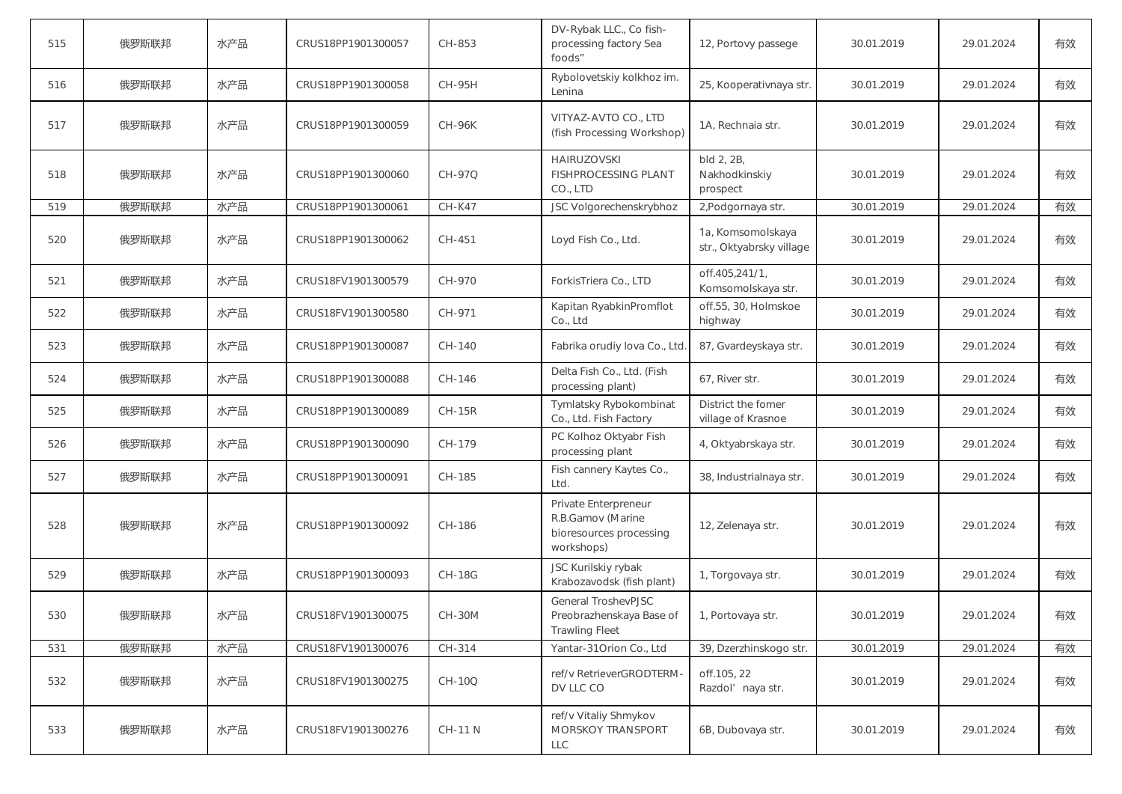| 515 | 俄罗斯联邦 | 水产品 | CRUS18PP1901300057 | CH-853         | DV-Rybak LLC., Co fish-<br>processing factory Sea<br>foods"                        | 12, Portovy passege                           | 30.01.2019 | 29.01.2024 | 有效 |
|-----|-------|-----|--------------------|----------------|------------------------------------------------------------------------------------|-----------------------------------------------|------------|------------|----|
| 516 | 俄罗斯联邦 | 水产品 | CRUS18PP1901300058 | <b>CH-95H</b>  | Rybolovetskiy kolkhoz im.<br>Lenina                                                | 25, Kooperativnaya str.                       | 30.01.2019 | 29.01.2024 | 有效 |
| 517 | 俄罗斯联邦 | 水产品 | CRUS18PP1901300059 | <b>CH-96K</b>  | VITYAZ-AVTO CO., LTD<br>(fish Processing Workshop)                                 | 1A, Rechnaia str.                             | 30.01.2019 | 29.01.2024 | 有效 |
| 518 | 俄罗斯联邦 | 水产品 | CRUS18PP1901300060 | CH-97Q         | <b>HAIRUZOVSKI</b><br><b>FISHPROCESSING PLANT</b><br>CO., LTD                      | bld 2, 2B,<br>Nakhodkinskiy<br>prospect       | 30.01.2019 | 29.01.2024 | 有效 |
| 519 | 俄罗斯联邦 | 水产品 | CRUS18PP1901300061 | <b>CH-K47</b>  | JSC Volgorechenskrybhoz                                                            | 2, Podgornaya str.                            | 30.01.2019 | 29.01.2024 | 有效 |
| 520 | 俄罗斯联邦 | 水产品 | CRUS18PP1901300062 | CH-451         | Loyd Fish Co., Ltd.                                                                | 1a, Komsomolskaya<br>str., Oktyabrsky village | 30.01.2019 | 29.01.2024 | 有效 |
| 521 | 俄罗斯联邦 | 水产品 | CRUS18FV1901300579 | CH-970         | ForkisTriera Co., LTD                                                              | off.405,241/1,<br>Komsomolskaya str.          | 30.01.2019 | 29.01.2024 | 有效 |
| 522 | 俄罗斯联邦 | 水产品 | CRUS18FV1901300580 | CH-971         | Kapitan RyabkinPromflot<br>Co., Ltd                                                | off.55, 30, Holmskoe<br>highway               | 30.01.2019 | 29.01.2024 | 有效 |
| 523 | 俄罗斯联邦 | 水产品 | CRUS18PP1901300087 | CH-140         | Fabrika orudiy lova Co., Ltd.                                                      | 87, Gvardeyskaya str.                         | 30.01.2019 | 29.01.2024 | 有效 |
| 524 | 俄罗斯联邦 | 水产品 | CRUS18PP1901300088 | CH-146         | Delta Fish Co., Ltd. (Fish<br>processing plant)                                    | 67, River str.                                | 30.01.2019 | 29.01.2024 | 有效 |
| 525 | 俄罗斯联邦 | 水产品 | CRUS18PP1901300089 | <b>CH-15R</b>  | Tymlatsky Rybokombinat<br>Co., Ltd. Fish Factory                                   | District the fomer<br>village of Krasnoe      | 30.01.2019 | 29.01.2024 | 有效 |
| 526 | 俄罗斯联邦 | 水产品 | CRUS18PP1901300090 | CH-179         | PC Kolhoz Oktyabr Fish<br>processing plant                                         | 4, Oktyabrskaya str.                          | 30.01.2019 | 29.01.2024 | 有效 |
| 527 | 俄罗斯联邦 | 水产品 | CRUS18PP1901300091 | CH-185         | Fish cannery Kaytes Co.,<br>Ltd.                                                   | 38, Industrialnaya str.                       | 30.01.2019 | 29.01.2024 | 有效 |
| 528 | 俄罗斯联邦 | 水产品 | CRUS18PP1901300092 | CH-186         | Private Enterpreneur<br>R.B.Gamov (Marine<br>bioresources processing<br>workshops) | 12, Zelenaya str.                             | 30.01.2019 | 29.01.2024 | 有效 |
| 529 | 俄罗斯联邦 | 水产品 | CRUS18PP1901300093 | <b>CH-18G</b>  | JSC Kurilskiy rybak<br>Krabozavodsk (fish plant)                                   | 1, Torgovaya str.                             | 30.01.2019 | 29.01.2024 | 有效 |
| 530 | 俄罗斯联邦 | 水产品 | CRUS18FV1901300075 | CH-30M         | General TroshevPJSC<br>Preobrazhenskaya Base of<br><b>Trawling Fleet</b>           | 1, Portovaya str.                             | 30.01.2019 | 29.01.2024 | 有效 |
| 531 | 俄罗斯联邦 | 水产品 | CRUS18FV1901300076 | CH-314         | Yantar-31Orion Co., Ltd                                                            | 39, Dzerzhinskogo str.                        | 30.01.2019 | 29.01.2024 | 有效 |
| 532 | 俄罗斯联邦 | 水产品 | CRUS18FV1901300275 | CH-10Q         | ref/v RetrieverGRODTERM-<br>DV LLC CO                                              | off.105, 22<br>Razdol' naya str.              | 30.01.2019 | 29.01.2024 | 有效 |
| 533 | 俄罗斯联邦 | 水产品 | CRUS18FV1901300276 | <b>CH-11 N</b> | ref/v Vitaliy Shmykov<br>MORSKOY TRANSPORT<br><b>LLC</b>                           | 6B, Dubovaya str.                             | 30.01.2019 | 29.01.2024 | 有效 |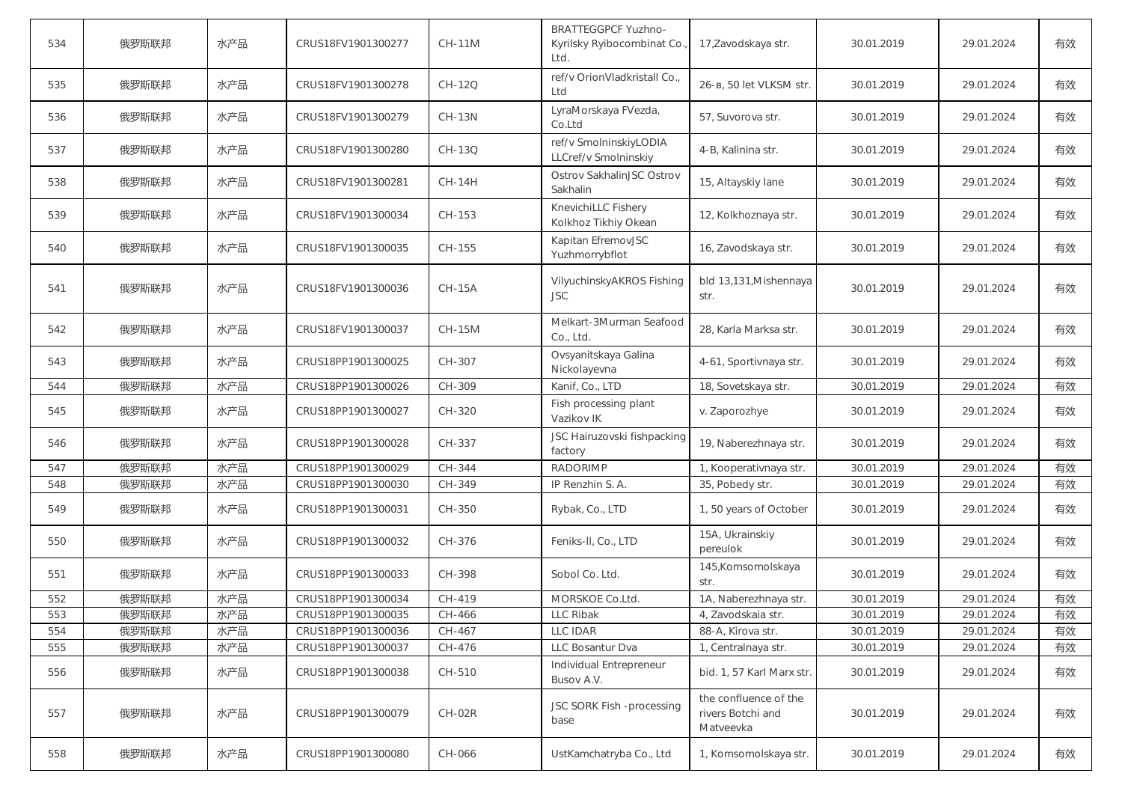| 534 | 俄罗斯联邦 | 水产品 | CRUS18FV1901300277 | <b>CH-11M</b> | <b>BRATTEGGPCF Yuzhno-</b><br>Kyrilsky Ryibocombinat Co.<br>Ltd. | 17, Zavodskaya str.                                     | 30.01.2019 | 29.01.2024 | 有效 |
|-----|-------|-----|--------------------|---------------|------------------------------------------------------------------|---------------------------------------------------------|------------|------------|----|
| 535 | 俄罗斯联邦 | 水产品 | CRUS18FV1901300278 | CH-12Q        | ref/v OrionVladkristall Co.,<br>Ltd                              | 26-в, 50 let VLKSM str.                                 | 30.01.2019 | 29.01.2024 | 有效 |
| 536 | 俄罗斯联邦 | 水产品 | CRUS18FV1901300279 | $CH-13N$      | LyraMorskaya FVezda,<br>Co.Ltd                                   | 57, Suvorova str.                                       | 30.01.2019 | 29.01.2024 | 有效 |
| 537 | 俄罗斯联邦 | 水产品 | CRUS18FV1901300280 | CH-13Q        | ref/v SmolninskiyLODIA<br>LLCref/v Smolninskiy                   | 4-B, Kalinina str.                                      | 30.01.2019 | 29.01.2024 | 有效 |
| 538 | 俄罗斯联邦 | 水产品 | CRUS18FV1901300281 | <b>CH-14H</b> | Ostrov SakhalinJSC Ostrov<br>Sakhalin                            | 15, Altayskiy lane                                      | 30.01.2019 | 29.01.2024 | 有效 |
| 539 | 俄罗斯联邦 | 水产品 | CRUS18FV1901300034 | CH-153        | KnevichiLLC Fishery<br>Kolkhoz Tikhiy Okean                      | 12, Kolkhoznaya str.                                    | 30.01.2019 | 29.01.2024 | 有效 |
| 540 | 俄罗斯联邦 | 水产品 | CRUS18FV1901300035 | CH-155        | Kapitan EfremovJSC<br>Yuzhmorrybflot                             | 16, Zavodskaya str.                                     | 30.01.2019 | 29.01.2024 | 有效 |
| 541 | 俄罗斯联邦 | 水产品 | CRUS18FV1901300036 | <b>CH-15A</b> | VilyuchinskyAKROS Fishing<br><b>JSC</b>                          | bld 13,131, Mishennaya<br>str.                          | 30.01.2019 | 29.01.2024 | 有效 |
| 542 | 俄罗斯联邦 | 水产品 | CRUS18FV1901300037 | <b>CH-15M</b> | Melkart-3Murman Seafood<br>Co., Ltd.                             | 28, Karla Marksa str.                                   | 30.01.2019 | 29.01.2024 | 有效 |
| 543 | 俄罗斯联邦 | 水产品 | CRUS18PP1901300025 | CH-307        | Ovsyanitskaya Galina<br>Nickolayevna                             | 4-61, Sportivnaya str.                                  | 30.01.2019 | 29.01.2024 | 有效 |
| 544 | 俄罗斯联邦 | 水产品 | CRUS18PP1901300026 | CH-309        | Kanif, Co., LTD                                                  | 18, Sovetskaya str.                                     | 30.01.2019 | 29.01.2024 | 有效 |
| 545 | 俄罗斯联邦 | 水产品 | CRUS18PP1901300027 | CH-320        | Fish processing plant<br>Vazikov IK                              | v. Zaporozhye                                           | 30.01.2019 | 29.01.2024 | 有效 |
| 546 | 俄罗斯联邦 | 水产品 | CRUS18PP1901300028 | CH-337        | JSC Hairuzovski fishpacking<br>factory                           | 19, Naberezhnaya str.                                   | 30.01.2019 | 29.01.2024 | 有效 |
| 547 | 俄罗斯联邦 | 水产品 | CRUS18PP1901300029 | CH-344        | <b>RADORIMP</b>                                                  | 1, Kooperativnaya str.                                  | 30.01.2019 | 29.01.2024 | 有效 |
| 548 | 俄罗斯联邦 | 水产品 | CRUS18PP1901300030 | CH-349        | IP Renzhin S. A.                                                 | 35, Pobedy str.                                         | 30.01.2019 | 29.01.2024 | 有效 |
| 549 | 俄罗斯联邦 | 水产品 | CRUS18PP1901300031 | CH-350        | Rybak, Co., LTD                                                  | 1, 50 years of October                                  | 30.01.2019 | 29.01.2024 | 有效 |
| 550 | 俄罗斯联邦 | 水产品 | CRUS18PP1901300032 | CH-376        | Feniks-II, Co., LTD                                              | 15A, Ukrainskiy<br>pereulok                             | 30.01.2019 | 29.01.2024 | 有效 |
| 551 | 俄罗斯联邦 | 水产品 | CRUS18PP1901300033 | CH-398        | Sobol Co. Ltd.                                                   | 145, Komsomolskaya<br>str.                              | 30.01.2019 | 29.01.2024 | 有效 |
| 552 | 俄罗斯联邦 | 水产品 | CRUS18PP1901300034 | CH-419        | MORSKOE Co.Ltd.                                                  | 1A, Naberezhnaya str.                                   | 30.01.2019 | 29.01.2024 | 有效 |
| 553 | 俄罗斯联邦 | 水产品 | CRUS18PP1901300035 | CH-466        | LLC Ribak                                                        | 4, Zavodskaia str.                                      | 30.01.2019 | 29.01.2024 | 有效 |
| 554 | 俄罗斯联邦 | 水产品 | CRUS18PP1901300036 | CH-467        | LLC IDAR                                                         | 88-A, Kirova str.                                       | 30.01.2019 | 29.01.2024 | 有效 |
| 555 | 俄罗斯联邦 | 水产品 | CRUS18PP1901300037 | CH-476        | LLC Bosantur Dva                                                 | 1, Centralnaya str.                                     | 30.01.2019 | 29.01.2024 | 有效 |
| 556 | 俄罗斯联邦 | 水产品 | CRUS18PP1901300038 | CH-510        | Individual Entrepreneur<br>Busov A.V.                            | bid. 1, 57 Karl Marx str.                               | 30.01.2019 | 29.01.2024 | 有效 |
| 557 | 俄罗斯联邦 | 水产品 | CRUS18PP1901300079 | $CH-02R$      | JSC SORK Fish -processing<br>base                                | the confluence of the<br>rivers Botchi and<br>Matveevka | 30.01.2019 | 29.01.2024 | 有效 |
| 558 | 俄罗斯联邦 | 水产品 | CRUS18PP1901300080 | CH-066        | UstKamchatryba Co., Ltd                                          | 1, Komsomolskaya str.                                   | 30.01.2019 | 29.01.2024 | 有效 |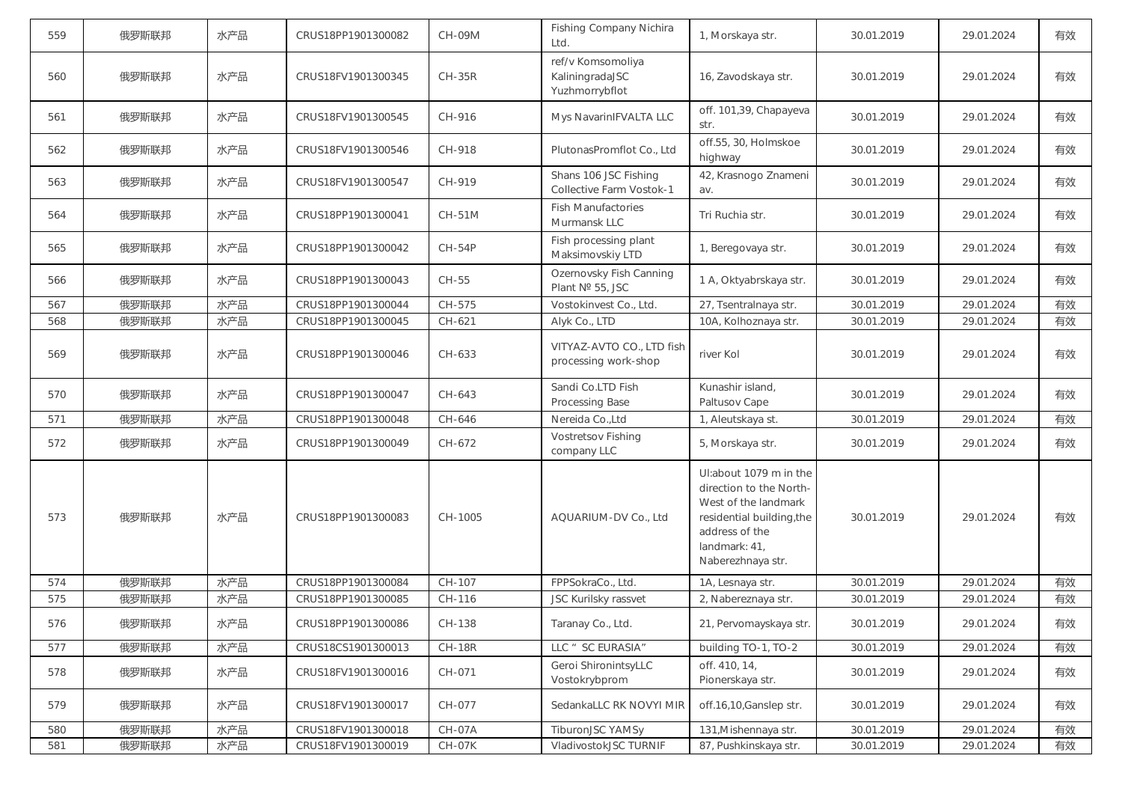| 559 | 俄罗斯联邦 | 水产品 | CRUS18PP1901300082 | <b>CH-09M</b> | Fishing Company Nichira<br>Ltd.                        | 1, Morskaya str.                                                                                                                                               | 30.01.2019 | 29.01.2024 | 有效 |
|-----|-------|-----|--------------------|---------------|--------------------------------------------------------|----------------------------------------------------------------------------------------------------------------------------------------------------------------|------------|------------|----|
| 560 | 俄罗斯联邦 | 水产品 | CRUS18FV1901300345 | $CH-35R$      | ref/v Komsomoliya<br>KaliningradaJSC<br>Yuzhmorrybflot | 16, Zavodskaya str.                                                                                                                                            | 30.01.2019 | 29.01.2024 | 有效 |
| 561 | 俄罗斯联邦 | 水产品 | CRUS18FV1901300545 | CH-916        | Mys NavarinIFVALTA LLC                                 | off. 101,39, Chapayeva<br>str.                                                                                                                                 | 30.01.2019 | 29.01.2024 | 有效 |
| 562 | 俄罗斯联邦 | 水产品 | CRUS18FV1901300546 | CH-918        | PlutonasPromflot Co., Ltd                              | off.55, 30, Holmskoe<br>highway                                                                                                                                | 30.01.2019 | 29.01.2024 | 有效 |
| 563 | 俄罗斯联邦 | 水产品 | CRUS18FV1901300547 | CH-919        | Shans 106 JSC Fishing<br>Collective Farm Vostok-1      | 42, Krasnogo Znameni<br>av.                                                                                                                                    | 30.01.2019 | 29.01.2024 | 有效 |
| 564 | 俄罗斯联邦 | 水产品 | CRUS18PP1901300041 | <b>CH-51M</b> | <b>Fish Manufactories</b><br>Murmansk LLC              | Tri Ruchia str.                                                                                                                                                | 30.01.2019 | 29.01.2024 | 有效 |
| 565 | 俄罗斯联邦 | 水产品 | CRUS18PP1901300042 | <b>CH-54P</b> | Fish processing plant<br>Maksimovskiy LTD              | 1, Beregovaya str.                                                                                                                                             | 30.01.2019 | 29.01.2024 | 有效 |
| 566 | 俄罗斯联邦 | 水产品 | CRUS18PP1901300043 | CH-55         | Ozernovsky Fish Canning<br>Plant Nº 55, JSC            | 1 A, Oktyabrskaya str.                                                                                                                                         | 30.01.2019 | 29.01.2024 | 有效 |
| 567 | 俄罗斯联邦 | 水产品 | CRUS18PP1901300044 | CH-575        | Vostokinvest Co., Ltd.                                 | 27, Tsentralnaya str.                                                                                                                                          | 30.01.2019 | 29.01.2024 | 有效 |
| 568 | 俄罗斯联邦 | 水产品 | CRUS18PP1901300045 | CH-621        | Alyk Co., LTD                                          | 10A, Kolhoznaya str.                                                                                                                                           | 30.01.2019 | 29.01.2024 | 有效 |
| 569 | 俄罗斯联邦 | 水产品 | CRUS18PP1901300046 | CH-633        | VITYAZ-AVTO CO., LTD fish<br>processing work-shop      | river Kol                                                                                                                                                      | 30.01.2019 | 29.01.2024 | 有效 |
| 570 | 俄罗斯联邦 | 水产品 | CRUS18PP1901300047 | CH-643        | Sandi Co.LTD Fish<br>Processing Base                   | Kunashir island,<br>Paltusov Cape                                                                                                                              | 30.01.2019 | 29.01.2024 | 有效 |
| 571 | 俄罗斯联邦 | 水产品 | CRUS18PP1901300048 | CH-646        | Nereida Co., Ltd                                       | 1, Aleutskaya st.                                                                                                                                              | 30.01.2019 | 29.01.2024 | 有效 |
| 572 | 俄罗斯联邦 | 水产品 | CRUS18PP1901300049 | CH-672        | <b>Vostretsov Fishing</b><br>company LLC               | 5, Morskaya str.                                                                                                                                               | 30.01.2019 | 29.01.2024 | 有效 |
| 573 | 俄罗斯联邦 | 水产品 | CRUS18PP1901300083 | CH-1005       | AQUARIUM-DV Co., Ltd                                   | Ul:about 1079 m in the<br>direction to the North-<br>West of the landmark<br>residential building, the<br>address of the<br>landmark: 41,<br>Naberezhnaya str. | 30.01.2019 | 29.01.2024 | 有效 |
| 574 | 俄罗斯联邦 | 水产品 | CRUS18PP1901300084 | CH-107        | FPPSokraCo., Ltd.                                      | 1A, Lesnaya str.                                                                                                                                               | 30.01.2019 | 29.01.2024 | 有效 |
| 575 | 俄罗斯联邦 | 水产品 | CRUS18PP1901300085 | CH-116        | <b>JSC Kurilsky rassvet</b>                            | 2, Nabereznaya str.                                                                                                                                            | 30.01.2019 | 29.01.2024 | 有效 |
| 576 | 俄罗斯联邦 | 水产品 | CRUS18PP1901300086 | CH-138        | Taranay Co., Ltd.                                      | 21, Pervomayskaya str.                                                                                                                                         | 30.01.2019 | 29.01.2024 | 有效 |
| 577 | 俄罗斯联邦 | 水产品 | CRUS18CS1901300013 | <b>CH-18R</b> | LLC " SC EURASIA"                                      | building TO-1, TO-2                                                                                                                                            | 30.01.2019 | 29.01.2024 | 有效 |
| 578 | 俄罗斯联邦 | 水产品 | CRUS18FV1901300016 | CH-071        | Geroi ShironintsyLLC<br>Vostokrybprom                  | off. 410, 14,<br>Pionerskaya str.                                                                                                                              | 30.01.2019 | 29.01.2024 | 有效 |
| 579 | 俄罗斯联邦 | 水产品 | CRUS18FV1901300017 | CH-077        | SedankaLLC RK NOVYI MIR                                | off.16,10,Ganslep str.                                                                                                                                         | 30.01.2019 | 29.01.2024 | 有效 |
| 580 | 俄罗斯联邦 | 水产品 | CRUS18FV1901300018 | CH-07A        | TiburonJSC YAMSy                                       | 131, Mishennaya str.                                                                                                                                           | 30.01.2019 | 29.01.2024 | 有效 |
| 581 | 俄罗斯联邦 | 水产品 | CRUS18FV1901300019 | CH-07K        | VladivostokJSC TURNIF                                  | 87, Pushkinskaya str.                                                                                                                                          | 30.01.2019 | 29.01.2024 | 有效 |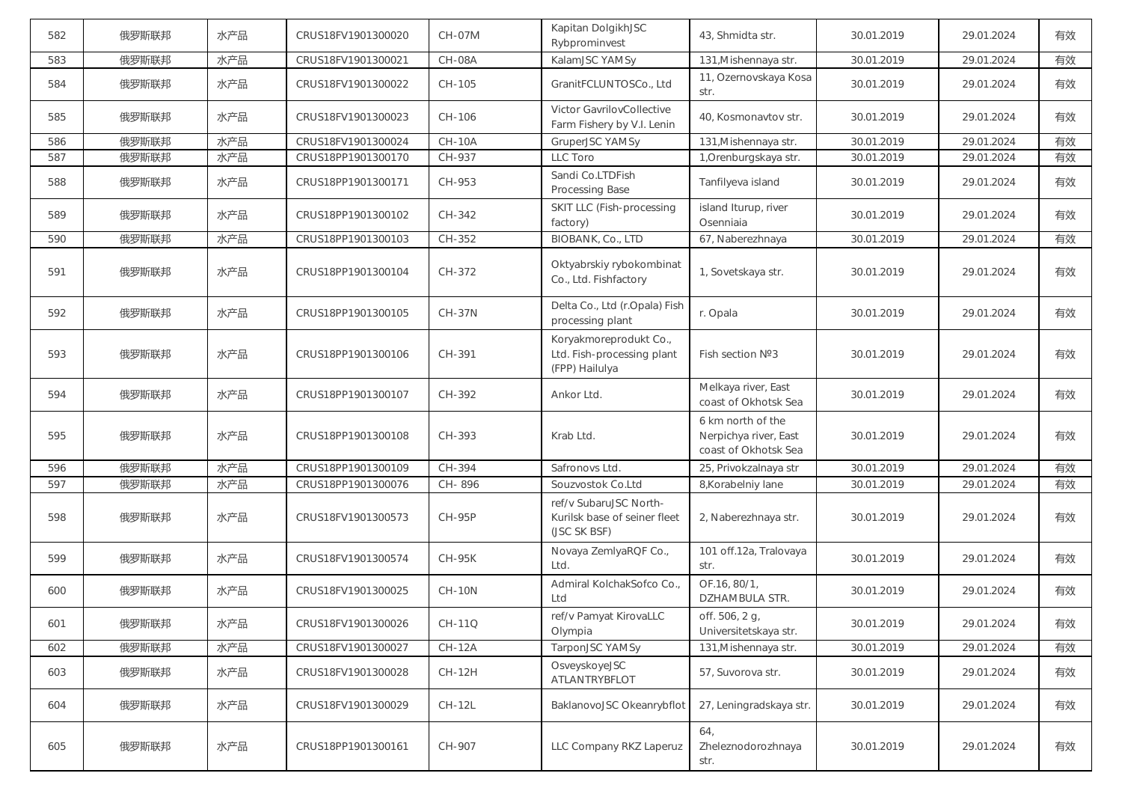| 582 | 俄罗斯联邦 | 水产品 | CRUS18FV1901300020 | <b>CH-07M</b> | Kapitan DolgikhJSC<br>Rybprominvest                                    | 43, Shmidta str.                                                   | 30.01.2019 | 29.01.2024 | 有效 |
|-----|-------|-----|--------------------|---------------|------------------------------------------------------------------------|--------------------------------------------------------------------|------------|------------|----|
| 583 | 俄罗斯联邦 | 水产品 | CRUS18FV1901300021 | <b>CH-08A</b> | KalamJSC YAMSy                                                         | 131, Mishennaya str.                                               | 30.01.2019 | 29.01.2024 | 有效 |
| 584 | 俄罗斯联邦 | 水产品 | CRUS18FV1901300022 | CH-105        | GranitFCLUNTOSCo., Ltd                                                 | 11, Ozernovskaya Kosa<br>str.                                      | 30.01.2019 | 29.01.2024 | 有效 |
| 585 | 俄罗斯联邦 | 水产品 | CRUS18FV1901300023 | CH-106        | Victor GavrilovCollective<br>Farm Fishery by V.I. Lenin                | 40, Kosmonavtov str.                                               | 30.01.2019 | 29.01.2024 | 有效 |
| 586 | 俄罗斯联邦 | 水产品 | CRUS18FV1901300024 | <b>CH-10A</b> | GruperJSC YAMSy                                                        | 131, Mishennaya str.                                               | 30.01.2019 | 29.01.2024 | 有效 |
| 587 | 俄罗斯联邦 | 水产品 | CRUS18PP1901300170 | CH-937        | LLC Toro                                                               | 1, Orenburgskaya str.                                              | 30.01.2019 | 29.01.2024 | 有效 |
| 588 | 俄罗斯联邦 | 水产品 | CRUS18PP1901300171 | CH-953        | Sandi Co.LTDFish<br>Processing Base                                    | Tanfilyeva island                                                  | 30.01.2019 | 29.01.2024 | 有效 |
| 589 | 俄罗斯联邦 | 水产品 | CRUS18PP1901300102 | CH-342        | SKIT LLC (Fish-processing<br>factory)                                  | island Iturup, river<br>Osenniaia                                  | 30.01.2019 | 29.01.2024 | 有效 |
| 590 | 俄罗斯联邦 | 水产品 | CRUS18PP1901300103 | CH-352        | BIOBANK, Co., LTD                                                      | 67, Naberezhnaya                                                   | 30.01.2019 | 29.01.2024 | 有效 |
| 591 | 俄罗斯联邦 | 水产品 | CRUS18PP1901300104 | CH-372        | Oktyabrskiy rybokombinat<br>Co., Ltd. Fishfactory                      | 1, Sovetskaya str.                                                 | 30.01.2019 | 29.01.2024 | 有效 |
| 592 | 俄罗斯联邦 | 水产品 | CRUS18PP1901300105 | <b>CH-37N</b> | Delta Co., Ltd (r.Opala) Fish<br>processing plant                      | r. Opala                                                           | 30.01.2019 | 29.01.2024 | 有效 |
| 593 | 俄罗斯联邦 | 水产品 | CRUS18PP1901300106 | CH-391        | Koryakmoreprodukt Co.,<br>Ltd. Fish-processing plant<br>(FPP) Hailulya | Fish section Nº3                                                   | 30.01.2019 | 29.01.2024 | 有效 |
| 594 | 俄罗斯联邦 | 水产品 | CRUS18PP1901300107 | CH-392        | Ankor Ltd.                                                             | Melkaya river, East<br>coast of Okhotsk Sea                        | 30.01.2019 | 29.01.2024 | 有效 |
| 595 | 俄罗斯联邦 | 水产品 | CRUS18PP1901300108 | CH-393        | Krab Ltd.                                                              | 6 km north of the<br>Nerpichya river, East<br>coast of Okhotsk Sea | 30.01.2019 | 29.01.2024 | 有效 |
| 596 | 俄罗斯联邦 | 水产品 | CRUS18PP1901300109 | CH-394        | Safronovs Ltd.                                                         | 25, Privokzalnaya str                                              | 30.01.2019 | 29.01.2024 | 有效 |
| 597 | 俄罗斯联邦 | 水产品 | CRUS18PP1901300076 | CH-896        | Souzvostok Co.Ltd                                                      | 8, Korabelniy lane                                                 | 30.01.2019 | 29.01.2024 | 有效 |
| 598 | 俄罗斯联邦 | 水产品 | CRUS18FV1901300573 | <b>CH-95P</b> | ref/v SubaruJSC North-<br>Kurilsk base of seiner fleet<br>(JSC SK BSF) | 2, Naberezhnaya str.                                               | 30.01.2019 | 29.01.2024 | 有效 |
| 599 | 俄罗斯联邦 | 水产品 | CRUS18FV1901300574 | <b>CH-95K</b> | Novaya ZemlyaRQF Co.,<br>Ltd.                                          | 101 off.12a, Tralovaya<br>str.                                     | 30.01.2019 | 29.01.2024 | 有效 |
| 600 | 俄罗斯联邦 | 水产品 | CRUS18FV1901300025 | <b>CH-10N</b> | Admiral KolchakSofco Co.,<br>Ltd                                       | OF.16, 80/1,<br>DZHAMBULA STR.                                     | 30.01.2019 | 29.01.2024 | 有效 |
| 601 | 俄罗斯联邦 | 水产品 | CRUS18FV1901300026 | <b>CH-11Q</b> | ref/v Pamyat KirovaLLC<br>Olympia                                      | off. 506, 2 g,<br>Universitetskaya str.                            | 30.01.2019 | 29.01.2024 | 有效 |
| 602 | 俄罗斯联邦 | 水产品 | CRUS18FV1901300027 | <b>CH-12A</b> | TarponJSC YAMSy                                                        | 131, Mishennaya str.                                               | 30.01.2019 | 29.01.2024 | 有效 |
| 603 | 俄罗斯联邦 | 水产品 | CRUS18FV1901300028 | CH-12H        | OsveyskoyeJSC<br>ATLANTRYBFLOT                                         | 57, Suvorova str.                                                  | 30.01.2019 | 29.01.2024 | 有效 |
| 604 | 俄罗斯联邦 | 水产品 | CRUS18FV1901300029 | <b>CH-12L</b> | BaklanovoJSC Okeanrybflot                                              | 27, Leningradskaya str.                                            | 30.01.2019 | 29.01.2024 | 有效 |
| 605 | 俄罗斯联邦 | 水产品 | CRUS18PP1901300161 | CH-907        | LLC Company RKZ Laperuz                                                | 64,<br>Zheleznodorozhnaya<br>str.                                  | 30.01.2019 | 29.01.2024 | 有效 |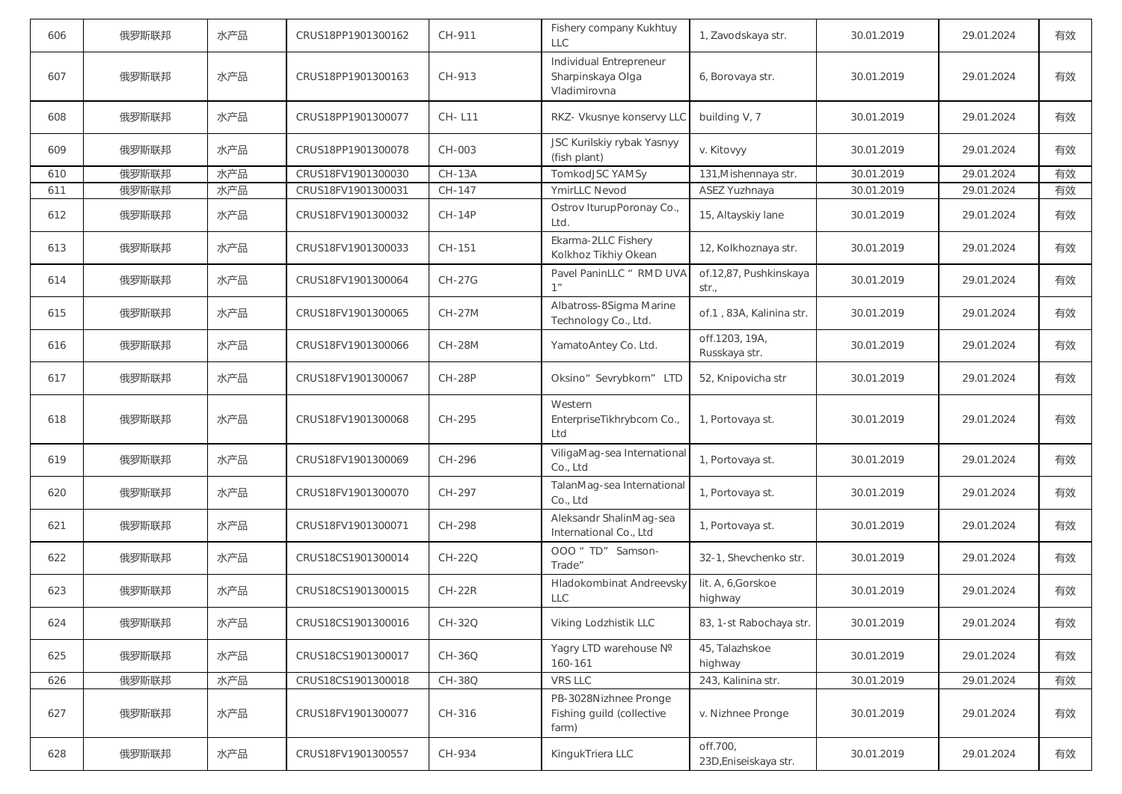| 606 | 俄罗斯联邦 | 水产品 | CRUS18PP1901300162 | CH-911        | Fishery company Kukhtuy<br><b>LLC</b>                        | 1, Zavodskaya str.                | 30.01.2019 | 29.01.2024 | 有效 |
|-----|-------|-----|--------------------|---------------|--------------------------------------------------------------|-----------------------------------|------------|------------|----|
| 607 | 俄罗斯联邦 | 水产品 | CRUS18PP1901300163 | CH-913        | Individual Entrepreneur<br>Sharpinskaya Olga<br>Vladimirovna | 6, Borovaya str.                  | 30.01.2019 | 29.01.2024 | 有效 |
| 608 | 俄罗斯联邦 | 水产品 | CRUS18PP1901300077 | CH-L11        | RKZ- Vkusnye konservy LLC                                    | building V, 7                     | 30.01.2019 | 29.01.2024 | 有效 |
| 609 | 俄罗斯联邦 | 水产品 | CRUS18PP1901300078 | CH-003        | JSC Kurilskiy rybak Yasnyy<br>(fish plant)                   | v. Kitovyy                        | 30.01.2019 | 29.01.2024 | 有效 |
| 610 | 俄罗斯联邦 | 水产品 | CRUS18FV1901300030 | <b>CH-13A</b> | TomkodJSC YAMSy                                              | 131, Mishennaya str.              | 30.01.2019 | 29.01.2024 | 有效 |
| 611 | 俄罗斯联邦 | 水产品 | CRUS18FV1901300031 | CH-147        | YmirLLC Nevod                                                | ASEZ Yuzhnaya                     | 30.01.2019 | 29.01.2024 | 有效 |
| 612 | 俄罗斯联邦 | 水产品 | CRUS18FV1901300032 | <b>CH-14P</b> | Ostrov IturupPoronay Co.,<br>Ltd.                            | 15, Altayskiy lane                | 30.01.2019 | 29.01.2024 | 有效 |
| 613 | 俄罗斯联邦 | 水产品 | CRUS18FV1901300033 | CH-151        | Ekarma-2LLC Fishery<br>Kolkhoz Tikhiy Okean                  | 12, Kolkhoznaya str.              | 30.01.2019 | 29.01.2024 | 有效 |
| 614 | 俄罗斯联邦 | 水产品 | CRUS18FV1901300064 | <b>CH-27G</b> | Pavel PaninLLC " RMD UVA<br>1 <sup>n</sup>                   | of.12,87, Pushkinskaya<br>str.,   | 30.01.2019 | 29.01.2024 | 有效 |
| 615 | 俄罗斯联邦 | 水产品 | CRUS18FV1901300065 | <b>CH-27M</b> | Albatross-8Sigma Marine<br>Technology Co., Ltd.              | of.1, 83A, Kalinina str.          | 30.01.2019 | 29.01.2024 | 有效 |
| 616 | 俄罗斯联邦 | 水产品 | CRUS18FV1901300066 | <b>CH-28M</b> | YamatoAntey Co. Ltd.                                         | off.1203, 19A,<br>Russkaya str.   | 30.01.2019 | 29.01.2024 | 有效 |
| 617 | 俄罗斯联邦 | 水产品 | CRUS18FV1901300067 | <b>CH-28P</b> | Oksino" Sevrybkom" LTD                                       | 52, Knipovicha str                | 30.01.2019 | 29.01.2024 | 有效 |
| 618 | 俄罗斯联邦 | 水产品 | CRUS18FV1901300068 | CH-295        | Western<br>EnterpriseTikhrybcom Co.,<br>Ltd                  | 1, Portovaya st.                  | 30.01.2019 | 29.01.2024 | 有效 |
| 619 | 俄罗斯联邦 | 水产品 | CRUS18FV1901300069 | CH-296        | ViligaMag-sea International<br>Co., Ltd                      | 1, Portovaya st.                  | 30.01.2019 | 29.01.2024 | 有效 |
| 620 | 俄罗斯联邦 | 水产品 | CRUS18FV1901300070 | CH-297        | TalanMag-sea International<br>Co., Ltd                       | 1, Portovaya st.                  | 30.01.2019 | 29.01.2024 | 有效 |
| 621 | 俄罗斯联邦 | 水产品 | CRUS18FV1901300071 | CH-298        | Aleksandr ShalinMag-sea<br>International Co., Ltd            | 1, Portovaya st.                  | 30.01.2019 | 29.01.2024 | 有效 |
| 622 | 俄罗斯联邦 | 水产品 | CRUS18CS1901300014 | CH-22Q        | OOO " TD" Samson-<br>Trade"                                  | 32-1, Shevchenko str.             | 30.01.2019 | 29.01.2024 | 有效 |
| 623 | 俄罗斯联邦 | 水产品 | CRUS18CS1901300015 | $CH-22R$      | <b>Hladokombinat Andreevsky</b><br><b>LLC</b>                | lit. A, 6, Gorskoe<br>highway     | 30.01.2019 | 29.01.2024 | 有效 |
| 624 | 俄罗斯联邦 | 水产品 | CRUS18CS1901300016 | CH-32Q        | Viking Lodzhistik LLC                                        | 83, 1-st Rabochaya str.           | 30.01.2019 | 29.01.2024 | 有效 |
| 625 | 俄罗斯联邦 | 水产品 | CRUS18CS1901300017 | CH-36Q        | Yagry LTD warehouse Nº<br>160-161                            | 45, Talazhskoe<br>highway         | 30.01.2019 | 29.01.2024 | 有效 |
| 626 | 俄罗斯联邦 | 水产品 | CRUS18CS1901300018 | CH-38Q        | VRS LLC                                                      | 243, Kalinina str.                | 30.01.2019 | 29.01.2024 | 有效 |
| 627 | 俄罗斯联邦 | 水产品 | CRUS18FV1901300077 | CH-316        | PB-3028Nizhnee Pronge<br>Fishing guild (collective<br>farm)  | v. Nizhnee Pronge                 | 30.01.2019 | 29.01.2024 | 有效 |
| 628 | 俄罗斯联邦 | 水产品 | CRUS18FV1901300557 | CH-934        | KingukTriera LLC                                             | off.700,<br>23D, Eniseiskaya str. | 30.01.2019 | 29.01.2024 | 有效 |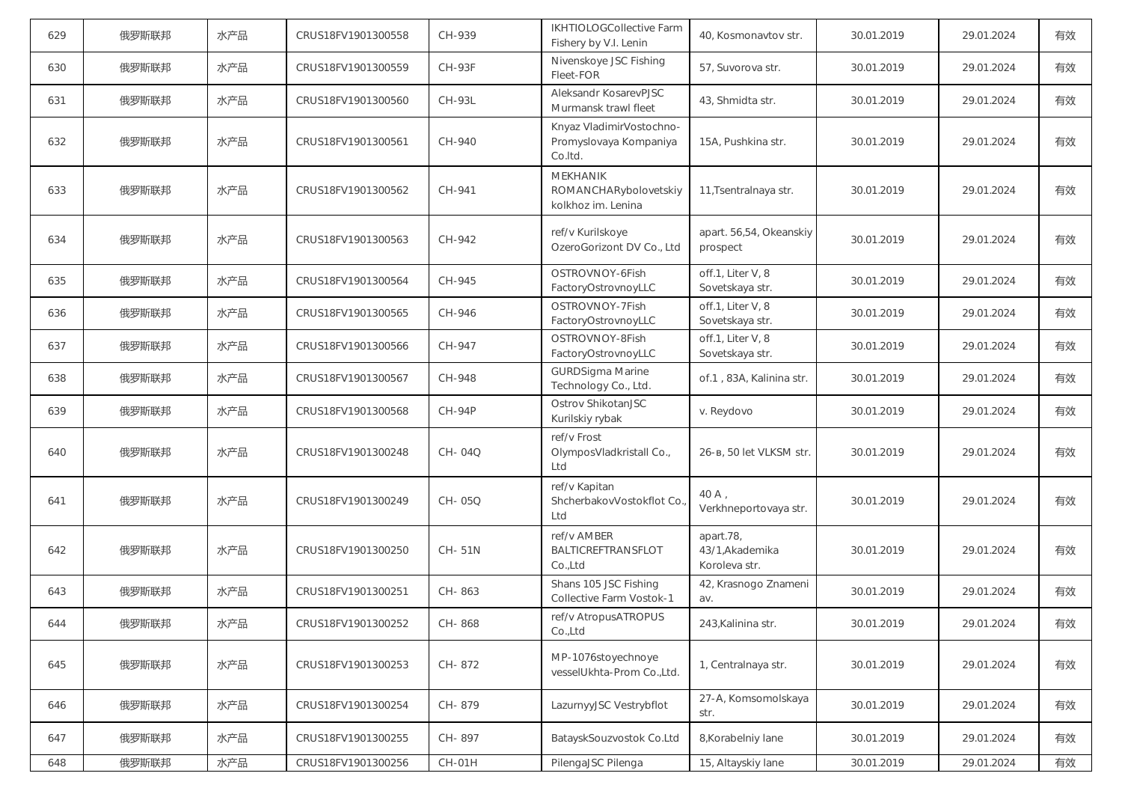| 629 | 俄罗斯联邦 | 水产品 | CRUS18FV1901300558 | CH-939        | IKHTIOLOGCollective Farm<br>Fishery by V.I. Lenin             | 40, Kosmonavtov str.                          | 30.01.2019 | 29.01.2024 | 有效 |
|-----|-------|-----|--------------------|---------------|---------------------------------------------------------------|-----------------------------------------------|------------|------------|----|
| 630 | 俄罗斯联邦 | 水产品 | CRUS18FV1901300559 | <b>CH-93F</b> | Nivenskoye JSC Fishing<br>Fleet-FOR                           | 57, Suvorova str.                             | 30.01.2019 | 29.01.2024 | 有效 |
| 631 | 俄罗斯联邦 | 水产品 | CRUS18FV1901300560 | <b>CH-93L</b> | Aleksandr KosarevPJSC<br>Murmansk trawl fleet                 | 43, Shmidta str.                              | 30.01.2019 | 29.01.2024 | 有效 |
| 632 | 俄罗斯联邦 | 水产品 | CRUS18FV1901300561 | CH-940        | Knyaz VladimirVostochno-<br>Promyslovaya Kompaniya<br>Co.Itd. | 15A, Pushkina str.                            | 30.01.2019 | 29.01.2024 | 有效 |
| 633 | 俄罗斯联邦 | 水产品 | CRUS18FV1901300562 | CH-941        | MEKHANIK<br>ROMANCHARybolovetskiy<br>kolkhoz im. Lenina       | 11, Tsentralnaya str.                         | 30.01.2019 | 29.01.2024 | 有效 |
| 634 | 俄罗斯联邦 | 水产品 | CRUS18FV1901300563 | CH-942        | ref/v Kurilskoye<br>OzeroGorizont DV Co., Ltd                 | apart. 56,54, Okeanskiy<br>prospect           | 30.01.2019 | 29.01.2024 | 有效 |
| 635 | 俄罗斯联邦 | 水产品 | CRUS18FV1901300564 | CH-945        | OSTROVNOY-6Fish<br>FactoryOstrovnoyLLC                        | off.1, Liter V, 8<br>Sovetskaya str.          | 30.01.2019 | 29.01.2024 | 有效 |
| 636 | 俄罗斯联邦 | 水产品 | CRUS18FV1901300565 | CH-946        | OSTROVNOY-7Fish<br>FactoryOstrovnoyLLC                        | off.1, Liter V, 8<br>Sovetskaya str.          | 30.01.2019 | 29.01.2024 | 有效 |
| 637 | 俄罗斯联邦 | 水产品 | CRUS18FV1901300566 | CH-947        | OSTROVNOY-8Fish<br>FactoryOstrovnoyLLC                        | off.1, Liter V, 8<br>Sovetskaya str.          | 30.01.2019 | 29.01.2024 | 有效 |
| 638 | 俄罗斯联邦 | 水产品 | CRUS18FV1901300567 | CH-948        | <b>GURDSigma Marine</b><br>Technology Co., Ltd.               | of.1, 83A, Kalinina str.                      | 30.01.2019 | 29.01.2024 | 有效 |
| 639 | 俄罗斯联邦 | 水产品 | CRUS18FV1901300568 | $CH-94P$      | Ostrov ShikotanJSC<br>Kurilskiy rybak                         | v. Reydovo                                    | 30.01.2019 | 29.01.2024 | 有效 |
| 640 | 俄罗斯联邦 | 水产品 | CRUS18FV1901300248 | CH-04Q        | ref/v Frost<br>OlymposVladkristall Co.,<br>Ltd                | 26-в, 50 let VLKSM str.                       | 30.01.2019 | 29.01.2024 | 有效 |
| 641 | 俄罗斯联邦 | 水产品 | CRUS18FV1901300249 | CH-05Q        | ref/v Kapitan<br>ShcherbakovVostokflot Co.<br>Ltd             | $40A$ ,<br>Verkhneportovaya str.              | 30.01.2019 | 29.01.2024 | 有效 |
| 642 | 俄罗斯联邦 | 水产品 | CRUS18FV1901300250 | CH-51N        | ref/v AMBER<br><b>BALTICREFTRANSFLOT</b><br>Co.,Ltd           | apart.78,<br>43/1, Akademika<br>Koroleva str. | 30.01.2019 | 29.01.2024 | 有效 |
| 643 | 俄罗斯联邦 | 水产品 | CRUS18FV1901300251 | CH-863        | Shans 105 JSC Fishing<br>Collective Farm Vostok-1             | 42, Krasnogo Znameni<br>av.                   | 30.01.2019 | 29.01.2024 | 有效 |
| 644 | 俄罗斯联邦 | 水产品 | CRUS18FV1901300252 | CH-868        | ref/v AtropusATROPUS<br>Co.,Ltd                               | 243, Kalinina str.                            | 30.01.2019 | 29.01.2024 | 有效 |
| 645 | 俄罗斯联邦 | 水产品 | CRUS18FV1901300253 | CH-872        | MP-1076stoyechnoye<br>vesselUkhta-Prom Co.,Ltd.               | 1, Centralnaya str.                           | 30.01.2019 | 29.01.2024 | 有效 |
| 646 | 俄罗斯联邦 | 水产品 | CRUS18FV1901300254 | CH-879        | LazurnyyJSC Vestrybflot                                       | 27-A, Komsomolskaya<br>str.                   | 30.01.2019 | 29.01.2024 | 有效 |
| 647 | 俄罗斯联邦 | 水产品 | CRUS18FV1901300255 | CH-897        | BatayskSouzvostok Co.Ltd                                      | 8, Korabelniy lane                            | 30.01.2019 | 29.01.2024 | 有效 |
| 648 | 俄罗斯联邦 | 水产品 | CRUS18FV1901300256 | $CH-01H$      | PilengaJSC Pilenga                                            | 15, Altayskiy lane                            | 30.01.2019 | 29.01.2024 | 有效 |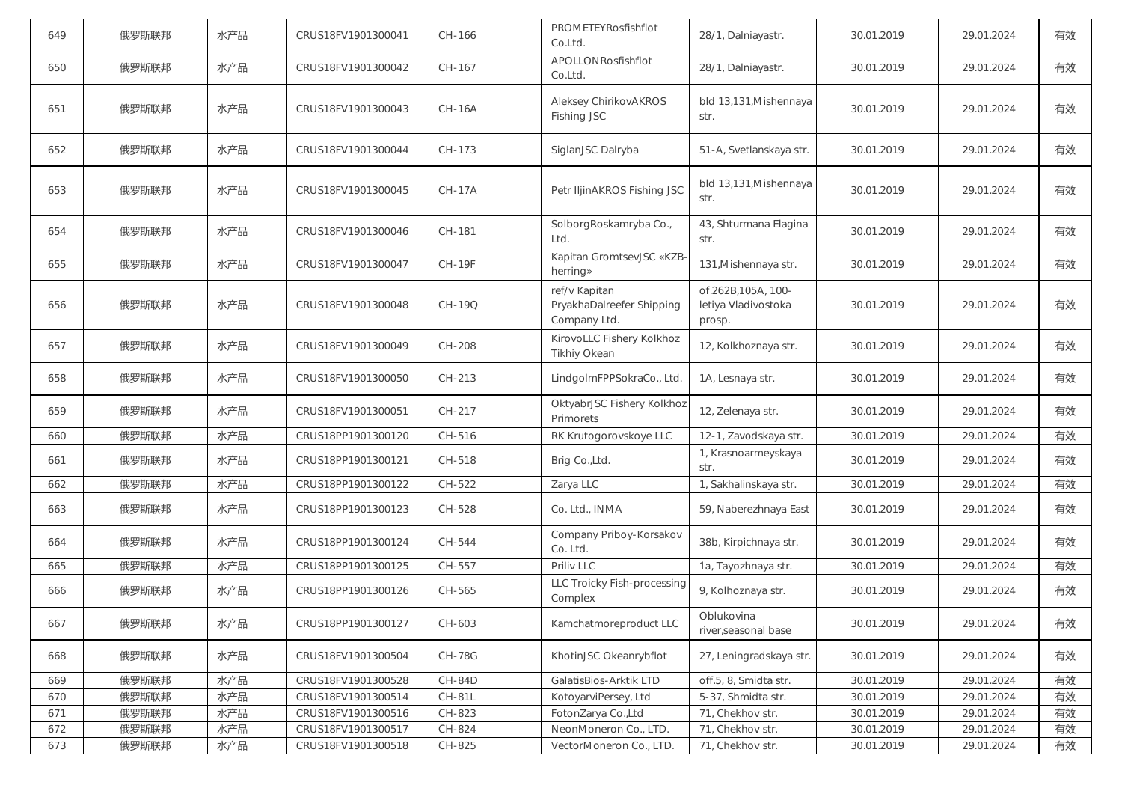| 649 | 俄罗斯联邦 | 水产品 | CRUS18FV1901300041 | CH-166        | PROMETEYRosfishflot<br>Co.Ltd.                             | 28/1, Dalniayastr.                                  | 30.01.2019 | 29.01.2024 | 有效 |
|-----|-------|-----|--------------------|---------------|------------------------------------------------------------|-----------------------------------------------------|------------|------------|----|
| 650 | 俄罗斯联邦 | 水产品 | CRUS18FV1901300042 | CH-167        | APOLLONRosfishflot<br>Co.Ltd.                              | 28/1, Dalniayastr.                                  | 30.01.2019 | 29.01.2024 | 有效 |
| 651 | 俄罗斯联邦 | 水产品 | CRUS18FV1901300043 | <b>CH-16A</b> | Aleksey ChirikovAKROS<br>Fishing JSC                       | bld 13,131, Mishennaya<br>str.                      | 30.01.2019 | 29.01.2024 | 有效 |
| 652 | 俄罗斯联邦 | 水产品 | CRUS18FV1901300044 | CH-173        | SiglanJSC Dalryba                                          | 51-A, Svetlanskaya str.                             | 30.01.2019 | 29.01.2024 | 有效 |
| 653 | 俄罗斯联邦 | 水产品 | CRUS18FV1901300045 | <b>CH-17A</b> | Petr IljinAKROS Fishing JSC                                | bld 13,131, Mishennaya<br>str.                      | 30.01.2019 | 29.01.2024 | 有效 |
| 654 | 俄罗斯联邦 | 水产品 | CRUS18FV1901300046 | CH-181        | SolborgRoskamryba Co.,<br>Ltd.                             | 43, Shturmana Elagina<br>str.                       | 30.01.2019 | 29.01.2024 | 有效 |
| 655 | 俄罗斯联邦 | 水产品 | CRUS18FV1901300047 | <b>CH-19F</b> | Kapitan GromtsevJSC «KZB-<br>herring»                      | 131, Mishennaya str.                                | 30.01.2019 | 29.01.2024 | 有效 |
| 656 | 俄罗斯联邦 | 水产品 | CRUS18FV1901300048 | CH-19O        | ref/v Kapitan<br>PryakhaDalreefer Shipping<br>Company Ltd. | of.262B.105A. 100-<br>letiya Vladivostoka<br>prosp. | 30.01.2019 | 29.01.2024 | 有效 |
| 657 | 俄罗斯联邦 | 水产品 | CRUS18FV1901300049 | CH-208        | KirovoLLC Fishery Kolkhoz<br>Tikhiy Okean                  | 12, Kolkhoznaya str.                                | 30.01.2019 | 29.01.2024 | 有效 |
| 658 | 俄罗斯联邦 | 水产品 | CRUS18FV1901300050 | CH-213        | LindgoImFPPSokraCo., Ltd.                                  | 1A, Lesnaya str.                                    | 30.01.2019 | 29.01.2024 | 有效 |
| 659 | 俄罗斯联邦 | 水产品 | CRUS18FV1901300051 | CH-217        | OktyabrJSC Fishery Kolkhoz<br>Primorets                    | 12, Zelenaya str.                                   | 30.01.2019 | 29.01.2024 | 有效 |
| 660 | 俄罗斯联邦 | 水产品 | CRUS18PP1901300120 | CH-516        | RK Krutogorovskoye LLC                                     | 12-1, Zavodskaya str.                               | 30.01.2019 | 29.01.2024 | 有效 |
| 661 | 俄罗斯联邦 | 水产品 | CRUS18PP1901300121 | CH-518        | Brig Co., Ltd.                                             | 1, Krasnoarmeyskaya<br>str.                         | 30.01.2019 | 29.01.2024 | 有效 |
| 662 | 俄罗斯联邦 | 水产品 | CRUS18PP1901300122 | CH-522        | Zarya LLC                                                  | 1, Sakhalinskaya str.                               | 30.01.2019 | 29.01.2024 | 有效 |
| 663 | 俄罗斯联邦 | 水产品 | CRUS18PP1901300123 | CH-528        | Co. Ltd., INMA                                             | 59, Naberezhnaya East                               | 30.01.2019 | 29.01.2024 | 有效 |
| 664 | 俄罗斯联邦 | 水产品 | CRUS18PP1901300124 | CH-544        | Company Priboy-Korsakov<br>Co. Ltd.                        | 38b, Kirpichnaya str.                               | 30.01.2019 | 29.01.2024 | 有效 |
| 665 | 俄罗斯联邦 | 水产品 | CRUS18PP1901300125 | CH-557        | Priliv LLC                                                 | 1a, Tayozhnaya str.                                 | 30.01.2019 | 29.01.2024 | 有效 |
| 666 | 俄罗斯联邦 | 水产品 | CRUS18PP1901300126 | CH-565        | LLC Troicky Fish-processing<br>Complex                     | 9, Kolhoznaya str.                                  | 30.01.2019 | 29.01.2024 | 有效 |
| 667 | 俄罗斯联邦 | 水产品 | CRUS18PP1901300127 | CH-603        | Kamchatmoreproduct LLC                                     | Oblukovina<br>river, seasonal base                  | 30.01.2019 | 29.01.2024 | 有效 |
| 668 | 俄罗斯联邦 | 水产品 | CRUS18FV1901300504 | <b>CH-78G</b> | KhotinJSC Okeanrybflot                                     | 27, Leningradskaya str.                             | 30.01.2019 | 29.01.2024 | 有效 |
| 669 | 俄罗斯联邦 | 水产品 | CRUS18FV1901300528 | CH-84D        | GalatisBios-Arktik LTD                                     | off.5, 8, Smidta str.                               | 30.01.2019 | 29.01.2024 | 有效 |
| 670 | 俄罗斯联邦 | 水产品 | CRUS18FV1901300514 | <b>CH-81L</b> | KotoyarviPersey, Ltd                                       | 5-37, Shmidta str.                                  | 30.01.2019 | 29.01.2024 | 有效 |
| 671 | 俄罗斯联邦 | 水产品 | CRUS18FV1901300516 | CH-823        | FotonZarya Co.,Ltd                                         | 71, Chekhov str.                                    | 30.01.2019 | 29.01.2024 | 有效 |
| 672 | 俄罗斯联邦 | 水产品 | CRUS18FV1901300517 | CH-824        | NeonMoneron Co., LTD.                                      | 71, Chekhov str.                                    | 30.01.2019 | 29.01.2024 | 有效 |
| 673 | 俄罗斯联邦 | 水产品 | CRUS18FV1901300518 | CH-825        | VectorMoneron Co., LTD.                                    | 71, Chekhov str.                                    | 30.01.2019 | 29.01.2024 | 有效 |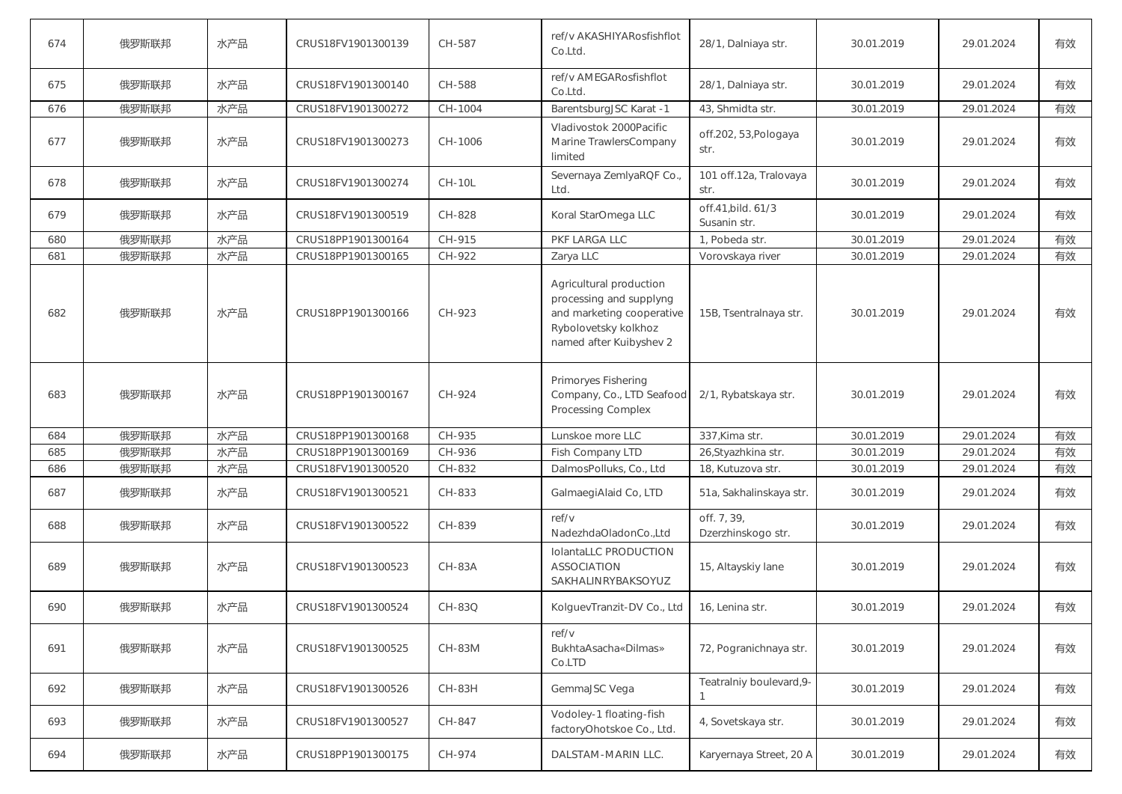| 674 | 俄罗斯联邦 | 水产品 | CRUS18FV1901300139 | CH-587        | ref/v AKASHIYARosfishflot<br>Co.Ltd.                                                                                               | 28/1, Dalniaya str.                | 30.01.2019 | 29.01.2024 | 有效 |
|-----|-------|-----|--------------------|---------------|------------------------------------------------------------------------------------------------------------------------------------|------------------------------------|------------|------------|----|
| 675 | 俄罗斯联邦 | 水产品 | CRUS18FV1901300140 | CH-588        | ref/v AMEGARosfishflot<br>Co.Ltd.                                                                                                  | 28/1, Dalniaya str.                | 30.01.2019 | 29.01.2024 | 有效 |
| 676 | 俄罗斯联邦 | 水产品 | CRUS18FV1901300272 | CH-1004       | BarentsburgJSC Karat -1                                                                                                            | 43, Shmidta str.                   | 30.01.2019 | 29.01.2024 | 有效 |
| 677 | 俄罗斯联邦 | 水产品 | CRUS18FV1901300273 | CH-1006       | Vladivostok 2000Pacific<br>Marine TrawlersCompany<br>limited                                                                       | off.202, 53, Pologaya<br>str.      | 30.01.2019 | 29.01.2024 | 有效 |
| 678 | 俄罗斯联邦 | 水产品 | CRUS18FV1901300274 | <b>CH-10L</b> | Severnaya ZemlyaRQF Co.,<br>Ltd.                                                                                                   | 101 off.12a, Tralovaya<br>str.     | 30.01.2019 | 29.01.2024 | 有效 |
| 679 | 俄罗斯联邦 | 水产品 | CRUS18FV1901300519 | CH-828        | Koral StarOmega LLC                                                                                                                | off.41, bild. 61/3<br>Susanin str. | 30.01.2019 | 29.01.2024 | 有效 |
| 680 | 俄罗斯联邦 | 水产品 | CRUS18PP1901300164 | CH-915        | PKF LARGA LLC                                                                                                                      | 1, Pobeda str.                     | 30.01.2019 | 29.01.2024 | 有效 |
| 681 | 俄罗斯联邦 | 水产品 | CRUS18PP1901300165 | CH-922        | Zarya LLC                                                                                                                          | Vorovskaya river                   | 30.01.2019 | 29.01.2024 | 有效 |
| 682 | 俄罗斯联邦 | 水产品 | CRUS18PP1901300166 | CH-923        | Agricultural production<br>processing and supplyng<br>and marketing cooperative<br>Rybolovetsky kolkhoz<br>named after Kuibyshev 2 | 15B, Tsentralnaya str.             | 30.01.2019 | 29.01.2024 | 有效 |
| 683 | 俄罗斯联邦 | 水产品 | CRUS18PP1901300167 | CH-924        | Primoryes Fishering<br>Company, Co., LTD Seafood<br><b>Processing Complex</b>                                                      | 2/1, Rybatskaya str.               | 30.01.2019 | 29.01.2024 | 有效 |
| 684 | 俄罗斯联邦 | 水产品 | CRUS18PP1901300168 | CH-935        | Lunskoe more LLC                                                                                                                   | 337, Kima str.                     | 30.01.2019 | 29.01.2024 | 有效 |
| 685 | 俄罗斯联邦 | 水产品 | CRUS18PP1901300169 | CH-936        | Fish Company LTD                                                                                                                   | 26, Styazhkina str.                | 30.01.2019 | 29.01.2024 | 有效 |
| 686 | 俄罗斯联邦 | 水产品 | CRUS18FV1901300520 | CH-832        | DalmosPolluks, Co., Ltd                                                                                                            | 18, Kutuzova str.                  | 30.01.2019 | 29.01.2024 | 有效 |
| 687 | 俄罗斯联邦 | 水产品 | CRUS18FV1901300521 | CH-833        | GalmaegiAlaid Co, LTD                                                                                                              | 51a, Sakhalinskaya str.            | 30.01.2019 | 29.01.2024 | 有效 |
| 688 | 俄罗斯联邦 | 水产品 | CRUS18FV1901300522 | CH-839        | ref/v<br>NadezhdaOladonCo.,Ltd                                                                                                     | off. 7, 39,<br>Dzerzhinskogo str.  | 30.01.2019 | 29.01.2024 | 有效 |
| 689 | 俄罗斯联邦 | 水产品 | CRUS18FV1901300523 | <b>CH-83A</b> | IolantaLLC PRODUCTION<br><b>ASSOCIATION</b><br>SAKHALINRYBAKSOYUZ                                                                  | 15, Altayskiy lane                 | 30.01.2019 | 29.01.2024 | 有效 |
| 690 | 俄罗斯联邦 | 水产品 | CRUS18FV1901300524 | CH-83Q        | KolguevTranzit-DV Co., Ltd                                                                                                         | 16, Lenina str.                    | 30.01.2019 | 29.01.2024 | 有效 |
| 691 | 俄罗斯联邦 | 水产品 | CRUS18FV1901300525 | <b>CH-83M</b> | ref/v<br>BukhtaAsacha«Dilmas»<br>Co.LTD                                                                                            | 72, Pogranichnaya str.             | 30.01.2019 | 29.01.2024 | 有效 |
| 692 | 俄罗斯联邦 | 水产品 | CRUS18FV1901300526 | <b>CH-83H</b> | GemmaJSC Vega                                                                                                                      | Teatralniy boulevard, 9-           | 30.01.2019 | 29.01.2024 | 有效 |
| 693 | 俄罗斯联邦 | 水产品 | CRUS18FV1901300527 | CH-847        | Vodoley-1 floating-fish<br>factoryOhotskoe Co., Ltd.                                                                               | 4, Sovetskaya str.                 | 30.01.2019 | 29.01.2024 | 有效 |
| 694 | 俄罗斯联邦 | 水产品 | CRUS18PP1901300175 | CH-974        | DALSTAM-MARIN LLC.                                                                                                                 | Karyernaya Street, 20 A            | 30.01.2019 | 29.01.2024 | 有效 |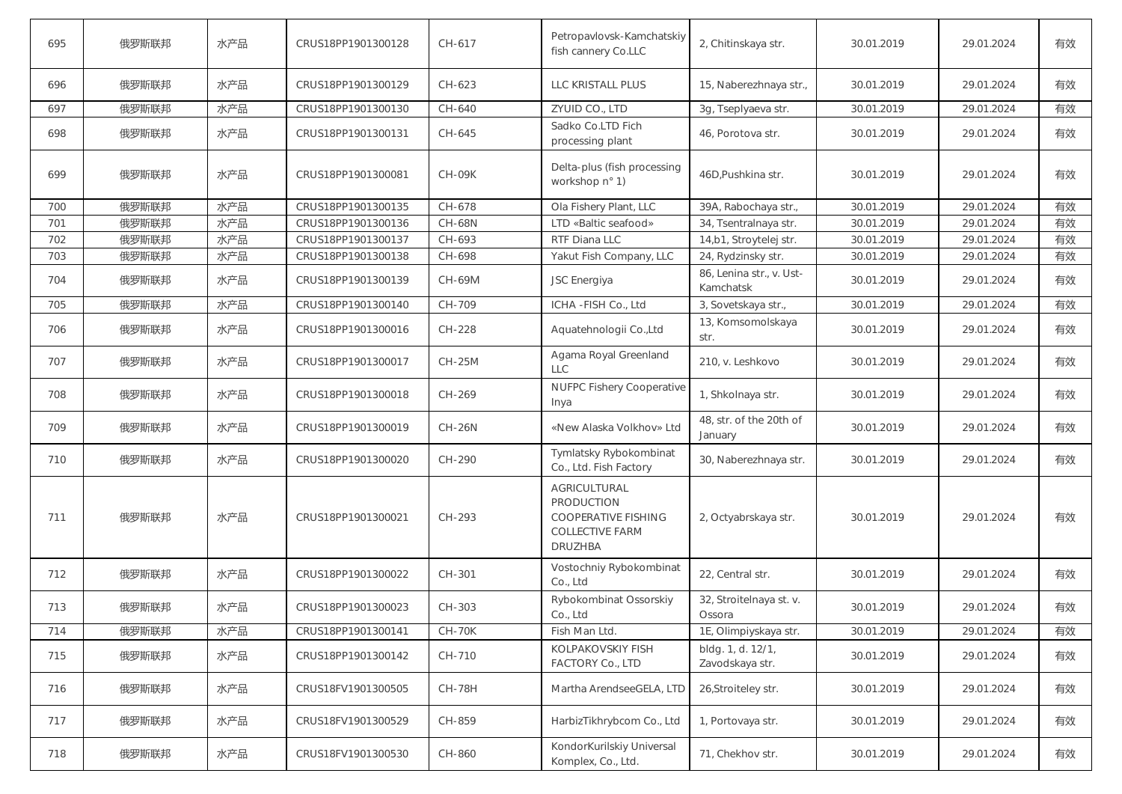| 695 | 俄罗斯联邦 | 水产品 | CRUS18PP1901300128 | CH-617        | Petropavlovsk-Kamchatskiy<br>fish cannery Co.LLC                                                            | 2, Chitinskaya str.                   | 30.01.2019 | 29.01.2024 | 有效 |
|-----|-------|-----|--------------------|---------------|-------------------------------------------------------------------------------------------------------------|---------------------------------------|------------|------------|----|
| 696 | 俄罗斯联邦 | 水产品 | CRUS18PP1901300129 | CH-623        | LLC KRISTALL PLUS                                                                                           | 15, Naberezhnaya str.,                | 30.01.2019 | 29.01.2024 | 有效 |
| 697 | 俄罗斯联邦 | 水产品 | CRUS18PP1901300130 | CH-640        | ZYUID CO., LTD                                                                                              | 3g, Tseplyaeva str.                   | 30.01.2019 | 29.01.2024 | 有效 |
| 698 | 俄罗斯联邦 | 水产品 | CRUS18PP1901300131 | CH-645        | Sadko Co.LTD Fich<br>processing plant                                                                       | 46, Porotova str.                     | 30.01.2019 | 29.01.2024 | 有效 |
| 699 | 俄罗斯联邦 | 水产品 | CRUS18PP1901300081 | <b>CH-09K</b> | Delta-plus (fish processing<br>workshop n° 1)                                                               | 46D, Pushkina str.                    | 30.01.2019 | 29.01.2024 | 有效 |
| 700 | 俄罗斯联邦 | 水产品 | CRUS18PP1901300135 | CH-678        | Ola Fishery Plant, LLC                                                                                      | 39A, Rabochaya str.,                  | 30.01.2019 | 29.01.2024 | 有效 |
| 701 | 俄罗斯联邦 | 水产品 | CRUS18PP1901300136 | <b>CH-68N</b> | LTD «Baltic seafood»                                                                                        | 34, Tsentralnaya str.                 | 30.01.2019 | 29.01.2024 | 有效 |
| 702 | 俄罗斯联邦 | 水产品 | CRUS18PP1901300137 | CH-693        | RTF Diana LLC                                                                                               | 14,b1, Stroytelej str.                | 30.01.2019 | 29.01.2024 | 有效 |
| 703 | 俄罗斯联邦 | 水产品 | CRUS18PP1901300138 | CH-698        | Yakut Fish Company, LLC                                                                                     | 24, Rydzinsky str.                    | 30.01.2019 | 29.01.2024 | 有效 |
| 704 | 俄罗斯联邦 | 水产品 | CRUS18PP1901300139 | CH-69M        | JSC Energiya                                                                                                | 86, Lenina str., v. Ust-<br>Kamchatsk | 30.01.2019 | 29.01.2024 | 有效 |
| 705 | 俄罗斯联邦 | 水产品 | CRUS18PP1901300140 | CH-709        | ICHA-FISH Co., Ltd                                                                                          | 3, Sovetskaya str.,                   | 30.01.2019 | 29.01.2024 | 有效 |
| 706 | 俄罗斯联邦 | 水产品 | CRUS18PP1901300016 | CH-228        | Aquatehnologii Co., Ltd                                                                                     | 13, Komsomolskaya<br>str.             | 30.01.2019 | 29.01.2024 | 有效 |
| 707 | 俄罗斯联邦 | 水产品 | CRUS18PP1901300017 | <b>CH-25M</b> | Agama Royal Greenland<br><b>LLC</b>                                                                         | 210, v. Leshkovo                      | 30.01.2019 | 29.01.2024 | 有效 |
| 708 | 俄罗斯联邦 | 水产品 | CRUS18PP1901300018 | CH-269        | <b>NUFPC Fishery Cooperative</b><br>Inya                                                                    | 1, Shkolnaya str.                     | 30.01.2019 | 29.01.2024 | 有效 |
| 709 | 俄罗斯联邦 | 水产品 | CRUS18PP1901300019 | <b>CH-26N</b> | «New Alaska Volkhov» Ltd                                                                                    | 48, str. of the 20th of<br>January    | 30.01.2019 | 29.01.2024 | 有效 |
| 710 | 俄罗斯联邦 | 水产品 | CRUS18PP1901300020 | CH-290        | Tymlatsky Rybokombinat<br>Co., Ltd. Fish Factory                                                            | 30, Naberezhnaya str.                 | 30.01.2019 | 29.01.2024 | 有效 |
| 711 | 俄罗斯联邦 | 水产品 | CRUS18PP1901300021 | CH-293        | AGRICULTURAL<br><b>PRODUCTION</b><br><b>COOPERATIVE FISHING</b><br><b>COLLECTIVE FARM</b><br><b>DRUZHBA</b> | 2, Octyabrskaya str.                  | 30.01.2019 | 29.01.2024 | 有效 |
| 712 | 俄罗斯联邦 | 水产品 | CRUS18PP1901300022 | CH-301        | Vostochniy Rybokombinat<br>Co., Ltd                                                                         | 22, Central str.                      | 30.01.2019 | 29.01.2024 | 有效 |
| 713 | 俄罗斯联邦 | 水产品 | CRUS18PP1901300023 | CH-303        | Rybokombinat Ossorskiy<br>Co., Ltd                                                                          | 32, Stroitelnaya st. v.<br>Ossora     | 30.01.2019 | 29.01.2024 | 有效 |
| 714 | 俄罗斯联邦 | 水产品 | CRUS18PP1901300141 | $CH-70K$      | Fish Man Ltd.                                                                                               | 1E, Olimpiyskaya str.                 | 30.01.2019 | 29.01.2024 | 有效 |
| 715 | 俄罗斯联邦 | 水产品 | CRUS18PP1901300142 | CH-710        | KOLPAKOVSKIY FISH<br>FACTORY Co., LTD                                                                       | bldg. 1, d. 12/1,<br>Zavodskaya str.  | 30.01.2019 | 29.01.2024 | 有效 |
| 716 | 俄罗斯联邦 | 水产品 | CRUS18FV1901300505 | <b>CH-78H</b> | Martha ArendseeGELA, LTD                                                                                    | 26, Stroiteley str.                   | 30.01.2019 | 29.01.2024 | 有效 |
| 717 | 俄罗斯联邦 | 水产品 | CRUS18FV1901300529 | CH-859        | HarbizTikhrybcom Co., Ltd                                                                                   | 1, Portovaya str.                     | 30.01.2019 | 29.01.2024 | 有效 |
| 718 | 俄罗斯联邦 | 水产品 | CRUS18FV1901300530 | CH-860        | KondorKurilskiy Universal<br>Komplex, Co., Ltd.                                                             | 71, Chekhov str.                      | 30.01.2019 | 29.01.2024 | 有效 |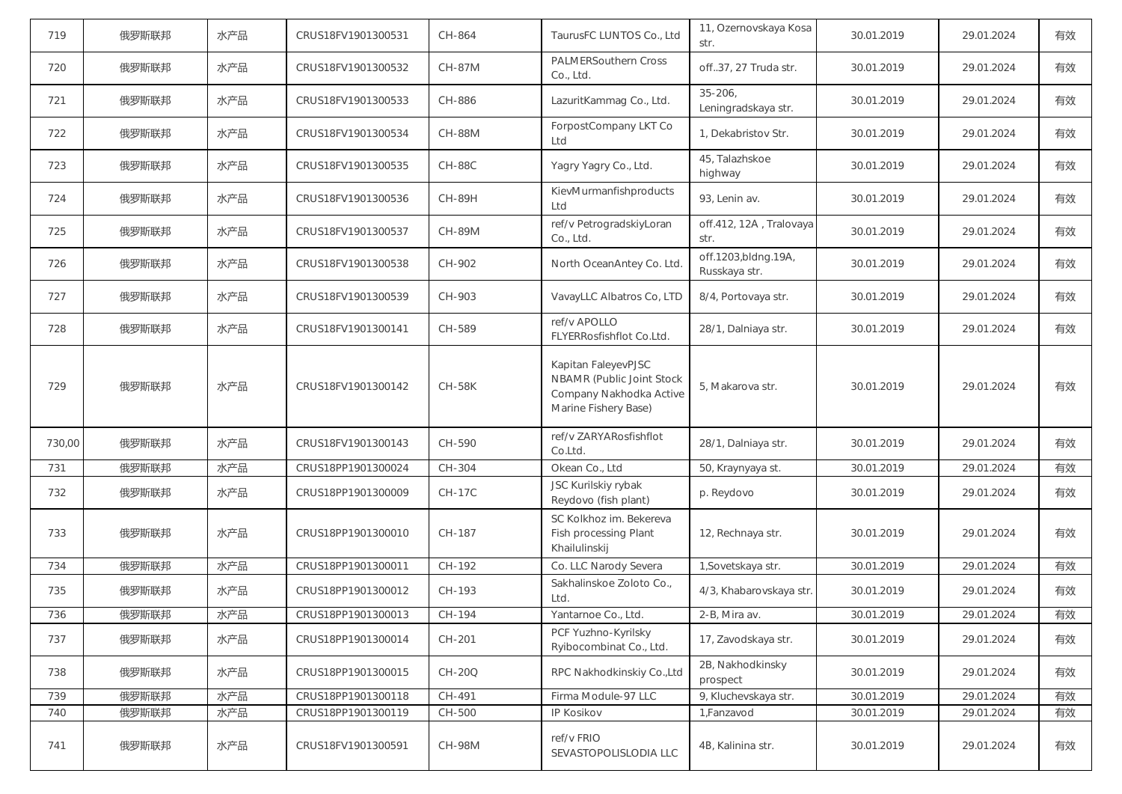| 719    | 俄罗斯联邦 | 水产品 | CRUS18FV1901300531 | CH-864        | TaurusFC LUNTOS Co., Ltd                                                                            | 11, Ozernovskaya Kosa<br>str.         | 30.01.2019 | 29.01.2024 | 有效 |
|--------|-------|-----|--------------------|---------------|-----------------------------------------------------------------------------------------------------|---------------------------------------|------------|------------|----|
| 720    | 俄罗斯联邦 | 水产品 | CRUS18FV1901300532 | <b>CH-87M</b> | <b>PALMERSouthern Cross</b><br>Co., Ltd.                                                            | off37, 27 Truda str.                  | 30.01.2019 | 29.01.2024 | 有效 |
| 721    | 俄罗斯联邦 | 水产品 | CRUS18FV1901300533 | CH-886        | LazuritKammag Co., Ltd.                                                                             | $35 - 206$<br>Leningradskaya str.     | 30.01.2019 | 29.01.2024 | 有效 |
| 722    | 俄罗斯联邦 | 水产品 | CRUS18FV1901300534 | <b>CH-88M</b> | ForpostCompany LKT Co<br>Ltd                                                                        | 1, Dekabristov Str.                   | 30.01.2019 | 29.01.2024 | 有效 |
| 723    | 俄罗斯联邦 | 水产品 | CRUS18FV1901300535 | $CH-88C$      | Yagry Yagry Co., Ltd.                                                                               | 45, Talazhskoe<br>highway             | 30.01.2019 | 29.01.2024 | 有效 |
| 724    | 俄罗斯联邦 | 水产品 | CRUS18FV1901300536 | <b>CH-89H</b> | KievMurmanfishproducts<br>Ltd                                                                       | 93, Lenin av.                         | 30.01.2019 | 29.01.2024 | 有效 |
| 725    | 俄罗斯联邦 | 水产品 | CRUS18FV1901300537 | <b>CH-89M</b> | ref/v PetrogradskiyLoran<br>Co., Ltd.                                                               | off.412, 12A, Tralovaya<br>str.       | 30.01.2019 | 29.01.2024 | 有效 |
| 726    | 俄罗斯联邦 | 水产品 | CRUS18FV1901300538 | CH-902        | North OceanAntey Co. Ltd.                                                                           | off.1203, bldng.19A,<br>Russkaya str. | 30.01.2019 | 29.01.2024 | 有效 |
| 727    | 俄罗斯联邦 | 水产品 | CRUS18FV1901300539 | CH-903        | VavayLLC Albatros Co, LTD                                                                           | 8/4, Portovaya str.                   | 30.01.2019 | 29.01.2024 | 有效 |
| 728    | 俄罗斯联邦 | 水产品 | CRUS18FV1901300141 | CH-589        | ref/v APOLLO<br>FLYERRosfishflot Co.Ltd.                                                            | 28/1, Dalniaya str.                   | 30.01.2019 | 29.01.2024 | 有效 |
| 729    | 俄罗斯联邦 | 水产品 | CRUS18FV1901300142 | <b>CH-58K</b> | Kapitan FaleyevPJSC<br>NBAMR (Public Joint Stock<br>Company Nakhodka Active<br>Marine Fishery Base) | 5. Makarova str.                      | 30.01.2019 | 29.01.2024 | 有效 |
| 730,00 | 俄罗斯联邦 | 水产品 | CRUS18FV1901300143 | CH-590        | ref/v ZARYARosfishflot<br>Co.Ltd.                                                                   | 28/1, Dalniaya str.                   | 30.01.2019 | 29.01.2024 | 有效 |
| 731    | 俄罗斯联邦 | 水产品 | CRUS18PP1901300024 | CH-304        | Okean Co., Ltd                                                                                      | 50, Kraynyaya st.                     | 30.01.2019 | 29.01.2024 | 有效 |
| 732    | 俄罗斯联邦 | 水产品 | CRUS18PP1901300009 | <b>CH-17C</b> | JSC Kurilskiy rybak<br>Reydovo (fish plant)                                                         | p. Reydovo                            | 30.01.2019 | 29.01.2024 | 有效 |
| 733    | 俄罗斯联邦 | 水产品 | CRUS18PP1901300010 | CH-187        | SC Kolkhoz im. Bekereva<br>Fish processing Plant<br>Khailulinskij                                   | 12, Rechnaya str.                     | 30.01.2019 | 29.01.2024 | 有效 |
| 734    | 俄罗斯联邦 | 水产品 | CRUS18PP1901300011 | CH-192        | Co. LLC Narody Severa                                                                               | 1, Sovetskaya str.                    | 30.01.2019 | 29.01.2024 | 有效 |
| 735    | 俄罗斯联邦 | 水产品 | CRUS18PP1901300012 | CH-193        | Sakhalinskoe Zoloto Co.,<br>Ltd.                                                                    | 4/3, Khabarovskaya str.               | 30.01.2019 | 29.01.2024 | 有效 |
| 736    | 俄罗斯联邦 | 水产品 | CRUS18PP1901300013 | CH-194        | Yantarnoe Co., Ltd.                                                                                 | 2-B, Mira av.                         | 30.01.2019 | 29.01.2024 | 有效 |
| 737    | 俄罗斯联邦 | 水产品 | CRUS18PP1901300014 | CH-201        | PCF Yuzhno-Kyrilsky<br>Ryibocombinat Co., Ltd.                                                      | 17, Zavodskaya str.                   | 30.01.2019 | 29.01.2024 | 有效 |
| 738    | 俄罗斯联邦 | 水产品 | CRUS18PP1901300015 | CH-20Q        | RPC Nakhodkinskiy Co., Ltd                                                                          | 2B, Nakhodkinsky<br>prospect          | 30.01.2019 | 29.01.2024 | 有效 |
| 739    | 俄罗斯联邦 | 水产品 | CRUS18PP1901300118 | CH-491        | Firma Module-97 LLC                                                                                 | 9, Kluchevskaya str.                  | 30.01.2019 | 29.01.2024 | 有效 |
| 740    | 俄罗斯联邦 | 水产品 | CRUS18PP1901300119 | CH-500        | IP Kosikov                                                                                          | 1,Fanzavod                            | 30.01.2019 | 29.01.2024 | 有效 |
| 741    | 俄罗斯联邦 | 水产品 | CRUS18FV1901300591 | <b>CH-98M</b> | ref/v FRIO<br>SEVASTOPOLISLODIA LLC                                                                 | 4B, Kalinina str.                     | 30.01.2019 | 29.01.2024 | 有效 |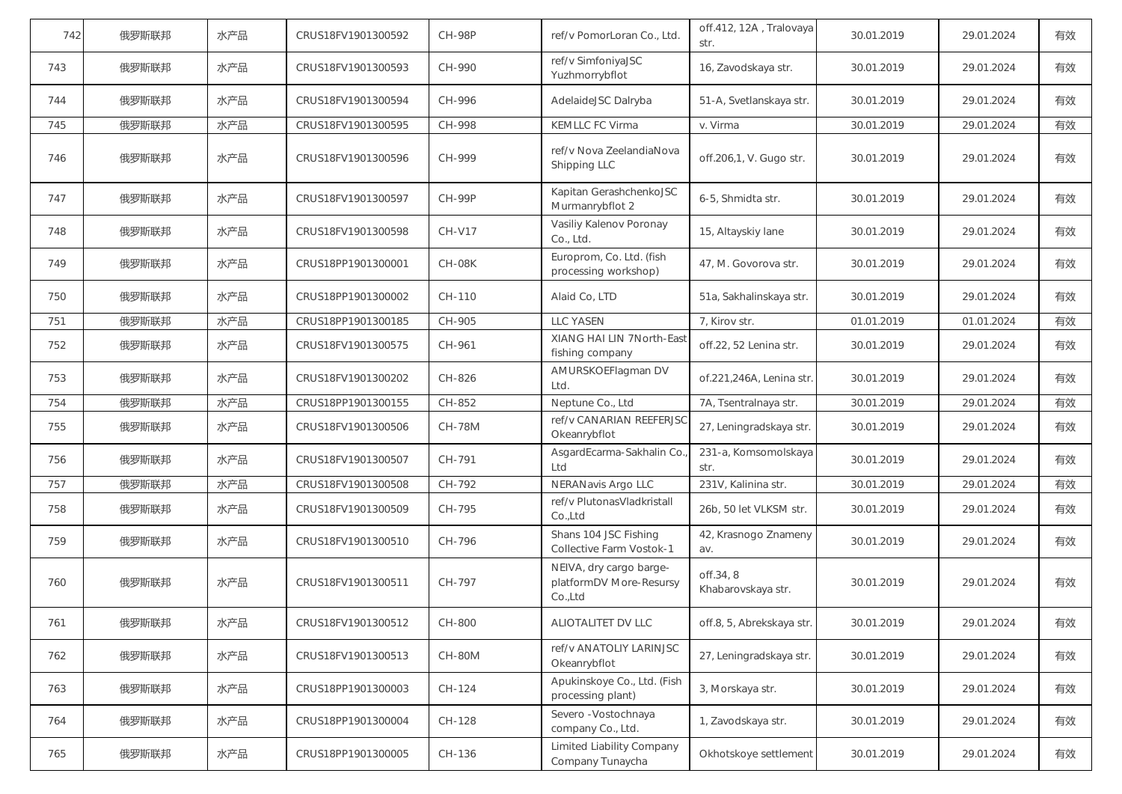| 742 | 俄罗斯联邦 | 水产品 | CRUS18FV1901300592 | <b>CH-98P</b> | ref/v PomorLoran Co., Ltd.                                    | off.412, 12A, Tralovaya<br>str. | 30.01.2019 | 29.01.2024 | 有效 |
|-----|-------|-----|--------------------|---------------|---------------------------------------------------------------|---------------------------------|------------|------------|----|
| 743 | 俄罗斯联邦 | 水产品 | CRUS18FV1901300593 | CH-990        | ref/v SimfoniyaJSC<br>Yuzhmorrybflot                          | 16, Zavodskaya str.             | 30.01.2019 | 29.01.2024 | 有效 |
| 744 | 俄罗斯联邦 | 水产品 | CRUS18FV1901300594 | CH-996        | AdelaideJSC Dalryba                                           | 51-A, Svetlanskaya str.         | 30.01.2019 | 29.01.2024 | 有效 |
| 745 | 俄罗斯联邦 | 水产品 | CRUS18FV1901300595 | CH-998        | KEMLLC FC Virma                                               | v. Virma                        | 30.01.2019 | 29.01.2024 | 有效 |
| 746 | 俄罗斯联邦 | 水产品 | CRUS18FV1901300596 | CH-999        | ref/v Nova ZeelandiaNova<br>Shipping LLC                      | off.206,1, V. Gugo str.         | 30.01.2019 | 29.01.2024 | 有效 |
| 747 | 俄罗斯联邦 | 水产品 | CRUS18FV1901300597 | <b>CH-99P</b> | Kapitan GerashchenkoJSC<br>Murmanrybflot 2                    | 6-5, Shmidta str.               | 30.01.2019 | 29.01.2024 | 有效 |
| 748 | 俄罗斯联邦 | 水产品 | CRUS18FV1901300598 | CH-V17        | Vasiliy Kalenov Poronay<br>Co., Ltd.                          | 15, Altayskiy lane              | 30.01.2019 | 29.01.2024 | 有效 |
| 749 | 俄罗斯联邦 | 水产品 | CRUS18PP1901300001 | <b>CH-08K</b> | Europrom, Co. Ltd. (fish<br>processing workshop)              | 47, M. Govorova str.            | 30.01.2019 | 29.01.2024 | 有效 |
| 750 | 俄罗斯联邦 | 水产品 | CRUS18PP1901300002 | CH-110        | Alaid Co, LTD                                                 | 51a, Sakhalinskaya str.         | 30.01.2019 | 29.01.2024 | 有效 |
| 751 | 俄罗斯联邦 | 水产品 | CRUS18PP1901300185 | CH-905        | <b>LLC YASEN</b>                                              | 7, Kirov str.                   | 01.01.2019 | 01.01.2024 | 有效 |
| 752 | 俄罗斯联邦 | 水产品 | CRUS18FV1901300575 | CH-961        | XIANG HAI LIN 7North-East<br>fishing company                  | off.22, 52 Lenina str.          | 30.01.2019 | 29.01.2024 | 有效 |
| 753 | 俄罗斯联邦 | 水产品 | CRUS18FV1901300202 | CH-826        | AMURSKOEFlagman DV<br>Ltd.                                    | of.221,246A, Lenina str.        | 30.01.2019 | 29.01.2024 | 有效 |
| 754 | 俄罗斯联邦 | 水产品 | CRUS18PP1901300155 | CH-852        | Neptune Co., Ltd                                              | 7A, Tsentralnaya str.           | 30.01.2019 | 29.01.2024 | 有效 |
| 755 | 俄罗斯联邦 | 水产品 | CRUS18FV1901300506 | <b>CH-78M</b> | ref/v CANARIAN REEFERJSC<br>Okeanrybflot                      | 27, Leningradskaya str.         | 30.01.2019 | 29.01.2024 | 有效 |
| 756 | 俄罗斯联邦 | 水产品 | CRUS18FV1901300507 | CH-791        | AsgardEcarma-Sakhalin Co.<br>Ltd                              | 231-a, Komsomolskaya<br>str.    | 30.01.2019 | 29.01.2024 | 有效 |
| 757 | 俄罗斯联邦 | 水产品 | CRUS18FV1901300508 | CH-792        | NERANavis Argo LLC                                            | 231V, Kalinina str.             | 30.01.2019 | 29.01.2024 | 有效 |
| 758 | 俄罗斯联邦 | 水产品 | CRUS18FV1901300509 | CH-795        | ref/v PlutonasVladkristall<br>Co.,Ltd                         | 26b, 50 let VLKSM str.          | 30.01.2019 | 29.01.2024 | 有效 |
| 759 | 俄罗斯联邦 | 水产品 | CRUS18FV1901300510 | CH-796        | Shans 104 JSC Fishing<br>Collective Farm Vostok-1             | 42, Krasnogo Znameny<br>av.     | 30.01.2019 | 29.01.2024 | 有效 |
| 760 | 俄罗斯联邦 | 水产品 | CRUS18FV1901300511 | CH-797        | NEIVA, dry cargo barge-<br>platformDV More-Resursy<br>Co.,Ltd | off.34, 8<br>Khabarovskaya str. | 30.01.2019 | 29.01.2024 | 有效 |
| 761 | 俄罗斯联邦 | 水产品 | CRUS18FV1901300512 | CH-800        | ALIOTALITET DV LLC                                            | off.8, 5, Abrekskaya str.       | 30.01.2019 | 29.01.2024 | 有效 |
| 762 | 俄罗斯联邦 | 水产品 | CRUS18FV1901300513 | <b>CH-80M</b> | ref/v ANATOLIY LARINJSC<br>Okeanrybflot                       | 27, Leningradskaya str.         | 30.01.2019 | 29.01.2024 | 有效 |
| 763 |       |     |                    |               | Apukinskoye Co., Ltd. (Fish                                   |                                 |            |            |    |
|     | 俄罗斯联邦 | 水产品 | CRUS18PP1901300003 | CH-124        | processing plant)                                             | 3, Morskaya str.                | 30.01.2019 | 29.01.2024 | 有效 |
| 764 | 俄罗斯联邦 | 水产品 | CRUS18PP1901300004 | CH-128        | Severo - Vostochnaya<br>company Co., Ltd.                     | 1, Zavodskaya str.              | 30.01.2019 | 29.01.2024 | 有效 |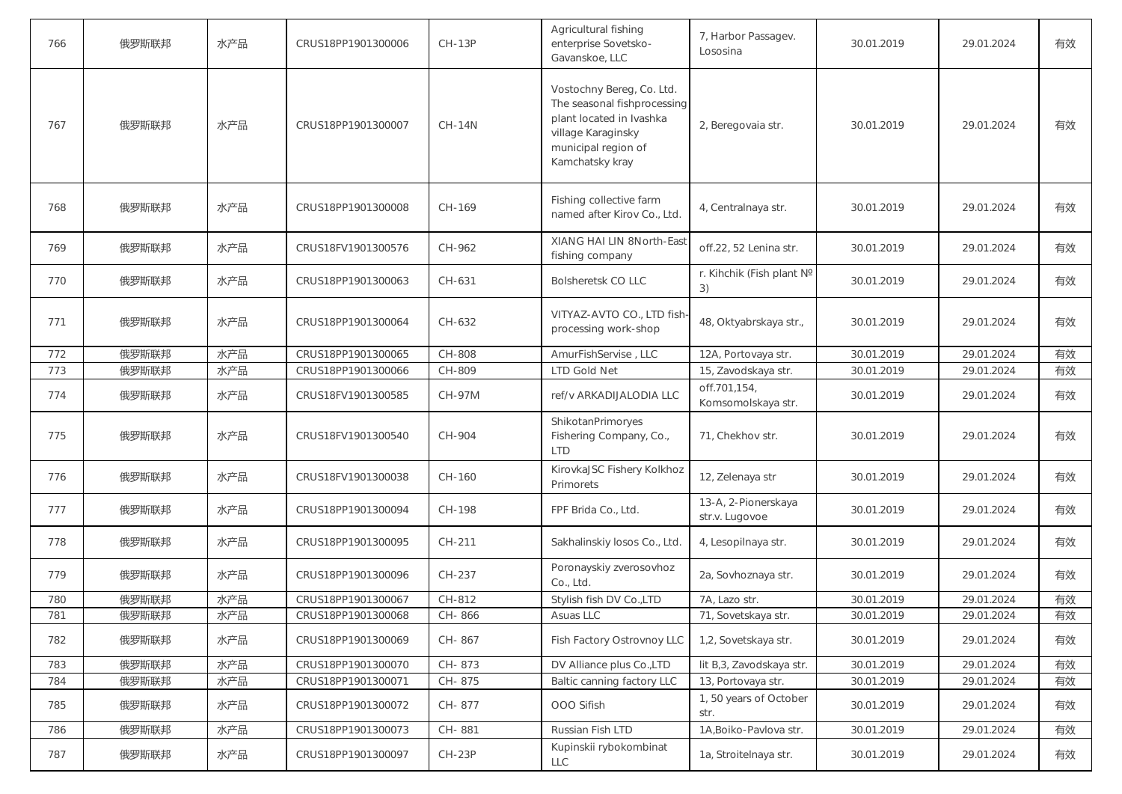| 766 | 俄罗斯联邦 | 水产品 | CRUS18PP1901300006 | <b>CH-13P</b> | Agricultural fishing<br>enterprise Sovetsko-<br>Gavanskoe, LLC                                                                                       | 7, Harbor Passagev.<br>Lososina       | 30.01.2019 | 29.01.2024 | 有效 |
|-----|-------|-----|--------------------|---------------|------------------------------------------------------------------------------------------------------------------------------------------------------|---------------------------------------|------------|------------|----|
| 767 | 俄罗斯联邦 | 水产品 | CRUS18PP1901300007 | <b>CH-14N</b> | Vostochny Bereg, Co. Ltd.<br>The seasonal fishprocessing<br>plant located in Ivashka<br>village Karaginsky<br>municipal region of<br>Kamchatsky kray | 2, Beregovaia str.                    | 30.01.2019 | 29.01.2024 | 有效 |
| 768 | 俄罗斯联邦 | 水产品 | CRUS18PP1901300008 | CH-169        | Fishing collective farm<br>named after Kirov Co., Ltd.                                                                                               | 4, Centralnaya str.                   | 30.01.2019 | 29.01.2024 | 有效 |
| 769 | 俄罗斯联邦 | 水产品 | CRUS18FV1901300576 | CH-962        | XIANG HAI LIN 8North-East<br>fishing company                                                                                                         | off.22, 52 Lenina str.                | 30.01.2019 | 29.01.2024 | 有效 |
| 770 | 俄罗斯联邦 | 水产品 | CRUS18PP1901300063 | CH-631        | <b>Bolsheretsk CO LLC</b>                                                                                                                            | r. Kihchik (Fish plant Nº<br>3)       | 30.01.2019 | 29.01.2024 | 有效 |
| 771 | 俄罗斯联邦 | 水产品 | CRUS18PP1901300064 | CH-632        | VITYAZ-AVTO CO., LTD fish<br>processing work-shop                                                                                                    | 48, Oktyabrskaya str.,                | 30.01.2019 | 29.01.2024 | 有效 |
| 772 | 俄罗斯联邦 | 水产品 | CRUS18PP1901300065 | CH-808        | AmurFishServise, LLC                                                                                                                                 | 12A, Portovaya str.                   | 30.01.2019 | 29.01.2024 | 有效 |
| 773 | 俄罗斯联邦 | 水产品 | CRUS18PP1901300066 | CH-809        | <b>LTD Gold Net</b>                                                                                                                                  | 15, Zavodskaya str.                   | 30.01.2019 | 29.01.2024 | 有效 |
| 774 | 俄罗斯联邦 | 水产品 | CRUS18FV1901300585 | CH-97M        | ref/v ARKADIJALODIA LLC                                                                                                                              | off.701,154,<br>Komsomolskaya str.    | 30.01.2019 | 29.01.2024 | 有效 |
| 775 | 俄罗斯联邦 | 水产品 | CRUS18FV1901300540 | CH-904        | ShikotanPrimoryes<br>Fishering Company, Co.,<br><b>LTD</b>                                                                                           | 71, Chekhov str.                      | 30.01.2019 | 29.01.2024 | 有效 |
| 776 | 俄罗斯联邦 | 水产品 | CRUS18FV1901300038 | CH-160        | KirovkaJSC Fishery Kolkhoz<br>Primorets                                                                                                              | 12, Zelenaya str                      | 30.01.2019 | 29.01.2024 | 有效 |
| 777 | 俄罗斯联邦 | 水产品 | CRUS18PP1901300094 | CH-198        | FPF Brida Co., Ltd.                                                                                                                                  | 13-A, 2-Pionerskaya<br>str.v. Lugovoe | 30.01.2019 | 29.01.2024 | 有效 |
| 778 | 俄罗斯联邦 | 水产品 | CRUS18PP1901300095 | CH-211        | Sakhalinskiy losos Co., Ltd.                                                                                                                         | 4, Lesopilnaya str.                   | 30.01.2019 | 29.01.2024 | 有效 |
| 779 | 俄罗斯联邦 | 水产品 | CRUS18PP1901300096 | CH-237        | Poronayskiy zverosovhoz<br>Co., Ltd.                                                                                                                 | 2a, Sovhoznaya str.                   | 30.01.2019 | 29.01.2024 | 有效 |
| 780 | 俄罗斯联邦 | 水产品 | CRUS18PP1901300067 | CH-812        | Stylish fish DV Co., LTD                                                                                                                             | 7A, Lazo str.                         | 30.01.2019 | 29.01.2024 | 有效 |
| 781 | 俄罗斯联邦 | 水产品 | CRUS18PP1901300068 | CH-866        | Asuas LLC                                                                                                                                            | 71, Sovetskaya str.                   | 30.01.2019 | 29.01.2024 | 有效 |
| 782 | 俄罗斯联邦 | 水产品 | CRUS18PP1901300069 | CH-867        | Fish Factory Ostrovnoy LLC                                                                                                                           | 1,2, Sovetskaya str.                  | 30.01.2019 | 29.01.2024 | 有效 |
| 783 | 俄罗斯联邦 | 水产品 | CRUS18PP1901300070 | CH-873        | DV Alliance plus Co., LTD                                                                                                                            | lit B,3, Zavodskaya str.              | 30.01.2019 | 29.01.2024 | 有效 |
| 784 | 俄罗斯联邦 | 水产品 | CRUS18PP1901300071 | CH-875        | Baltic canning factory LLC                                                                                                                           | 13, Portovaya str.                    | 30.01.2019 | 29.01.2024 | 有效 |
| 785 | 俄罗斯联邦 | 水产品 | CRUS18PP1901300072 | CH-877        | OOO Sifish                                                                                                                                           | 1, 50 years of October<br>str.        | 30.01.2019 | 29.01.2024 | 有效 |
| 786 | 俄罗斯联邦 | 水产品 | CRUS18PP1901300073 | CH-881        | Russian Fish LTD                                                                                                                                     | 1A, Boiko-Pavlova str.                | 30.01.2019 | 29.01.2024 | 有效 |
| 787 | 俄罗斯联邦 | 水产品 | CRUS18PP1901300097 | $CH-23P$      | Kupinskii rybokombinat<br>LLC                                                                                                                        | 1a, Stroitelnaya str.                 | 30.01.2019 | 29.01.2024 | 有效 |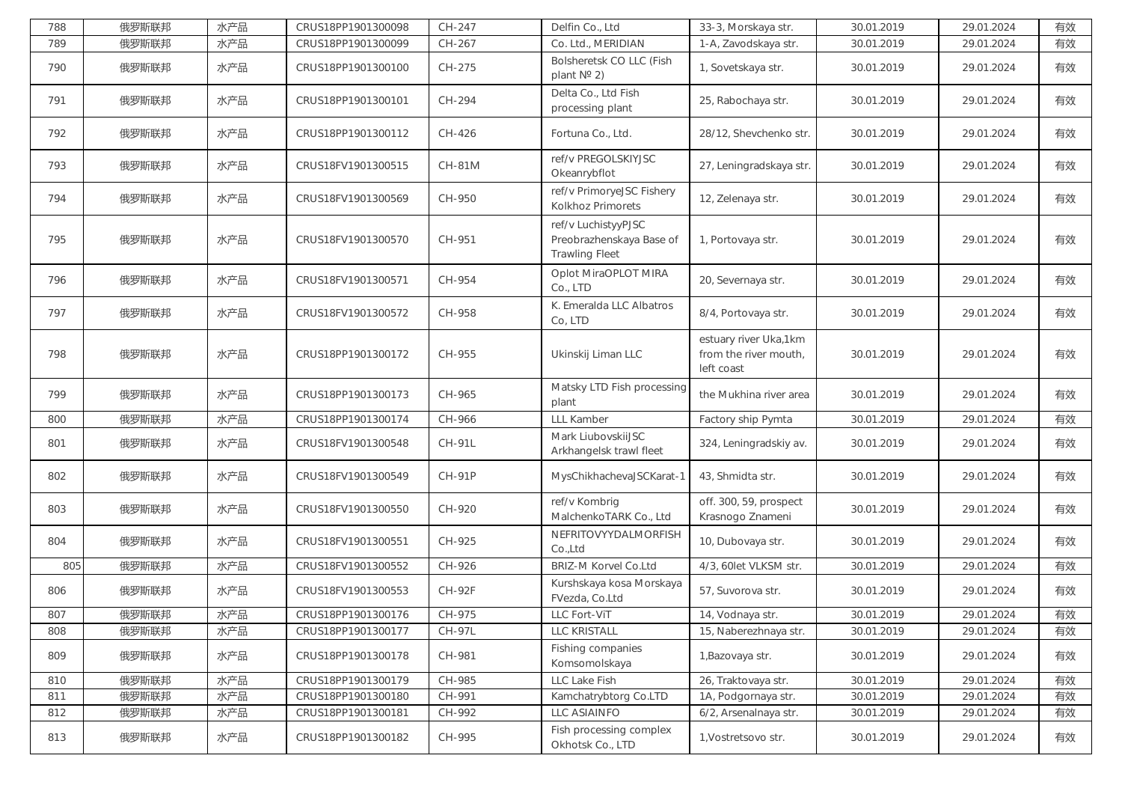| 788 | 俄罗斯联邦 | 水产品 | CRUS18PP1901300098 | CH-247        | Delfin Co., Ltd                                                          | 33-3, Morskaya str.                                          | 30.01.2019 | 29.01.2024 | 有效 |
|-----|-------|-----|--------------------|---------------|--------------------------------------------------------------------------|--------------------------------------------------------------|------------|------------|----|
| 789 | 俄罗斯联邦 | 水产品 | CRUS18PP1901300099 | CH-267        | Co. Ltd., MERIDIAN                                                       | 1-A, Zavodskaya str.                                         | 30.01.2019 | 29.01.2024 | 有效 |
| 790 | 俄罗斯联邦 | 水产品 | CRUS18PP1901300100 | CH-275        | Bolsheretsk CO LLC (Fish<br>plant $N^{\circ}$ 2)                         | 1, Sovetskaya str.                                           | 30.01.2019 | 29.01.2024 | 有效 |
| 791 | 俄罗斯联邦 | 水产品 | CRUS18PP1901300101 | CH-294        | Delta Co., Ltd Fish<br>processing plant                                  | 25, Rabochaya str.                                           | 30.01.2019 | 29.01.2024 | 有效 |
| 792 | 俄罗斯联邦 | 水产品 | CRUS18PP1901300112 | CH-426        | Fortuna Co., Ltd.                                                        | 28/12, Shevchenko str.                                       | 30.01.2019 | 29.01.2024 | 有效 |
| 793 | 俄罗斯联邦 | 水产品 | CRUS18FV1901300515 | <b>CH-81M</b> | ref/v PREGOLSKIYJSC<br>Okeanrybflot                                      | 27, Leningradskaya str.                                      | 30.01.2019 | 29.01.2024 | 有效 |
| 794 | 俄罗斯联邦 | 水产品 | CRUS18FV1901300569 | CH-950        | ref/v PrimoryeJSC Fishery<br>Kolkhoz Primorets                           | 12, Zelenaya str.                                            | 30.01.2019 | 29.01.2024 | 有效 |
| 795 | 俄罗斯联邦 | 水产品 | CRUS18FV1901300570 | CH-951        | ref/v LuchistyyPJSC<br>Preobrazhenskaya Base of<br><b>Trawling Fleet</b> | 1, Portovaya str.                                            | 30.01.2019 | 29.01.2024 | 有效 |
| 796 | 俄罗斯联邦 | 水产品 | CRUS18FV1901300571 | CH-954        | Oplot MiraOPLOT MIRA<br>Co., LTD                                         | 20, Severnaya str.                                           | 30.01.2019 | 29.01.2024 | 有效 |
| 797 | 俄罗斯联邦 | 水产品 | CRUS18FV1901300572 | CH-958        | K. Emeralda LLC Albatros<br>Co, LTD                                      | 8/4, Portovaya str.                                          | 30.01.2019 | 29.01.2024 | 有效 |
| 798 | 俄罗斯联邦 | 水产品 | CRUS18PP1901300172 | CH-955        | Ukinskij Liman LLC                                                       | estuary river Uka,1km<br>from the river mouth,<br>left coast | 30.01.2019 | 29.01.2024 | 有效 |
| 799 | 俄罗斯联邦 | 水产品 | CRUS18PP1901300173 | CH-965        | Matsky LTD Fish processing<br>plant                                      | the Mukhina river area                                       | 30.01.2019 | 29.01.2024 | 有效 |
| 800 | 俄罗斯联邦 | 水产品 | CRUS18PP1901300174 | CH-966        | <b>LLL Kamber</b>                                                        | Factory ship Pymta                                           | 30.01.2019 | 29.01.2024 | 有效 |
| 801 | 俄罗斯联邦 | 水产品 | CRUS18FV1901300548 | <b>CH-91L</b> | Mark LiubovskiiJSC<br>Arkhangelsk trawl fleet                            | 324, Leningradskiy av.                                       | 30.01.2019 | 29.01.2024 | 有效 |
| 802 | 俄罗斯联邦 | 水产品 | CRUS18FV1901300549 | CH-91P        | MysChikhachevaJSCKarat-1                                                 | 43, Shmidta str.                                             | 30.01.2019 | 29.01.2024 | 有效 |
| 803 | 俄罗斯联邦 | 水产品 | CRUS18FV1901300550 | CH-920        | ref/v Kombrig<br>MalchenkoTARK Co., Ltd                                  | off. 300, 59, prospect<br>Krasnogo Znameni                   | 30.01.2019 | 29.01.2024 | 有效 |
| 804 | 俄罗斯联邦 | 水产品 | CRUS18FV1901300551 | CH-925        | NEFRITOVYYDALMORFISH<br>Co.,Ltd                                          | 10, Dubovaya str.                                            | 30.01.2019 | 29.01.2024 | 有效 |
| 805 | 俄罗斯联邦 | 水产品 | CRUS18FV1901300552 | CH-926        | <b>BRIZ-M Korvel Co.Ltd</b>                                              | 4/3, 60let VLKSM str.                                        | 30.01.2019 | 29.01.2024 | 有效 |
| 806 | 俄罗斯联邦 | 水产品 | CRUS18FV1901300553 | <b>CH-92F</b> | Kurshskaya kosa Morskaya<br>FVezda, Co.Ltd                               | 57, Suvorova str.                                            | 30.01.2019 | 29.01.2024 | 有效 |
| 807 | 俄罗斯联邦 | 水产品 | CRUS18PP1901300176 | CH-975        | LLC Fort-ViT                                                             | 14, Vodnaya str.                                             | 30.01.2019 | 29.01.2024 | 有效 |
| 808 | 俄罗斯联邦 | 水产品 | CRUS18PP1901300177 | <b>CH-97L</b> | LLC KRISTALL                                                             | 15, Naberezhnaya str.                                        | 30.01.2019 | 29.01.2024 | 有效 |
| 809 | 俄罗斯联邦 | 水产品 | CRUS18PP1901300178 | CH-981        | Fishing companies<br>Komsomolskaya                                       | 1, Bazovaya str.                                             | 30.01.2019 | 29.01.2024 | 有效 |
| 810 | 俄罗斯联邦 | 水产品 | CRUS18PP1901300179 | CH-985        | LLC Lake Fish                                                            | 26, Traktovaya str.                                          | 30.01.2019 | 29.01.2024 | 有效 |
| 811 | 俄罗斯联邦 | 水产品 | CRUS18PP1901300180 | CH-991        | Kamchatrybtorg Co.LTD                                                    | 1A, Podgornaya str.                                          | 30.01.2019 | 29.01.2024 | 有效 |
| 812 | 俄罗斯联邦 | 水产品 | CRUS18PP1901300181 | CH-992        | LLC ASIAINFO                                                             | 6/2, Arsenalnaya str.                                        | 30.01.2019 | 29.01.2024 | 有效 |
| 813 | 俄罗斯联邦 | 水产品 | CRUS18PP1901300182 | CH-995        | Fish processing complex<br>Okhotsk Co., LTD                              | 1. Vostretsovo str.                                          | 30.01.2019 | 29.01.2024 | 有效 |